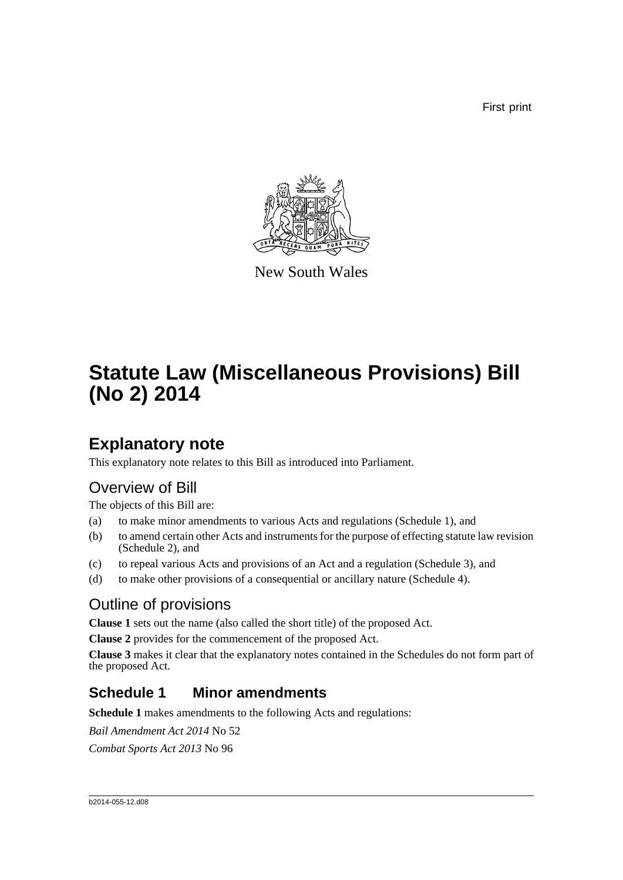First print



New South Wales

# **Statute Law (Miscellaneous Provisions) Bill (No 2) 2014**

# **Explanatory note**

This explanatory note relates to this Bill as introduced into Parliament.

# Overview of Bill

The objects of this Bill are:

- (a) to make minor amendments to various Acts and regulations (Schedule 1), and
- (b) to amend certain other Acts and instruments for the purpose of effecting statute law revision (Schedule 2), and
- (c) to repeal various Acts and provisions of an Act and a regulation (Schedule 3), and
- (d) to make other provisions of a consequential or ancillary nature (Schedule 4).

## Outline of provisions

**Clause 1** sets out the name (also called the short title) of the proposed Act.

**Clause 2** provides for the commencement of the proposed Act.

**Clause 3** makes it clear that the explanatory notes contained in the Schedules do not form part of the proposed Act.

## **Schedule 1 Minor amendments**

**Schedule 1** makes amendments to the following Acts and regulations:

*Bail Amendment Act 2014* No 52

*Combat Sports Act 2013* No 96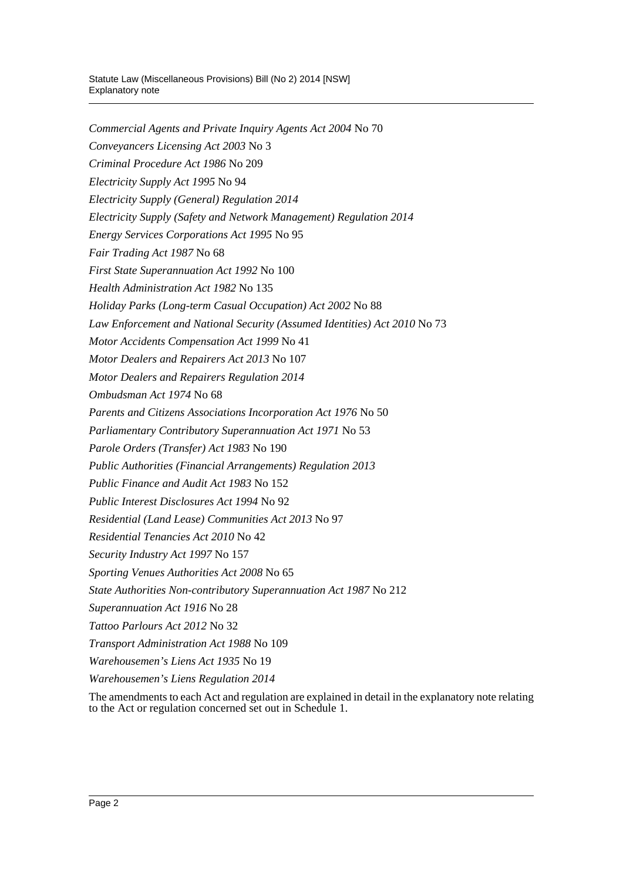*Commercial Agents and Private Inquiry Agents Act 2004* No 70 *Conveyancers Licensing Act 2003* No 3 *Criminal Procedure Act 1986* No 209 *Electricity Supply Act 1995* No 94 *Electricity Supply (General) Regulation 2014 Electricity Supply (Safety and Network Management) Regulation 2014 Energy Services Corporations Act 1995* No 95 *Fair Trading Act 1987* No 68 *First State Superannuation Act 1992* No 100 *Health Administration Act 1982* No 135 *Holiday Parks (Long-term Casual Occupation) Act 2002* No 88 *Law Enforcement and National Security (Assumed Identities) Act 2010* No 73 *Motor Accidents Compensation Act 1999* No 41 *Motor Dealers and Repairers Act 2013* No 107 *Motor Dealers and Repairers Regulation 2014 Ombudsman Act 1974* No 68 *Parents and Citizens Associations Incorporation Act 1976* No 50 *Parliamentary Contributory Superannuation Act 1971* No 53 *Parole Orders (Transfer) Act 1983* No 190 *Public Authorities (Financial Arrangements) Regulation 2013 Public Finance and Audit Act 1983* No 152 *Public Interest Disclosures Act 1994* No 92 *Residential (Land Lease) Communities Act 2013* No 97 *Residential Tenancies Act 2010* No 42 *Security Industry Act 1997* No 157 *Sporting Venues Authorities Act 2008* No 65 *State Authorities Non-contributory Superannuation Act 1987* No 212 *Superannuation Act 1916* No 28 *Tattoo Parlours Act 2012* No 32 *Transport Administration Act 1988* No 109 *Warehousemen's Liens Act 1935* No 19 *Warehousemen's Liens Regulation 2014*

The amendments to each Act and regulation are explained in detail in the explanatory note relating to the Act or regulation concerned set out in Schedule 1.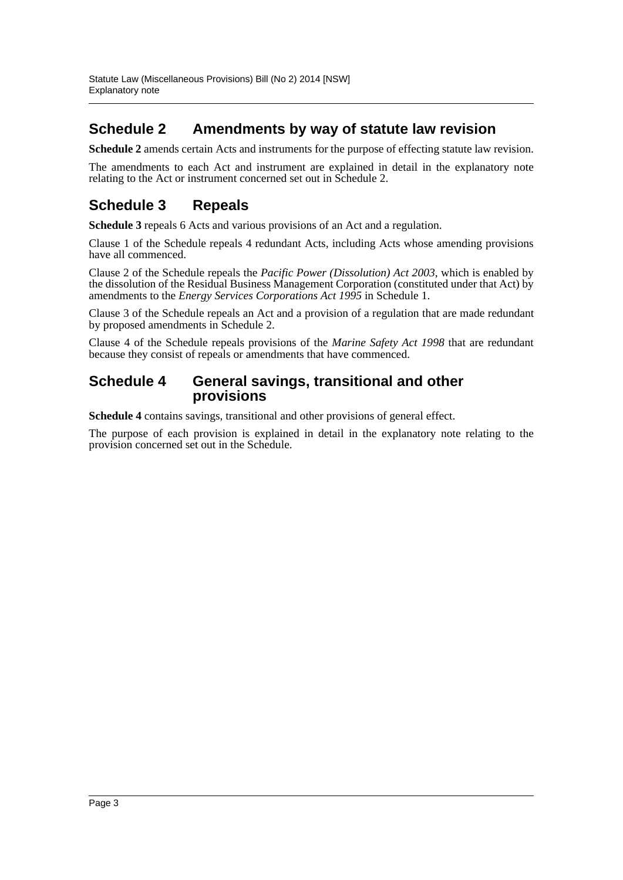### **Schedule 2 Amendments by way of statute law revision**

**Schedule 2** amends certain Acts and instruments for the purpose of effecting statute law revision.

The amendments to each Act and instrument are explained in detail in the explanatory note relating to the Act or instrument concerned set out in Schedule 2.

## **Schedule 3 Repeals**

**Schedule 3** repeals 6 Acts and various provisions of an Act and a regulation.

Clause 1 of the Schedule repeals 4 redundant Acts, including Acts whose amending provisions have all commenced.

Clause 2 of the Schedule repeals the *Pacific Power (Dissolution) Act 2003*, which is enabled by the dissolution of the Residual Business Management Corporation (constituted under that Act) by amendments to the *Energy Services Corporations Act 1995* in Schedule 1.

Clause 3 of the Schedule repeals an Act and a provision of a regulation that are made redundant by proposed amendments in Schedule 2.

Clause 4 of the Schedule repeals provisions of the *Marine Safety Act 1998* that are redundant because they consist of repeals or amendments that have commenced.

### **Schedule 4 General savings, transitional and other provisions**

**Schedule 4** contains savings, transitional and other provisions of general effect.

The purpose of each provision is explained in detail in the explanatory note relating to the provision concerned set out in the Schedule.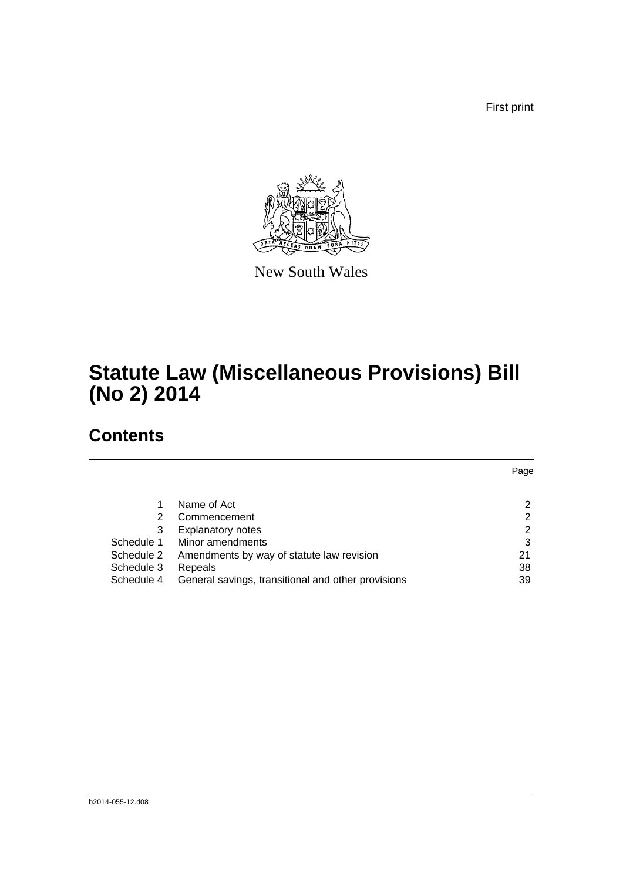First print



New South Wales

# **Statute Law (Miscellaneous Provisions) Bill (No 2) 2014**

# **Contents**

|            |                                                    | Page |
|------------|----------------------------------------------------|------|
|            |                                                    |      |
|            | Name of Act                                        | 2    |
| 2          | Commencement                                       | 2    |
| 3          | <b>Explanatory notes</b>                           | 2    |
| Schedule 1 | Minor amendments                                   | 3    |
| Schedule 2 | Amendments by way of statute law revision          | 21   |
| Schedule 3 | Repeals                                            | 38   |
| Schedule 4 | General savings, transitional and other provisions | 39   |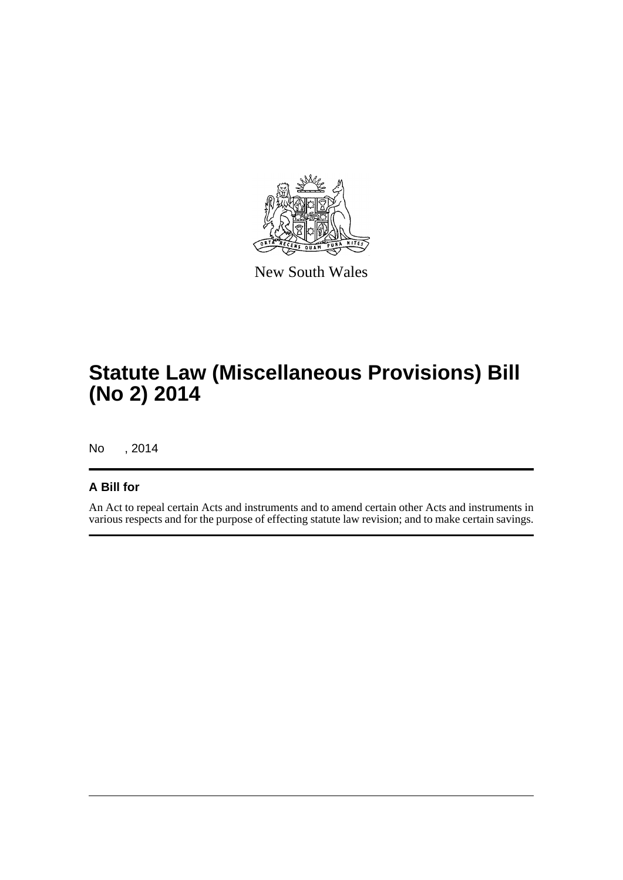

New South Wales

# **Statute Law (Miscellaneous Provisions) Bill (No 2) 2014**

No , 2014

### **A Bill for**

An Act to repeal certain Acts and instruments and to amend certain other Acts and instruments in various respects and for the purpose of effecting statute law revision; and to make certain savings.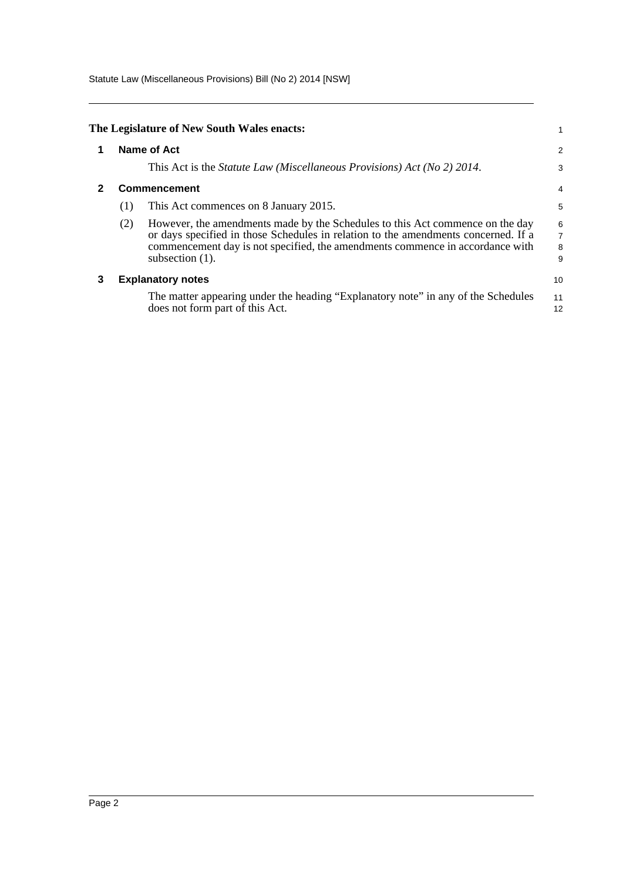Statute Law (Miscellaneous Provisions) Bill (No 2) 2014 [NSW]

<span id="page-5-2"></span><span id="page-5-1"></span><span id="page-5-0"></span>

|   |     | The Legislature of New South Wales enacts:                                                                                                                                                                                                                                 |                                                 |  |  |  |
|---|-----|----------------------------------------------------------------------------------------------------------------------------------------------------------------------------------------------------------------------------------------------------------------------------|-------------------------------------------------|--|--|--|
|   |     | Name of Act                                                                                                                                                                                                                                                                |                                                 |  |  |  |
|   |     | This Act is the Statute Law (Miscellaneous Provisions) Act (No 2) 2014.                                                                                                                                                                                                    | 3                                               |  |  |  |
|   |     | <b>Commencement</b>                                                                                                                                                                                                                                                        | 4                                               |  |  |  |
|   | (1) | This Act commences on 8 January 2015.                                                                                                                                                                                                                                      | 5                                               |  |  |  |
|   | (2) | However, the amendments made by the Schedules to this Act commence on the day<br>or days specified in those Schedules in relation to the amendments concerned. If a<br>commencement day is not specified, the amendments commence in accordance with<br>subsection $(1)$ . | $\begin{array}{c} 6 \\ 7 \\ 8 \end{array}$<br>9 |  |  |  |
| 3 |     | <b>Explanatory notes</b>                                                                                                                                                                                                                                                   | 10                                              |  |  |  |
|   |     | The matter appearing under the heading "Explanatory note" in any of the Schedules<br>does not form part of this Act.                                                                                                                                                       | 11<br>12                                        |  |  |  |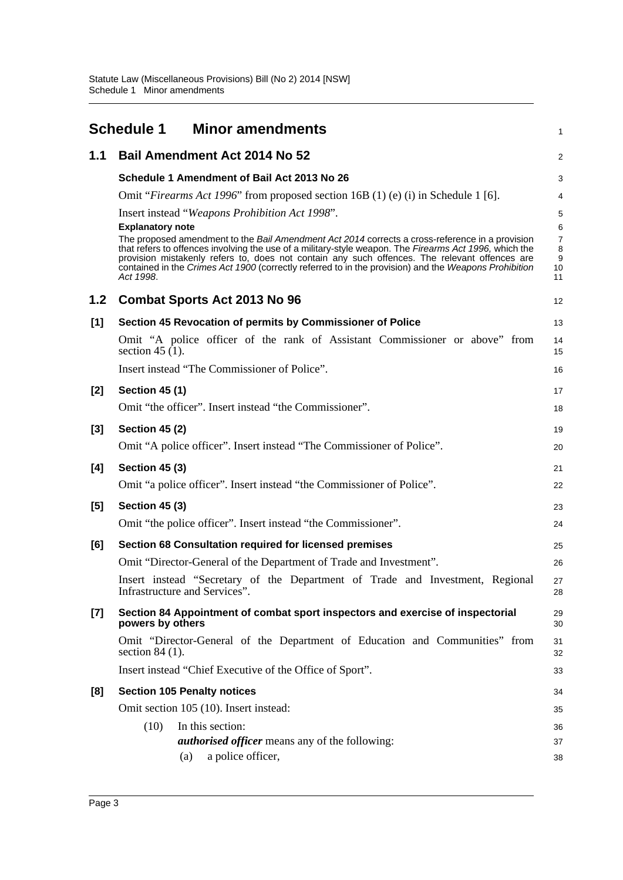<span id="page-6-0"></span>

| <b>Bail Amendment Act 2014 No 52</b><br>1.1<br>2<br>Schedule 1 Amendment of Bail Act 2013 No 26<br>3<br>Omit "Firearms Act 1996" from proposed section 16B (1) (e) (i) in Schedule 1 [6].<br>4<br>Insert instead "Weapons Prohibition Act 1998".<br>5<br><b>Explanatory note</b><br>6<br>The proposed amendment to the Bail Amendment Act 2014 corrects a cross-reference in a provision<br>$\boldsymbol{7}$<br>that refers to offences involving the use of a military-style weapon. The Firearms Act 1996, which the<br>8<br>provision mistakenly refers to, does not contain any such offences. The relevant offences are<br>$\boldsymbol{9}$<br>contained in the Crimes Act 1900 (correctly referred to in the provision) and the Weapons Prohibition<br>10<br>Act 1998.<br>11<br>1.2<br><b>Combat Sports Act 2013 No 96</b><br>12<br>[1]<br>Section 45 Revocation of permits by Commissioner of Police<br>13<br>Omit "A police officer of the rank of Assistant Commissioner or above" from<br>14<br>section 45 $(1)$ .<br>15<br>Insert instead "The Commissioner of Police".<br>16<br><b>Section 45 (1)</b><br>[2]<br>17<br>Omit "the officer". Insert instead "the Commissioner".<br>18<br><b>Section 45 (2)</b><br>$[3]$<br>19<br>Omit "A police officer". Insert instead "The Commissioner of Police".<br>20<br>[4]<br><b>Section 45 (3)</b><br>21<br>Omit "a police officer". Insert instead "the Commissioner of Police".<br>22<br>$[5]$<br><b>Section 45 (3)</b><br>23<br>Omit "the police officer". Insert instead "the Commissioner".<br>24 |
|-----------------------------------------------------------------------------------------------------------------------------------------------------------------------------------------------------------------------------------------------------------------------------------------------------------------------------------------------------------------------------------------------------------------------------------------------------------------------------------------------------------------------------------------------------------------------------------------------------------------------------------------------------------------------------------------------------------------------------------------------------------------------------------------------------------------------------------------------------------------------------------------------------------------------------------------------------------------------------------------------------------------------------------------------------------------------------------------------------------------------------------------------------------------------------------------------------------------------------------------------------------------------------------------------------------------------------------------------------------------------------------------------------------------------------------------------------------------------------------------------------------------------------------------------------------|
|                                                                                                                                                                                                                                                                                                                                                                                                                                                                                                                                                                                                                                                                                                                                                                                                                                                                                                                                                                                                                                                                                                                                                                                                                                                                                                                                                                                                                                                                                                                                                           |
|                                                                                                                                                                                                                                                                                                                                                                                                                                                                                                                                                                                                                                                                                                                                                                                                                                                                                                                                                                                                                                                                                                                                                                                                                                                                                                                                                                                                                                                                                                                                                           |
|                                                                                                                                                                                                                                                                                                                                                                                                                                                                                                                                                                                                                                                                                                                                                                                                                                                                                                                                                                                                                                                                                                                                                                                                                                                                                                                                                                                                                                                                                                                                                           |
|                                                                                                                                                                                                                                                                                                                                                                                                                                                                                                                                                                                                                                                                                                                                                                                                                                                                                                                                                                                                                                                                                                                                                                                                                                                                                                                                                                                                                                                                                                                                                           |
|                                                                                                                                                                                                                                                                                                                                                                                                                                                                                                                                                                                                                                                                                                                                                                                                                                                                                                                                                                                                                                                                                                                                                                                                                                                                                                                                                                                                                                                                                                                                                           |
|                                                                                                                                                                                                                                                                                                                                                                                                                                                                                                                                                                                                                                                                                                                                                                                                                                                                                                                                                                                                                                                                                                                                                                                                                                                                                                                                                                                                                                                                                                                                                           |
|                                                                                                                                                                                                                                                                                                                                                                                                                                                                                                                                                                                                                                                                                                                                                                                                                                                                                                                                                                                                                                                                                                                                                                                                                                                                                                                                                                                                                                                                                                                                                           |
|                                                                                                                                                                                                                                                                                                                                                                                                                                                                                                                                                                                                                                                                                                                                                                                                                                                                                                                                                                                                                                                                                                                                                                                                                                                                                                                                                                                                                                                                                                                                                           |
|                                                                                                                                                                                                                                                                                                                                                                                                                                                                                                                                                                                                                                                                                                                                                                                                                                                                                                                                                                                                                                                                                                                                                                                                                                                                                                                                                                                                                                                                                                                                                           |
|                                                                                                                                                                                                                                                                                                                                                                                                                                                                                                                                                                                                                                                                                                                                                                                                                                                                                                                                                                                                                                                                                                                                                                                                                                                                                                                                                                                                                                                                                                                                                           |
|                                                                                                                                                                                                                                                                                                                                                                                                                                                                                                                                                                                                                                                                                                                                                                                                                                                                                                                                                                                                                                                                                                                                                                                                                                                                                                                                                                                                                                                                                                                                                           |
|                                                                                                                                                                                                                                                                                                                                                                                                                                                                                                                                                                                                                                                                                                                                                                                                                                                                                                                                                                                                                                                                                                                                                                                                                                                                                                                                                                                                                                                                                                                                                           |
|                                                                                                                                                                                                                                                                                                                                                                                                                                                                                                                                                                                                                                                                                                                                                                                                                                                                                                                                                                                                                                                                                                                                                                                                                                                                                                                                                                                                                                                                                                                                                           |
|                                                                                                                                                                                                                                                                                                                                                                                                                                                                                                                                                                                                                                                                                                                                                                                                                                                                                                                                                                                                                                                                                                                                                                                                                                                                                                                                                                                                                                                                                                                                                           |
|                                                                                                                                                                                                                                                                                                                                                                                                                                                                                                                                                                                                                                                                                                                                                                                                                                                                                                                                                                                                                                                                                                                                                                                                                                                                                                                                                                                                                                                                                                                                                           |
|                                                                                                                                                                                                                                                                                                                                                                                                                                                                                                                                                                                                                                                                                                                                                                                                                                                                                                                                                                                                                                                                                                                                                                                                                                                                                                                                                                                                                                                                                                                                                           |
|                                                                                                                                                                                                                                                                                                                                                                                                                                                                                                                                                                                                                                                                                                                                                                                                                                                                                                                                                                                                                                                                                                                                                                                                                                                                                                                                                                                                                                                                                                                                                           |
| Section 68 Consultation required for licensed premises<br>[6]<br>25                                                                                                                                                                                                                                                                                                                                                                                                                                                                                                                                                                                                                                                                                                                                                                                                                                                                                                                                                                                                                                                                                                                                                                                                                                                                                                                                                                                                                                                                                       |
| Omit "Director-General of the Department of Trade and Investment".<br>26                                                                                                                                                                                                                                                                                                                                                                                                                                                                                                                                                                                                                                                                                                                                                                                                                                                                                                                                                                                                                                                                                                                                                                                                                                                                                                                                                                                                                                                                                  |
| Insert instead "Secretary of the Department of Trade and Investment, Regional<br>27<br>Infrastructure and Services".<br>28                                                                                                                                                                                                                                                                                                                                                                                                                                                                                                                                                                                                                                                                                                                                                                                                                                                                                                                                                                                                                                                                                                                                                                                                                                                                                                                                                                                                                                |
| Section 84 Appointment of combat sport inspectors and exercise of inspectorial<br>[7]<br>29<br>powers by others<br>30                                                                                                                                                                                                                                                                                                                                                                                                                                                                                                                                                                                                                                                                                                                                                                                                                                                                                                                                                                                                                                                                                                                                                                                                                                                                                                                                                                                                                                     |
| Omit "Director-General of the Department of Education and Communities" from<br>31<br>section $84(1)$ .<br>32                                                                                                                                                                                                                                                                                                                                                                                                                                                                                                                                                                                                                                                                                                                                                                                                                                                                                                                                                                                                                                                                                                                                                                                                                                                                                                                                                                                                                                              |
| Insert instead "Chief Executive of the Office of Sport".<br>33                                                                                                                                                                                                                                                                                                                                                                                                                                                                                                                                                                                                                                                                                                                                                                                                                                                                                                                                                                                                                                                                                                                                                                                                                                                                                                                                                                                                                                                                                            |
| <b>Section 105 Penalty notices</b><br>[8]<br>34                                                                                                                                                                                                                                                                                                                                                                                                                                                                                                                                                                                                                                                                                                                                                                                                                                                                                                                                                                                                                                                                                                                                                                                                                                                                                                                                                                                                                                                                                                           |
| Omit section 105 (10). Insert instead:<br>35                                                                                                                                                                                                                                                                                                                                                                                                                                                                                                                                                                                                                                                                                                                                                                                                                                                                                                                                                                                                                                                                                                                                                                                                                                                                                                                                                                                                                                                                                                              |
| In this section:<br>(10)<br>36                                                                                                                                                                                                                                                                                                                                                                                                                                                                                                                                                                                                                                                                                                                                                                                                                                                                                                                                                                                                                                                                                                                                                                                                                                                                                                                                                                                                                                                                                                                            |
| <i>authorised officer</i> means any of the following:<br>37<br>a police officer,<br>(a)<br>38                                                                                                                                                                                                                                                                                                                                                                                                                                                                                                                                                                                                                                                                                                                                                                                                                                                                                                                                                                                                                                                                                                                                                                                                                                                                                                                                                                                                                                                             |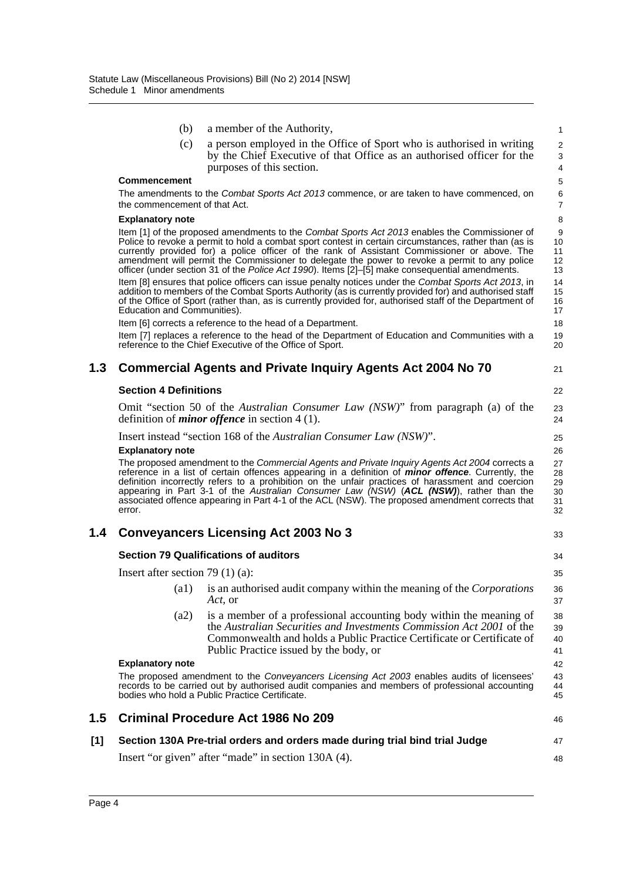|     | (b)                                   | a member of the Authority,                                                                                                                                                                                                                                                                                                                                                                                                                                                                                      | 1                                |
|-----|---------------------------------------|-----------------------------------------------------------------------------------------------------------------------------------------------------------------------------------------------------------------------------------------------------------------------------------------------------------------------------------------------------------------------------------------------------------------------------------------------------------------------------------------------------------------|----------------------------------|
|     | (c)                                   | a person employed in the Office of Sport who is authorised in writing<br>by the Chief Executive of that Office as an authorised officer for the<br>purposes of this section.                                                                                                                                                                                                                                                                                                                                    | 2<br>3<br>$\overline{4}$         |
|     | <b>Commencement</b>                   |                                                                                                                                                                                                                                                                                                                                                                                                                                                                                                                 | 5                                |
|     | the commencement of that Act.         | The amendments to the Combat Sports Act 2013 commence, or are taken to have commenced, on                                                                                                                                                                                                                                                                                                                                                                                                                       | 6<br>$\overline{7}$              |
|     | <b>Explanatory note</b>               |                                                                                                                                                                                                                                                                                                                                                                                                                                                                                                                 | 8                                |
|     |                                       | Item [1] of the proposed amendments to the Combat Sports Act 2013 enables the Commissioner of<br>Police to revoke a permit to hold a combat sport contest in certain circumstances, rather than (as is<br>currently provided for) a police officer of the rank of Assistant Commissioner or above. The<br>amendment will permit the Commissioner to delegate the power to revoke a permit to any police<br>officer (under section 31 of the Police Act 1990). Items [2]-[5] make consequential amendments.      | 9<br>10<br>11<br>12<br>13        |
|     | Education and Communities).           | Item [8] ensures that police officers can issue penalty notices under the Combat Sports Act 2013, in<br>addition to members of the Combat Sports Authority (as is currently provided for) and authorised staff<br>of the Office of Sport (rather than, as is currently provided for, authorised staff of the Department of                                                                                                                                                                                      | 14<br>15<br>16<br>17             |
|     |                                       | Item [6] corrects a reference to the head of a Department.                                                                                                                                                                                                                                                                                                                                                                                                                                                      | 18                               |
|     |                                       | Item [7] replaces a reference to the head of the Department of Education and Communities with a<br>reference to the Chief Executive of the Office of Sport.                                                                                                                                                                                                                                                                                                                                                     | 19<br>20                         |
| 1.3 |                                       | <b>Commercial Agents and Private Inquiry Agents Act 2004 No 70</b>                                                                                                                                                                                                                                                                                                                                                                                                                                              | 21                               |
|     | <b>Section 4 Definitions</b>          |                                                                                                                                                                                                                                                                                                                                                                                                                                                                                                                 | 22                               |
|     |                                       | Omit "section 50 of the <i>Australian Consumer Law (NSW)</i> " from paragraph (a) of the<br>definition of <i>minor offence</i> in section $4(1)$ .                                                                                                                                                                                                                                                                                                                                                              | 23<br>24                         |
|     |                                       | Insert instead "section 168 of the Australian Consumer Law (NSW)".                                                                                                                                                                                                                                                                                                                                                                                                                                              | 25                               |
|     | <b>Explanatory note</b>               |                                                                                                                                                                                                                                                                                                                                                                                                                                                                                                                 | 26                               |
|     | error.                                | The proposed amendment to the Commercial Agents and Private Inquiry Agents Act 2004 corrects a<br>reference in a list of certain offences appearing in a definition of <i>minor offence</i> . Currently, the<br>definition incorrectly refers to a prohibition on the unfair practices of harassment and coercion<br>appearing in Part 3-1 of the Australian Consumer Law (NSW) (ACL (NSW)), rather than the<br>associated offence appearing in Part 4-1 of the ACL (NSW). The proposed amendment corrects that | 27<br>28<br>29<br>30<br>31<br>32 |
| 1.4 |                                       | <b>Conveyancers Licensing Act 2003 No 3</b>                                                                                                                                                                                                                                                                                                                                                                                                                                                                     | 33                               |
|     |                                       | <b>Section 79 Qualifications of auditors</b>                                                                                                                                                                                                                                                                                                                                                                                                                                                                    | 34                               |
|     | Insert after section 79 $(1)$ $(a)$ : |                                                                                                                                                                                                                                                                                                                                                                                                                                                                                                                 | 35                               |
|     | $(a1)$ is                             | is an authorised audit company within the meaning of the Corporations<br>Act, or                                                                                                                                                                                                                                                                                                                                                                                                                                | 36<br>37                         |
|     | (a2)                                  | is a member of a professional accounting body within the meaning of<br>the Australian Securities and Investments Commission Act 2001 of the<br>Commonwealth and holds a Public Practice Certificate or Certificate of<br>Public Practice issued by the body, or                                                                                                                                                                                                                                                 | 38<br>39<br>40<br>41             |
|     | <b>Explanatory note</b>               |                                                                                                                                                                                                                                                                                                                                                                                                                                                                                                                 | 42                               |
|     |                                       | The proposed amendment to the Conveyancers Licensing Act 2003 enables audits of licensees'<br>records to be carried out by authorised audit companies and members of professional accounting<br>bodies who hold a Public Practice Certificate.                                                                                                                                                                                                                                                                  | 43<br>44<br>45                   |
| 1.5 |                                       | <b>Criminal Procedure Act 1986 No 209</b>                                                                                                                                                                                                                                                                                                                                                                                                                                                                       | 46                               |
| [1] |                                       | Section 130A Pre-trial orders and orders made during trial bind trial Judge                                                                                                                                                                                                                                                                                                                                                                                                                                     | 47                               |
|     |                                       | Insert "or given" after "made" in section 130A (4).                                                                                                                                                                                                                                                                                                                                                                                                                                                             | 48                               |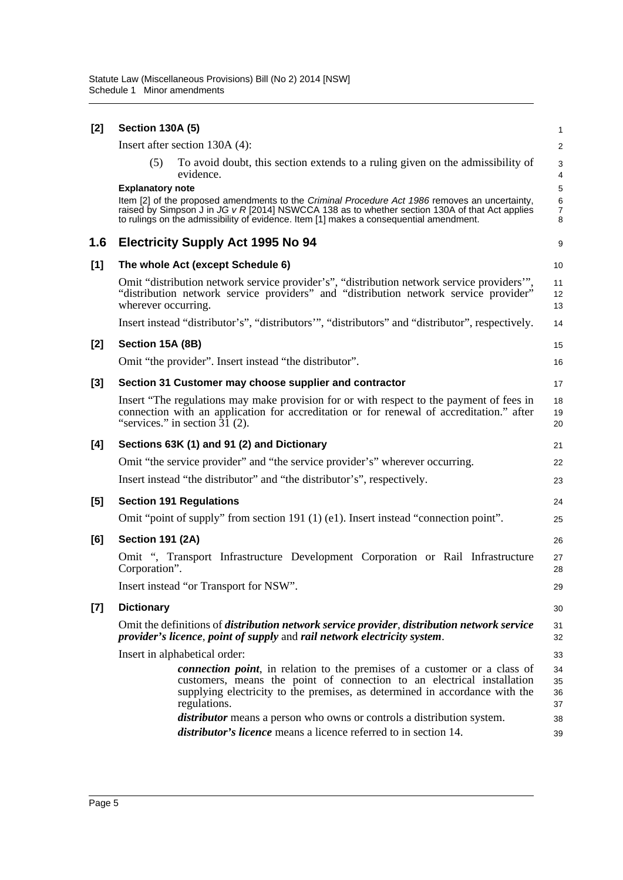| [2]   | <b>Section 130A (5)</b> |                                                                                                                                                                                                                                                                                              | 1                                               |
|-------|-------------------------|----------------------------------------------------------------------------------------------------------------------------------------------------------------------------------------------------------------------------------------------------------------------------------------------|-------------------------------------------------|
|       |                         | Insert after section 130A (4):                                                                                                                                                                                                                                                               | $\overline{\mathbf{c}}$                         |
|       | (5)                     | To avoid doubt, this section extends to a ruling given on the admissibility of<br>evidence.                                                                                                                                                                                                  | 3<br>4                                          |
|       | <b>Explanatory note</b> | Item [2] of the proposed amendments to the Criminal Procedure Act 1986 removes an uncertainty,<br>raised by Simpson J in $JG$ v R [2014] NSWCCA 138 as to whether section 130A of that Act applies<br>to rulings on the admissibility of evidence. Item [1] makes a consequential amendment. | 5<br>$\begin{array}{c} 6 \\ 7 \end{array}$<br>8 |
| 1.6   |                         | <b>Electricity Supply Act 1995 No 94</b>                                                                                                                                                                                                                                                     | 9                                               |
| [1]   |                         | The whole Act (except Schedule 6)                                                                                                                                                                                                                                                            | 10                                              |
|       | wherever occurring.     | Omit "distribution network service provider's", "distribution network service providers"",<br>"distribution network service providers" and "distribution network service provider"                                                                                                           | 11<br>12<br>13                                  |
|       |                         | Insert instead "distributor's", "distributors", "distributors" and "distributor", respectively.                                                                                                                                                                                              | 14                                              |
| [2]   | Section 15A (8B)        |                                                                                                                                                                                                                                                                                              | 15                                              |
|       |                         | Omit "the provider". Insert instead "the distributor".                                                                                                                                                                                                                                       | 16                                              |
| [3]   |                         | Section 31 Customer may choose supplier and contractor                                                                                                                                                                                                                                       | 17                                              |
|       |                         | Insert "The regulations may make provision for or with respect to the payment of fees in<br>connection with an application for accreditation or for renewal of accreditation." after<br>"services." in section $3\overline{1}$ (2).                                                          | 18<br>19<br>20                                  |
| [4]   |                         | Sections 63K (1) and 91 (2) and Dictionary                                                                                                                                                                                                                                                   | 21                                              |
|       |                         | Omit "the service provider" and "the service provider's" wherever occurring.                                                                                                                                                                                                                 | 22                                              |
|       |                         | Insert instead "the distributor" and "the distributor's", respectively.                                                                                                                                                                                                                      | 23                                              |
| [5]   |                         | <b>Section 191 Regulations</b>                                                                                                                                                                                                                                                               | 24                                              |
|       |                         | Omit "point of supply" from section 191 (1) (e1). Insert instead "connection point".                                                                                                                                                                                                         | 25                                              |
| [6]   | <b>Section 191 (2A)</b> |                                                                                                                                                                                                                                                                                              | 26                                              |
|       | Corporation".           | Omit ", Transport Infrastructure Development Corporation or Rail Infrastructure                                                                                                                                                                                                              | 27<br>28                                        |
|       |                         | Insert instead "or Transport for NSW"                                                                                                                                                                                                                                                        | 29                                              |
| $[7]$ | <b>Dictionary</b>       |                                                                                                                                                                                                                                                                                              | 30                                              |
|       |                         | Omit the definitions of <i>distribution network service provider</i> , <i>distribution network service</i><br>provider's licence, point of supply and rail network electricity system.                                                                                                       | 31<br>32                                        |
|       |                         | Insert in alphabetical order:                                                                                                                                                                                                                                                                | 33                                              |
|       |                         | <i>connection point</i> , in relation to the premises of a customer or a class of<br>customers, means the point of connection to an electrical installation<br>supplying electricity to the premises, as determined in accordance with the<br>regulations.                                   | 34<br>35<br>36<br>37                            |
|       |                         | <i>distributor</i> means a person who owns or controls a distribution system.                                                                                                                                                                                                                | 38                                              |
|       |                         | <i>distributor's licence</i> means a licence referred to in section 14.                                                                                                                                                                                                                      | 39                                              |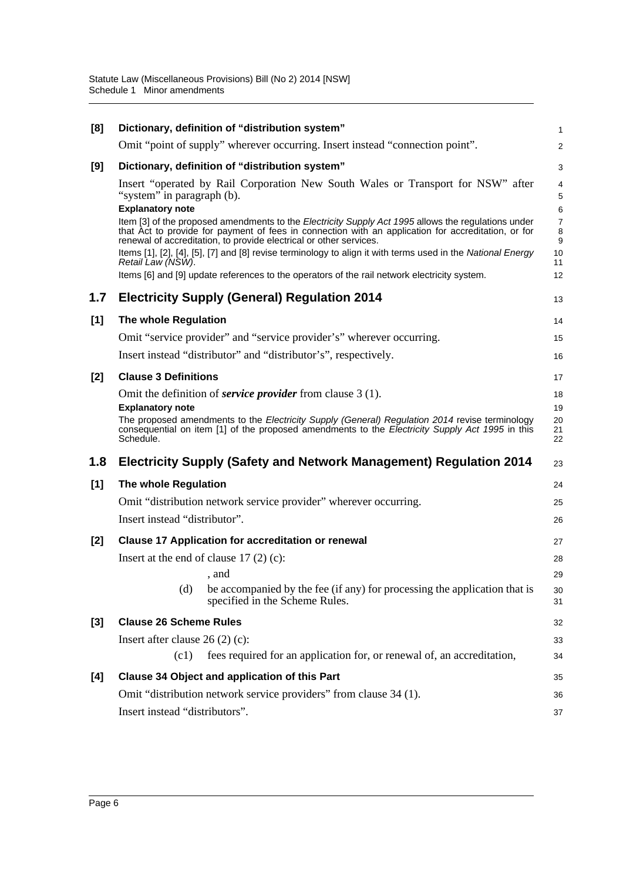| [8]   |                                                       | Dictionary, definition of "distribution system"                                                                                                                                                                                                                                  | 1                    |
|-------|-------------------------------------------------------|----------------------------------------------------------------------------------------------------------------------------------------------------------------------------------------------------------------------------------------------------------------------------------|----------------------|
|       |                                                       | Omit "point of supply" wherever occurring. Insert instead "connection point".                                                                                                                                                                                                    | $\overline{c}$       |
| [9]   |                                                       | Dictionary, definition of "distribution system"                                                                                                                                                                                                                                  | 3                    |
|       | "system" in paragraph (b).<br><b>Explanatory note</b> | Insert "operated by Rail Corporation New South Wales or Transport for NSW" after                                                                                                                                                                                                 | 4<br>5<br>6          |
|       |                                                       | Item [3] of the proposed amendments to the Electricity Supply Act 1995 allows the regulations under<br>that Act to provide for payment of fees in connection with an application for accreditation, or for<br>renewal of accreditation, to provide electrical or other services. | 7<br>8<br>9          |
|       | Retail Law (NSW).                                     | Items [1], [2], [4], [5], [7] and [8] revise terminology to align it with terms used in the National Energy                                                                                                                                                                      | 10<br>11             |
|       |                                                       | Items [6] and [9] update references to the operators of the rail network electricity system.                                                                                                                                                                                     | 12                   |
| 1.7   |                                                       | <b>Electricity Supply (General) Regulation 2014</b>                                                                                                                                                                                                                              | 13                   |
| [1]   | The whole Regulation                                  |                                                                                                                                                                                                                                                                                  | 14                   |
|       |                                                       | Omit "service provider" and "service provider's" wherever occurring.                                                                                                                                                                                                             | 15                   |
|       |                                                       | Insert instead "distributor" and "distributor's", respectively.                                                                                                                                                                                                                  | 16                   |
| $[2]$ | <b>Clause 3 Definitions</b>                           |                                                                                                                                                                                                                                                                                  | 17                   |
|       | <b>Explanatory note</b><br>Schedule.                  | Omit the definition of <i>service provider</i> from clause $3(1)$ .<br>The proposed amendments to the Electricity Supply (General) Regulation 2014 revise terminology<br>consequential on item [1] of the proposed amendments to the Electricity Supply Act 1995 in this         | 18<br>19<br>20<br>21 |
| 1.8   |                                                       | Electricity Supply (Safety and Network Management) Regulation 2014                                                                                                                                                                                                               | 22<br>23             |
| [1]   | The whole Regulation                                  |                                                                                                                                                                                                                                                                                  | 24                   |
|       |                                                       | Omit "distribution network service provider" wherever occurring.                                                                                                                                                                                                                 | 25                   |
|       | Insert instead "distributor".                         |                                                                                                                                                                                                                                                                                  | 26                   |
| $[2]$ |                                                       | <b>Clause 17 Application for accreditation or renewal</b>                                                                                                                                                                                                                        | 27                   |
|       | Insert at the end of clause $17(2)(c)$ :              | , and                                                                                                                                                                                                                                                                            | 28<br>29             |
|       | (d)                                                   | be accompanied by the fee (if any) for processing the application that is<br>specified in the Scheme Rules.                                                                                                                                                                      | 30<br>31             |
| [3]   | <b>Clause 26 Scheme Rules</b>                         |                                                                                                                                                                                                                                                                                  | 32                   |
|       | Insert after clause $26(2)(c)$ :                      |                                                                                                                                                                                                                                                                                  | 33                   |
|       | (c1)                                                  | fees required for an application for, or renewal of, an accreditation,                                                                                                                                                                                                           | 34                   |
| [4]   |                                                       | Clause 34 Object and application of this Part                                                                                                                                                                                                                                    | 35                   |
|       |                                                       | Omit "distribution network service providers" from clause 34 (1).                                                                                                                                                                                                                | 36                   |
|       | Insert instead "distributors".                        |                                                                                                                                                                                                                                                                                  | 37                   |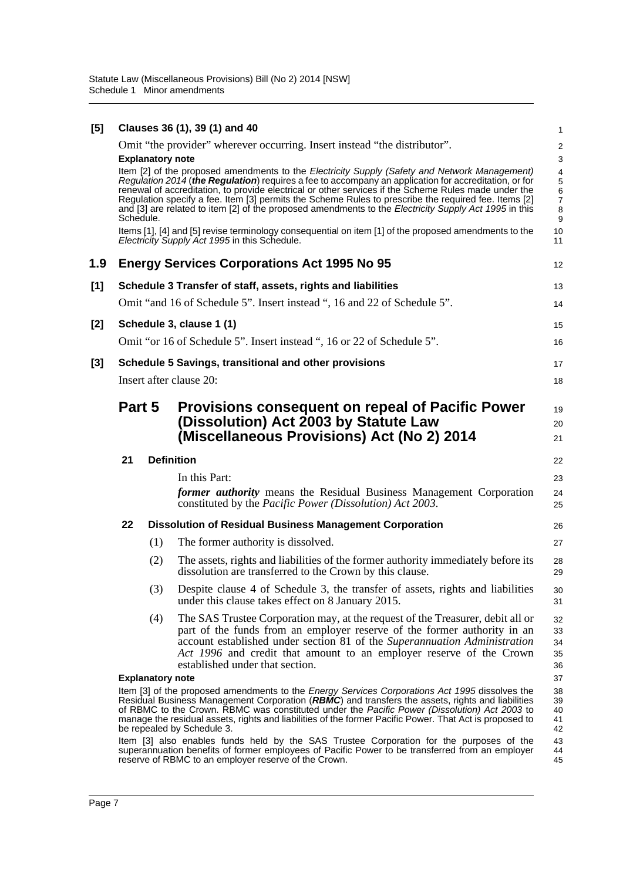| [5]   |           |                         | Clauses 36 (1), 39 (1) and 40                                                                                                                                                                                                                                                                                                                                                                                                                                                                                                                                                                                                            | 1                                                                 |  |
|-------|-----------|-------------------------|------------------------------------------------------------------------------------------------------------------------------------------------------------------------------------------------------------------------------------------------------------------------------------------------------------------------------------------------------------------------------------------------------------------------------------------------------------------------------------------------------------------------------------------------------------------------------------------------------------------------------------------|-------------------------------------------------------------------|--|
|       |           |                         | Omit "the provider" wherever occurring. Insert instead "the distributor".                                                                                                                                                                                                                                                                                                                                                                                                                                                                                                                                                                | $\overline{2}$                                                    |  |
|       | Schedule. | <b>Explanatory note</b> | Item [2] of the proposed amendments to the Electricity Supply (Safety and Network Management)<br>Regulation 2014 (the Regulation) requires a fee to accompany an application for accreditation, or for<br>renewal of accreditation, to provide electrical or other services if the Scheme Rules made under the<br>Regulation specify a fee. Item [3] permits the Scheme Rules to prescribe the required fee. Items [2]<br>and [3] are related to item [2] of the proposed amendments to the Electricity Supply Act 1995 in this<br>Items [1], [4] and [5] revise terminology consequential on item [1] of the proposed amendments to the | 3<br>4<br>5<br>6<br>$\overline{7}$<br>8<br>$\boldsymbol{9}$<br>10 |  |
|       |           |                         | Electricity Supply Act 1995 in this Schedule.                                                                                                                                                                                                                                                                                                                                                                                                                                                                                                                                                                                            | 11                                                                |  |
| 1.9   |           |                         | <b>Energy Services Corporations Act 1995 No 95</b>                                                                                                                                                                                                                                                                                                                                                                                                                                                                                                                                                                                       | 12                                                                |  |
| $[1]$ |           |                         | Schedule 3 Transfer of staff, assets, rights and liabilities                                                                                                                                                                                                                                                                                                                                                                                                                                                                                                                                                                             | 13                                                                |  |
|       |           |                         | Omit "and 16 of Schedule 5". Insert instead ", 16 and 22 of Schedule 5".                                                                                                                                                                                                                                                                                                                                                                                                                                                                                                                                                                 | 14                                                                |  |
| $[2]$ |           |                         | Schedule 3, clause 1 (1)                                                                                                                                                                                                                                                                                                                                                                                                                                                                                                                                                                                                                 | 15                                                                |  |
|       |           |                         | Omit "or 16 of Schedule 5". Insert instead ", 16 or 22 of Schedule 5".                                                                                                                                                                                                                                                                                                                                                                                                                                                                                                                                                                   | 16                                                                |  |
| $[3]$ |           |                         | Schedule 5 Savings, transitional and other provisions                                                                                                                                                                                                                                                                                                                                                                                                                                                                                                                                                                                    | 17                                                                |  |
|       |           |                         | Insert after clause 20:                                                                                                                                                                                                                                                                                                                                                                                                                                                                                                                                                                                                                  | 18                                                                |  |
|       | Part 5    |                         | <b>Provisions consequent on repeal of Pacific Power</b><br>(Dissolution) Act 2003 by Statute Law<br>(Miscellaneous Provisions) Act (No 2) 2014                                                                                                                                                                                                                                                                                                                                                                                                                                                                                           | 19<br>20<br>21                                                    |  |
|       | 21        |                         | <b>Definition</b>                                                                                                                                                                                                                                                                                                                                                                                                                                                                                                                                                                                                                        |                                                                   |  |
|       |           |                         | In this Part:<br><i>former authority</i> means the Residual Business Management Corporation<br>constituted by the <i>Pacific Power (Dissolution)</i> Act 2003.                                                                                                                                                                                                                                                                                                                                                                                                                                                                           | 23<br>24<br>25                                                    |  |
|       | 22        |                         | <b>Dissolution of Residual Business Management Corporation</b>                                                                                                                                                                                                                                                                                                                                                                                                                                                                                                                                                                           | 26                                                                |  |
|       |           | (1)                     | The former authority is dissolved.                                                                                                                                                                                                                                                                                                                                                                                                                                                                                                                                                                                                       | 27                                                                |  |
|       |           | (2)                     | The assets, rights and liabilities of the former authority immediately before its<br>dissolution are transferred to the Crown by this clause.                                                                                                                                                                                                                                                                                                                                                                                                                                                                                            | 28<br>29                                                          |  |
|       |           | (3)                     | Despite clause 4 of Schedule 3, the transfer of assets, rights and liabilities<br>under this clause takes effect on 8 January 2015.                                                                                                                                                                                                                                                                                                                                                                                                                                                                                                      | 30<br>31                                                          |  |
|       |           | (4)                     | The SAS Trustee Corporation may, at the request of the Treasurer, debit all or<br>part of the funds from an employer reserve of the former authority in an<br>account established under section 81 of the Superannuation Administration<br>Act 1996 and credit that amount to an employer reserve of the Crown<br>established under that section.                                                                                                                                                                                                                                                                                        | 32<br>33<br>34<br>35<br>36                                        |  |
|       |           | <b>Explanatory note</b> |                                                                                                                                                                                                                                                                                                                                                                                                                                                                                                                                                                                                                                          | 37                                                                |  |
|       |           |                         | Item [3] of the proposed amendments to the Energy Services Corporations Act 1995 dissolves the<br>Residual Business Management Corporation (RBNIC) and transfers the assets, rights and liabilities<br>of RBMC to the Crown. RBMC was constituted under the Pacific Power (Dissolution) Act 2003 to<br>manage the residual assets, rights and liabilities of the former Pacific Power. That Act is proposed to<br>be repealed by Schedule 3.                                                                                                                                                                                             | 38<br>39<br>40<br>41<br>42                                        |  |
|       |           |                         | Item [3] also enables funds held by the SAS Trustee Corporation for the purposes of the<br>superannuation benefits of former employees of Pacific Power to be transferred from an employer<br>reserve of RBMC to an employer reserve of the Crown.                                                                                                                                                                                                                                                                                                                                                                                       | 43<br>44<br>45                                                    |  |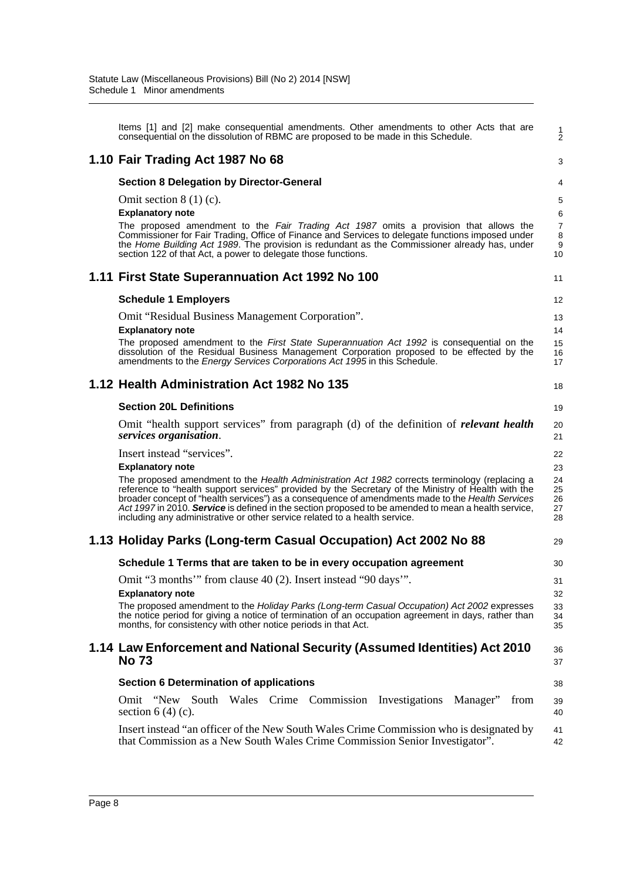| Items [1] and [2] make consequential amendments. Other amendments to other Acts that are<br>consequential on the dissolution of RBMC are proposed to be made in this Schedule.                                                                                                                                                                                                                                                                                                                                                                           | 1<br>$\overline{2}$                      |
|----------------------------------------------------------------------------------------------------------------------------------------------------------------------------------------------------------------------------------------------------------------------------------------------------------------------------------------------------------------------------------------------------------------------------------------------------------------------------------------------------------------------------------------------------------|------------------------------------------|
| 1.10 Fair Trading Act 1987 No 68                                                                                                                                                                                                                                                                                                                                                                                                                                                                                                                         | 3                                        |
| <b>Section 8 Delegation by Director-General</b>                                                                                                                                                                                                                                                                                                                                                                                                                                                                                                          | 4                                        |
| Omit section $8(1)(c)$ .<br><b>Explanatory note</b><br>The proposed amendment to the Fair Trading Act 1987 omits a provision that allows the<br>Commissioner for Fair Trading, Office of Finance and Services to delegate functions imposed under<br>the Home Building Act 1989. The provision is redundant as the Commissioner already has, under<br>section 122 of that Act, a power to delegate those functions.                                                                                                                                      | 5<br>6<br>$\overline{7}$<br>8<br>9<br>10 |
| 1.11 First State Superannuation Act 1992 No 100                                                                                                                                                                                                                                                                                                                                                                                                                                                                                                          | 11                                       |
| <b>Schedule 1 Employers</b>                                                                                                                                                                                                                                                                                                                                                                                                                                                                                                                              | 12                                       |
| Omit "Residual Business Management Corporation".<br><b>Explanatory note</b><br>The proposed amendment to the <i>First State Superannuation Act 1992</i> is consequential on the<br>dissolution of the Residual Business Management Corporation proposed to be effected by the<br>amendments to the <i>Energy Services Corporations Act 1995</i> in this Schedule.                                                                                                                                                                                        | 13<br>14<br>15<br>16<br>17               |
| 1.12 Health Administration Act 1982 No 135                                                                                                                                                                                                                                                                                                                                                                                                                                                                                                               | 18                                       |
| <b>Section 20L Definitions</b>                                                                                                                                                                                                                                                                                                                                                                                                                                                                                                                           | 19                                       |
| Omit "health support services" from paragraph (d) of the definition of <i>relevant health</i><br>services organisation.                                                                                                                                                                                                                                                                                                                                                                                                                                  | 20<br>21                                 |
| Insert instead "services".<br><b>Explanatory note</b><br>The proposed amendment to the Health Administration Act 1982 corrects terminology (replacing a<br>reference to "health support services" provided by the Secretary of the Ministry of Health with the<br>broader concept of "health services") as a consequence of amendments made to the Health Services<br>Act 1997 in 2010. Service is defined in the section proposed to be amended to mean a health service,<br>including any administrative or other service related to a health service. | 22<br>23<br>24<br>25<br>26<br>27<br>28   |
| 1.13 Holiday Parks (Long-term Casual Occupation) Act 2002 No 88                                                                                                                                                                                                                                                                                                                                                                                                                                                                                          | 29                                       |
| Schedule 1 Terms that are taken to be in every occupation agreement                                                                                                                                                                                                                                                                                                                                                                                                                                                                                      | 30                                       |
| Omit "3 months" from clause 40 (2). Insert instead "90 days".<br><b>Explanatory note</b><br>The proposed amendment to the Holiday Parks (Long-term Casual Occupation) Act 2002 expresses<br>the notice period for giving a notice of termination of an occupation agreement in days, rather than<br>months, for consistency with other notice periods in that Act.                                                                                                                                                                                       | 31<br>32<br>33<br>34<br>35               |
| 1.14 Law Enforcement and National Security (Assumed Identities) Act 2010<br><b>No 73</b>                                                                                                                                                                                                                                                                                                                                                                                                                                                                 | 36<br>37                                 |
| <b>Section 6 Determination of applications</b>                                                                                                                                                                                                                                                                                                                                                                                                                                                                                                           | 38                                       |
| Omit "New South<br>Wales Crime Commission Investigations<br>Manager"<br>from<br>section $6(4)(c)$ .                                                                                                                                                                                                                                                                                                                                                                                                                                                      | 39<br>40                                 |
| Insert instead "an officer of the New South Wales Crime Commission who is designated by<br>that Commission as a New South Wales Crime Commission Senior Investigator".                                                                                                                                                                                                                                                                                                                                                                                   | 41<br>42                                 |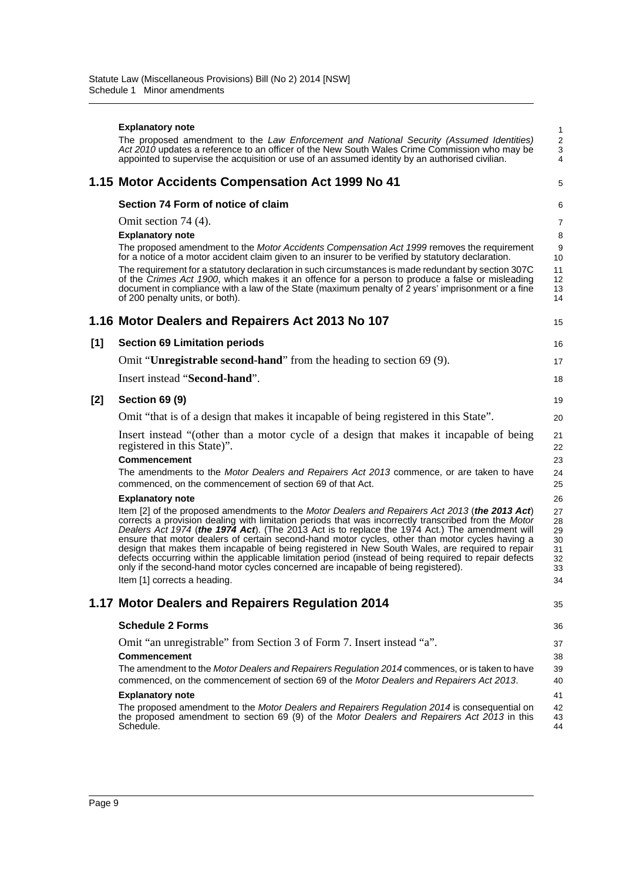|     | <b>Explanatory note</b>                                                                                                                                                                                                                                                                                                                                                                                                                                                                                                                                                                                                                                                                                                                        | 1                                            |
|-----|------------------------------------------------------------------------------------------------------------------------------------------------------------------------------------------------------------------------------------------------------------------------------------------------------------------------------------------------------------------------------------------------------------------------------------------------------------------------------------------------------------------------------------------------------------------------------------------------------------------------------------------------------------------------------------------------------------------------------------------------|----------------------------------------------|
|     | The proposed amendment to the Law Enforcement and National Security (Assumed Identities)<br>Act 2010 updates a reference to an officer of the New South Wales Crime Commission who may be<br>appointed to supervise the acquisition or use of an assumed identity by an authorised civilian.                                                                                                                                                                                                                                                                                                                                                                                                                                                   | $\sqrt{2}$<br>$\sqrt{3}$<br>$\overline{4}$   |
|     | 1.15 Motor Accidents Compensation Act 1999 No 41                                                                                                                                                                                                                                                                                                                                                                                                                                                                                                                                                                                                                                                                                               | 5                                            |
|     | Section 74 Form of notice of claim                                                                                                                                                                                                                                                                                                                                                                                                                                                                                                                                                                                                                                                                                                             | 6                                            |
|     | Omit section 74 (4).                                                                                                                                                                                                                                                                                                                                                                                                                                                                                                                                                                                                                                                                                                                           | $\overline{7}$                               |
|     | <b>Explanatory note</b>                                                                                                                                                                                                                                                                                                                                                                                                                                                                                                                                                                                                                                                                                                                        | 8                                            |
|     | The proposed amendment to the Motor Accidents Compensation Act 1999 removes the requirement<br>for a notice of a motor accident claim given to an insurer to be verified by statutory declaration.                                                                                                                                                                                                                                                                                                                                                                                                                                                                                                                                             | 9<br>10                                      |
|     | The requirement for a statutory declaration in such circumstances is made redundant by section 307C<br>of the Crimes Act 1900, which makes it an offence for a person to produce a false or misleading<br>document in compliance with a law of the State (maximum penalty of 2 years' imprisonment or a fine<br>of 200 penalty units, or both).                                                                                                                                                                                                                                                                                                                                                                                                | 11<br>12<br>13<br>14                         |
|     | 1.16 Motor Dealers and Repairers Act 2013 No 107                                                                                                                                                                                                                                                                                                                                                                                                                                                                                                                                                                                                                                                                                               | 15                                           |
| [1] | <b>Section 69 Limitation periods</b>                                                                                                                                                                                                                                                                                                                                                                                                                                                                                                                                                                                                                                                                                                           | 16                                           |
|     | Omit " <b>Unregistrable second-hand</b> " from the heading to section 69 (9).                                                                                                                                                                                                                                                                                                                                                                                                                                                                                                                                                                                                                                                                  | 17                                           |
|     | Insert instead "Second-hand".                                                                                                                                                                                                                                                                                                                                                                                                                                                                                                                                                                                                                                                                                                                  | 18                                           |
| [2] | <b>Section 69 (9)</b>                                                                                                                                                                                                                                                                                                                                                                                                                                                                                                                                                                                                                                                                                                                          | 19                                           |
|     | Omit "that is of a design that makes it incapable of being registered in this State".                                                                                                                                                                                                                                                                                                                                                                                                                                                                                                                                                                                                                                                          | 20                                           |
|     | Insert instead "(other than a motor cycle of a design that makes it incapable of being<br>registered in this State)".                                                                                                                                                                                                                                                                                                                                                                                                                                                                                                                                                                                                                          | 21<br>22                                     |
|     | <b>Commencement</b>                                                                                                                                                                                                                                                                                                                                                                                                                                                                                                                                                                                                                                                                                                                            | 23                                           |
|     | The amendments to the Motor Dealers and Repairers Act 2013 commence, or are taken to have<br>commenced, on the commencement of section 69 of that Act.                                                                                                                                                                                                                                                                                                                                                                                                                                                                                                                                                                                         | 24<br>25                                     |
|     | <b>Explanatory note</b>                                                                                                                                                                                                                                                                                                                                                                                                                                                                                                                                                                                                                                                                                                                        | 26                                           |
|     | Item [2] of the proposed amendments to the Motor Dealers and Repairers Act 2013 (the 2013 Act)<br>corrects a provision dealing with limitation periods that was incorrectly transcribed from the Motor<br>Dealers Act 1974 (the 1974 Act). (The 2013 Act is to replace the 1974 Act.) The amendment will<br>ensure that motor dealers of certain second-hand motor cycles, other than motor cycles having a<br>design that makes them incapable of being registered in New South Wales, are required to repair<br>defects occurring within the applicable limitation period (instead of being required to repair defects<br>only if the second-hand motor cycles concerned are incapable of being registered).<br>Item [1] corrects a heading. | 27<br>28<br>29<br>30<br>31<br>32<br>33<br>34 |
|     |                                                                                                                                                                                                                                                                                                                                                                                                                                                                                                                                                                                                                                                                                                                                                |                                              |
|     | 1.17 Motor Dealers and Repairers Regulation 2014                                                                                                                                                                                                                                                                                                                                                                                                                                                                                                                                                                                                                                                                                               | 35                                           |
|     | <b>Schedule 2 Forms</b>                                                                                                                                                                                                                                                                                                                                                                                                                                                                                                                                                                                                                                                                                                                        | 36                                           |
|     | Omit "an unregistrable" from Section 3 of Form 7. Insert instead "a".<br><b>Commencement</b><br>The amendment to the Motor Dealers and Repairers Regulation 2014 commences, or is taken to have                                                                                                                                                                                                                                                                                                                                                                                                                                                                                                                                                | 37<br>38<br>39                               |
|     | commenced, on the commencement of section 69 of the Motor Dealers and Repairers Act 2013.                                                                                                                                                                                                                                                                                                                                                                                                                                                                                                                                                                                                                                                      | 40                                           |
|     | <b>Explanatory note</b><br>The proposed amendment to the Motor Dealers and Repairers Regulation 2014 is consequential on<br>the proposed amendment to section 69 (9) of the Motor Dealers and Repairers Act 2013 in this<br>Schedule.                                                                                                                                                                                                                                                                                                                                                                                                                                                                                                          | 41<br>42<br>43<br>44                         |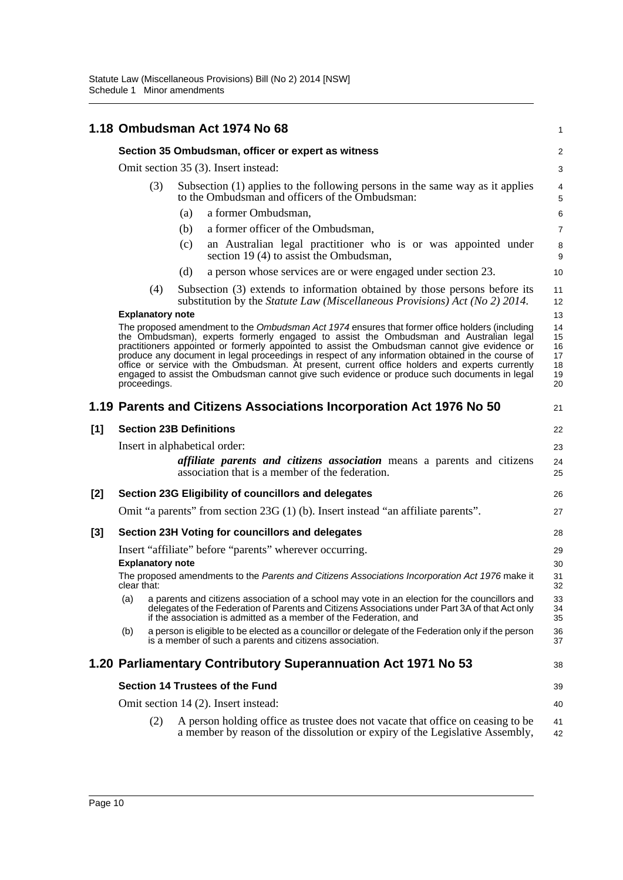|                                                                                                                                                                                          | 1.18 Ombudsman Act 1974 No 68                                                                                                                                                                                              |                         |     |                                                                                                                                                                                                                                                                                                                                                                                                                                                                                                                                                                                                 |                                        |  |  |
|------------------------------------------------------------------------------------------------------------------------------------------------------------------------------------------|----------------------------------------------------------------------------------------------------------------------------------------------------------------------------------------------------------------------------|-------------------------|-----|-------------------------------------------------------------------------------------------------------------------------------------------------------------------------------------------------------------------------------------------------------------------------------------------------------------------------------------------------------------------------------------------------------------------------------------------------------------------------------------------------------------------------------------------------------------------------------------------------|----------------------------------------|--|--|
|                                                                                                                                                                                          | Section 35 Ombudsman, officer or expert as witness                                                                                                                                                                         |                         |     |                                                                                                                                                                                                                                                                                                                                                                                                                                                                                                                                                                                                 |                                        |  |  |
|                                                                                                                                                                                          |                                                                                                                                                                                                                            |                         |     | Omit section 35 (3). Insert instead:                                                                                                                                                                                                                                                                                                                                                                                                                                                                                                                                                            | 3                                      |  |  |
|                                                                                                                                                                                          |                                                                                                                                                                                                                            | (3)                     |     | Subsection (1) applies to the following persons in the same way as it applies<br>to the Ombudsman and officers of the Ombudsman:                                                                                                                                                                                                                                                                                                                                                                                                                                                                | 4<br>5                                 |  |  |
|                                                                                                                                                                                          |                                                                                                                                                                                                                            |                         | (a) | a former Ombudsman,                                                                                                                                                                                                                                                                                                                                                                                                                                                                                                                                                                             | 6                                      |  |  |
|                                                                                                                                                                                          |                                                                                                                                                                                                                            |                         | (b) | a former officer of the Ombudsman,                                                                                                                                                                                                                                                                                                                                                                                                                                                                                                                                                              | $\overline{7}$                         |  |  |
|                                                                                                                                                                                          |                                                                                                                                                                                                                            |                         | (c) | an Australian legal practitioner who is or was appointed under<br>section 19 (4) to assist the Ombudsman,                                                                                                                                                                                                                                                                                                                                                                                                                                                                                       | 8<br>9                                 |  |  |
|                                                                                                                                                                                          |                                                                                                                                                                                                                            |                         | (d) | a person whose services are or were engaged under section 23.                                                                                                                                                                                                                                                                                                                                                                                                                                                                                                                                   | 10                                     |  |  |
| Subsection (3) extends to information obtained by those persons before its<br>(4)<br>substitution by the <i>Statute Law</i> ( <i>Miscellaneous Provisions</i> ) Act ( <i>No</i> 2) 2014. |                                                                                                                                                                                                                            |                         |     |                                                                                                                                                                                                                                                                                                                                                                                                                                                                                                                                                                                                 |                                        |  |  |
|                                                                                                                                                                                          |                                                                                                                                                                                                                            | <b>Explanatory note</b> |     |                                                                                                                                                                                                                                                                                                                                                                                                                                                                                                                                                                                                 | 13                                     |  |  |
|                                                                                                                                                                                          |                                                                                                                                                                                                                            | proceedings.            |     | The proposed amendment to the Ombudsman Act 1974 ensures that former office holders (including<br>the Ombudsman), experts formerly engaged to assist the Ombudsman and Australian legal<br>practitioners appointed or formerly appointed to assist the Ombudsman cannot give evidence or<br>produce any document in legal proceedings in respect of any information obtained in the course of<br>office or service with the Ombudsman. At present, current office holders and experts currently<br>engaged to assist the Ombudsman cannot give such evidence or produce such documents in legal | 14<br>15<br>16<br>17<br>18<br>19<br>20 |  |  |
|                                                                                                                                                                                          |                                                                                                                                                                                                                            |                         |     | 1.19 Parents and Citizens Associations Incorporation Act 1976 No 50                                                                                                                                                                                                                                                                                                                                                                                                                                                                                                                             | 21                                     |  |  |
| [1]<br><b>Section 23B Definitions</b>                                                                                                                                                    |                                                                                                                                                                                                                            |                         |     |                                                                                                                                                                                                                                                                                                                                                                                                                                                                                                                                                                                                 | 22                                     |  |  |
|                                                                                                                                                                                          |                                                                                                                                                                                                                            |                         |     | Insert in alphabetical order:                                                                                                                                                                                                                                                                                                                                                                                                                                                                                                                                                                   | 23                                     |  |  |
|                                                                                                                                                                                          |                                                                                                                                                                                                                            |                         |     | <i>affiliate parents and citizens association</i> means a parents and citizens<br>association that is a member of the federation.                                                                                                                                                                                                                                                                                                                                                                                                                                                               | 24<br>25                               |  |  |
| $[2]$                                                                                                                                                                                    |                                                                                                                                                                                                                            |                         |     | Section 23G Eligibility of councillors and delegates                                                                                                                                                                                                                                                                                                                                                                                                                                                                                                                                            | 26                                     |  |  |
|                                                                                                                                                                                          |                                                                                                                                                                                                                            |                         |     | Omit "a parents" from section 23G (1) (b). Insert instead "an affiliate parents".                                                                                                                                                                                                                                                                                                                                                                                                                                                                                                               | 27                                     |  |  |
| [3]                                                                                                                                                                                      |                                                                                                                                                                                                                            |                         |     | Section 23H Voting for councillors and delegates                                                                                                                                                                                                                                                                                                                                                                                                                                                                                                                                                | 28                                     |  |  |
|                                                                                                                                                                                          |                                                                                                                                                                                                                            |                         |     | Insert "affiliate" before "parents" wherever occurring.                                                                                                                                                                                                                                                                                                                                                                                                                                                                                                                                         | 29                                     |  |  |
|                                                                                                                                                                                          |                                                                                                                                                                                                                            | <b>Explanatory note</b> |     |                                                                                                                                                                                                                                                                                                                                                                                                                                                                                                                                                                                                 | 30                                     |  |  |
|                                                                                                                                                                                          | clear that:                                                                                                                                                                                                                |                         |     | The proposed amendments to the Parents and Citizens Associations Incorporation Act 1976 make it                                                                                                                                                                                                                                                                                                                                                                                                                                                                                                 | 31<br>32                               |  |  |
|                                                                                                                                                                                          | (a)                                                                                                                                                                                                                        |                         |     | a parents and citizens association of a school may vote in an election for the councillors and<br>delegates of the Federation of Parents and Citizens Associations under Part 3A of that Act only<br>if the association is admitted as a member of the Federation, and                                                                                                                                                                                                                                                                                                                          | 33<br>34<br>35                         |  |  |
|                                                                                                                                                                                          | (b)                                                                                                                                                                                                                        |                         |     | a person is eligible to be elected as a councillor or delegate of the Federation only if the person<br>is a member of such a parents and citizens association.                                                                                                                                                                                                                                                                                                                                                                                                                                  | 36<br>37                               |  |  |
|                                                                                                                                                                                          |                                                                                                                                                                                                                            |                         |     | 1.20 Parliamentary Contributory Superannuation Act 1971 No 53                                                                                                                                                                                                                                                                                                                                                                                                                                                                                                                                   | 38                                     |  |  |
|                                                                                                                                                                                          |                                                                                                                                                                                                                            |                         |     | Section 14 Trustees of the Fund                                                                                                                                                                                                                                                                                                                                                                                                                                                                                                                                                                 | 39                                     |  |  |
|                                                                                                                                                                                          |                                                                                                                                                                                                                            |                         |     |                                                                                                                                                                                                                                                                                                                                                                                                                                                                                                                                                                                                 | 40                                     |  |  |
|                                                                                                                                                                                          | Omit section 14 (2). Insert instead:<br>A person holding office as trustee does not vacate that office on ceasing to be<br>(2)<br>41<br>a member by reason of the dissolution or expiry of the Legislative Assembly,<br>42 |                         |     |                                                                                                                                                                                                                                                                                                                                                                                                                                                                                                                                                                                                 |                                        |  |  |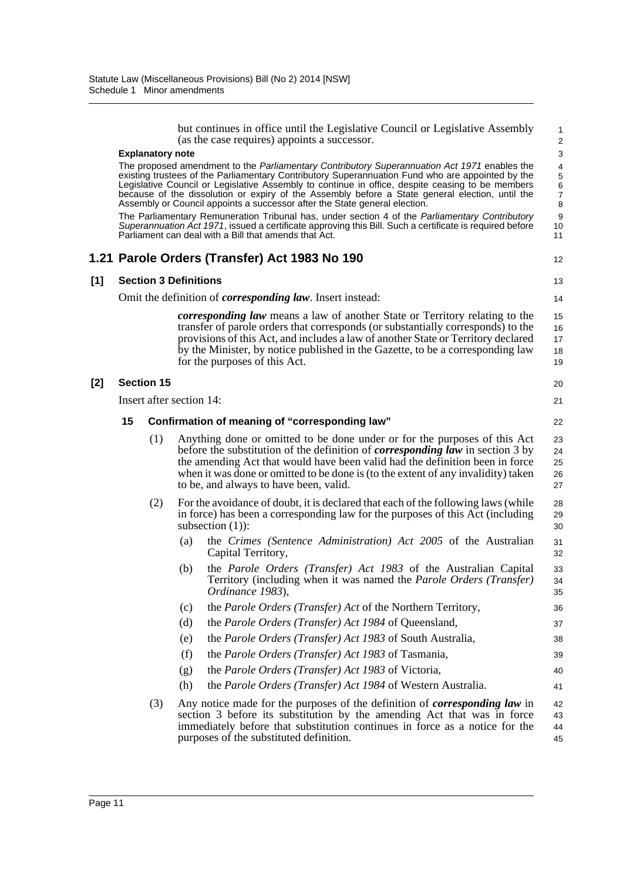|       |    |                              |     | but continues in office until the Legislative Council or Legislative Assembly<br>(as the case requires) appoints a successor.                                                                                                                                                                                                                                                                                                                                                                                                                                                                                                                                                                                                                                | 1<br>$\overline{\mathbf{c}}$           |
|-------|----|------------------------------|-----|--------------------------------------------------------------------------------------------------------------------------------------------------------------------------------------------------------------------------------------------------------------------------------------------------------------------------------------------------------------------------------------------------------------------------------------------------------------------------------------------------------------------------------------------------------------------------------------------------------------------------------------------------------------------------------------------------------------------------------------------------------------|----------------------------------------|
|       |    | <b>Explanatory note</b>      |     |                                                                                                                                                                                                                                                                                                                                                                                                                                                                                                                                                                                                                                                                                                                                                              | 3                                      |
|       |    |                              |     | The proposed amendment to the Parliamentary Contributory Superannuation Act 1971 enables the<br>existing trustees of the Parliamentary Contributory Superannuation Fund who are appointed by the<br>Legislative Council or Legislative Assembly to continue in office, despite ceasing to be members<br>because of the dissolution or expiry of the Assembly before a State general election, until the<br>Assembly or Council appoints a successor after the State general election.<br>The Parliamentary Remuneration Tribunal has, under section 4 of the Parliamentary Contributory<br>Superannuation Act 1971, issued a certificate approving this Bill. Such a certificate is required before<br>Parliament can deal with a Bill that amends that Act. | 4<br>5<br>6<br>7<br>8<br>9<br>10<br>11 |
|       |    |                              |     | 1.21 Parole Orders (Transfer) Act 1983 No 190                                                                                                                                                                                                                                                                                                                                                                                                                                                                                                                                                                                                                                                                                                                | 12                                     |
| $[1]$ |    | <b>Section 3 Definitions</b> |     |                                                                                                                                                                                                                                                                                                                                                                                                                                                                                                                                                                                                                                                                                                                                                              | 13                                     |
|       |    |                              |     | Omit the definition of <i>corresponding law</i> . Insert instead:                                                                                                                                                                                                                                                                                                                                                                                                                                                                                                                                                                                                                                                                                            | 14                                     |
|       |    |                              |     | <i>corresponding law</i> means a law of another State or Territory relating to the<br>transfer of parole orders that corresponds (or substantially corresponds) to the<br>provisions of this Act, and includes a law of another State or Territory declared<br>by the Minister, by notice published in the Gazette, to be a corresponding law<br>for the purposes of this Act.                                                                                                                                                                                                                                                                                                                                                                               | 15<br>16<br>17<br>18<br>19             |
| $[2]$ |    | <b>Section 15</b>            |     |                                                                                                                                                                                                                                                                                                                                                                                                                                                                                                                                                                                                                                                                                                                                                              | 20                                     |
|       |    | Insert after section 14:     |     |                                                                                                                                                                                                                                                                                                                                                                                                                                                                                                                                                                                                                                                                                                                                                              | 21                                     |
|       | 15 |                              |     | Confirmation of meaning of "corresponding law"                                                                                                                                                                                                                                                                                                                                                                                                                                                                                                                                                                                                                                                                                                               | 22                                     |
|       |    | (1)                          |     | Anything done or omitted to be done under or for the purposes of this Act<br>before the substitution of the definition of <i>corresponding law</i> in section 3 by<br>the amending Act that would have been valid had the definition been in force<br>when it was done or omitted to be done is (to the extent of any invalidity) taken<br>to be, and always to have been, valid.                                                                                                                                                                                                                                                                                                                                                                            | 23<br>24<br>25<br>26<br>27             |
|       |    | (2)                          |     | For the avoidance of doubt, it is declared that each of the following laws (while<br>in force) has been a corresponding law for the purposes of this Act (including<br>subsection $(1)$ :                                                                                                                                                                                                                                                                                                                                                                                                                                                                                                                                                                    | 28<br>29<br>30                         |
|       |    |                              | (a) | the Crimes (Sentence Administration) Act 2005 of the Australian<br>Capital Territory,                                                                                                                                                                                                                                                                                                                                                                                                                                                                                                                                                                                                                                                                        | 31<br>32                               |
|       |    |                              | (b) | the Parole Orders (Transfer) Act 1983 of the Australian Capital<br>Territory (including when it was named the <i>Parole Orders (Transfer)</i><br>Ordinance 1983),                                                                                                                                                                                                                                                                                                                                                                                                                                                                                                                                                                                            | 33<br>34<br>35                         |
|       |    |                              | (c) | the <i>Parole Orders (Transfer)</i> Act of the Northern Territory,                                                                                                                                                                                                                                                                                                                                                                                                                                                                                                                                                                                                                                                                                           | 36                                     |
|       |    |                              | (d) | the Parole Orders (Transfer) Act 1984 of Queensland,                                                                                                                                                                                                                                                                                                                                                                                                                                                                                                                                                                                                                                                                                                         | 37                                     |
|       |    |                              | (e) | the Parole Orders (Transfer) Act 1983 of South Australia,                                                                                                                                                                                                                                                                                                                                                                                                                                                                                                                                                                                                                                                                                                    | 38                                     |
|       |    |                              | (f) | the Parole Orders (Transfer) Act 1983 of Tasmania,                                                                                                                                                                                                                                                                                                                                                                                                                                                                                                                                                                                                                                                                                                           | 39                                     |
|       |    |                              | (g) | the Parole Orders (Transfer) Act 1983 of Victoria,                                                                                                                                                                                                                                                                                                                                                                                                                                                                                                                                                                                                                                                                                                           | 40                                     |
|       |    |                              | (h) | the Parole Orders (Transfer) Act 1984 of Western Australia.                                                                                                                                                                                                                                                                                                                                                                                                                                                                                                                                                                                                                                                                                                  | 41                                     |
|       |    | (3)                          |     | Any notice made for the purposes of the definition of <i>corresponding law</i> in<br>section 3 before its substitution by the amending Act that was in force<br>immediately before that substitution continues in force as a notice for the<br>purposes of the substituted definition.                                                                                                                                                                                                                                                                                                                                                                                                                                                                       | 42<br>43<br>44<br>45                   |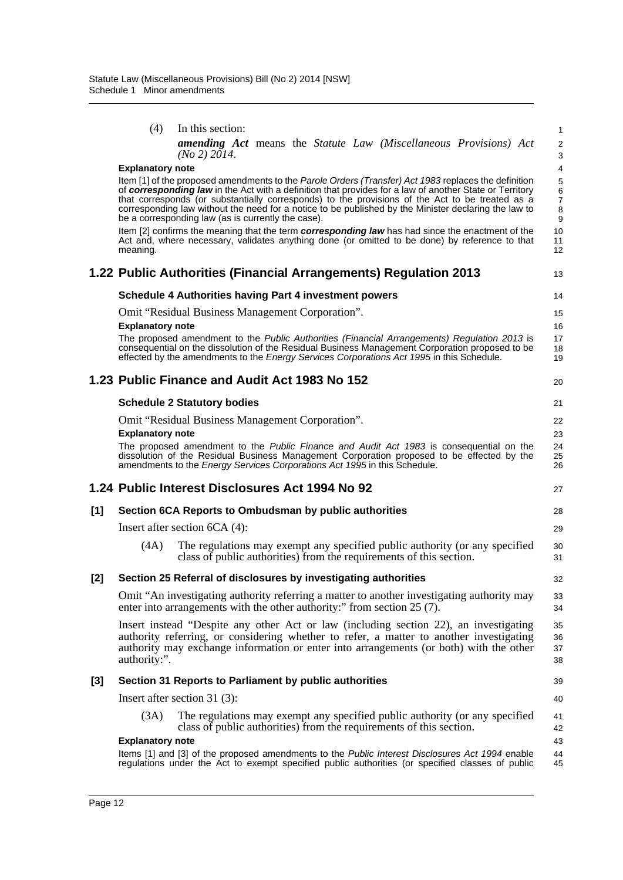|       | (4)<br>In this section:                                                                                                                                                                                                                                                                             |  |  |  | 1                            |  |  |  |  |  |  |
|-------|-----------------------------------------------------------------------------------------------------------------------------------------------------------------------------------------------------------------------------------------------------------------------------------------------------|--|--|--|------------------------------|--|--|--|--|--|--|
|       | <b>amending Act</b> means the Statute Law (Miscellaneous Provisions) Act<br>(No 2) 2014.                                                                                                                                                                                                            |  |  |  | $\overline{\mathbf{c}}$<br>3 |  |  |  |  |  |  |
|       | <b>Explanatory note</b>                                                                                                                                                                                                                                                                             |  |  |  | 4                            |  |  |  |  |  |  |
|       | Item [1] of the proposed amendments to the Parole Orders (Transfer) Act 1983 replaces the definition                                                                                                                                                                                                |  |  |  | 5<br>6                       |  |  |  |  |  |  |
|       | of corresponding law in the Act with a definition that provides for a law of another State or Territory<br>that corresponds (or substantially corresponds) to the provisions of the Act to be treated as a                                                                                          |  |  |  |                              |  |  |  |  |  |  |
|       | corresponding law without the need for a notice to be published by the Minister declaring the law to<br>be a corresponding law (as is currently the case).                                                                                                                                          |  |  |  | 7<br>8<br>9                  |  |  |  |  |  |  |
|       | Item [2] confirms the meaning that the term corresponding law has had since the enactment of the<br>Act and, where necessary, validates anything done (or omitted to be done) by reference to that<br>meaning.                                                                                      |  |  |  | 10<br>11<br>12               |  |  |  |  |  |  |
|       | 1.22 Public Authorities (Financial Arrangements) Regulation 2013                                                                                                                                                                                                                                    |  |  |  | 13                           |  |  |  |  |  |  |
|       | <b>Schedule 4 Authorities having Part 4 investment powers</b>                                                                                                                                                                                                                                       |  |  |  | 14                           |  |  |  |  |  |  |
|       | Omit "Residual Business Management Corporation".                                                                                                                                                                                                                                                    |  |  |  | 15                           |  |  |  |  |  |  |
|       | <b>Explanatory note</b>                                                                                                                                                                                                                                                                             |  |  |  | 16                           |  |  |  |  |  |  |
|       | The proposed amendment to the Public Authorities (Financial Arrangements) Regulation 2013 is<br>consequential on the dissolution of the Residual Business Management Corporation proposed to be<br>effected by the amendments to the <i>Energy Services Corporations Act 1995</i> in this Schedule. |  |  |  | 17<br>18<br>19               |  |  |  |  |  |  |
|       | 1.23 Public Finance and Audit Act 1983 No 152                                                                                                                                                                                                                                                       |  |  |  | 20                           |  |  |  |  |  |  |
|       | <b>Schedule 2 Statutory bodies</b>                                                                                                                                                                                                                                                                  |  |  |  | 21                           |  |  |  |  |  |  |
|       | Omit "Residual Business Management Corporation".                                                                                                                                                                                                                                                    |  |  |  | 22                           |  |  |  |  |  |  |
|       | <b>Explanatory note</b>                                                                                                                                                                                                                                                                             |  |  |  | 23                           |  |  |  |  |  |  |
|       | The proposed amendment to the Public Finance and Audit Act 1983 is consequential on the<br>dissolution of the Residual Business Management Corporation proposed to be effected by the<br>amendments to the <i>Energy Services Corporations Act 1995</i> in this Schedule.                           |  |  |  | 24<br>25<br>26               |  |  |  |  |  |  |
|       | 1.24 Public Interest Disclosures Act 1994 No 92                                                                                                                                                                                                                                                     |  |  |  | 27                           |  |  |  |  |  |  |
| [1]   | Section 6CA Reports to Ombudsman by public authorities                                                                                                                                                                                                                                              |  |  |  | 28                           |  |  |  |  |  |  |
|       | Insert after section $6CA(4)$ :                                                                                                                                                                                                                                                                     |  |  |  | 29                           |  |  |  |  |  |  |
|       | The regulations may exempt any specified public authority (or any specified<br>(4A)<br>class of public authorities) from the requirements of this section.                                                                                                                                          |  |  |  | 30<br>31                     |  |  |  |  |  |  |
| [2]   | Section 25 Referral of disclosures by investigating authorities                                                                                                                                                                                                                                     |  |  |  | 32                           |  |  |  |  |  |  |
|       | Omit "An investigating authority referring a matter to another investigating authority may<br>enter into arrangements with the other authority:" from section 25 (7).                                                                                                                               |  |  |  | 33<br>34                     |  |  |  |  |  |  |
|       | Insert instead "Despite any other Act or law (including section 22), an investigating<br>authority referring, or considering whether to refer, a matter to another investigating<br>authority may exchange information or enter into arrangements (or both) with the other<br>authority:".          |  |  |  | 35<br>36<br>37<br>38         |  |  |  |  |  |  |
| $[3]$ | Section 31 Reports to Parliament by public authorities                                                                                                                                                                                                                                              |  |  |  | 39                           |  |  |  |  |  |  |
|       | Insert after section 31 $(3)$ :                                                                                                                                                                                                                                                                     |  |  |  | 40                           |  |  |  |  |  |  |
|       | The regulations may exempt any specified public authority (or any specified<br>(3A)<br>class of public authorities) from the requirements of this section.                                                                                                                                          |  |  |  | 41<br>42                     |  |  |  |  |  |  |
|       | <b>Explanatory note</b>                                                                                                                                                                                                                                                                             |  |  |  | 43                           |  |  |  |  |  |  |
|       | Items [1] and [3] of the proposed amendments to the Public Interest Disclosures Act 1994 enable<br>regulations under the Act to exempt specified public authorities (or specified classes of public                                                                                                 |  |  |  | 44<br>45                     |  |  |  |  |  |  |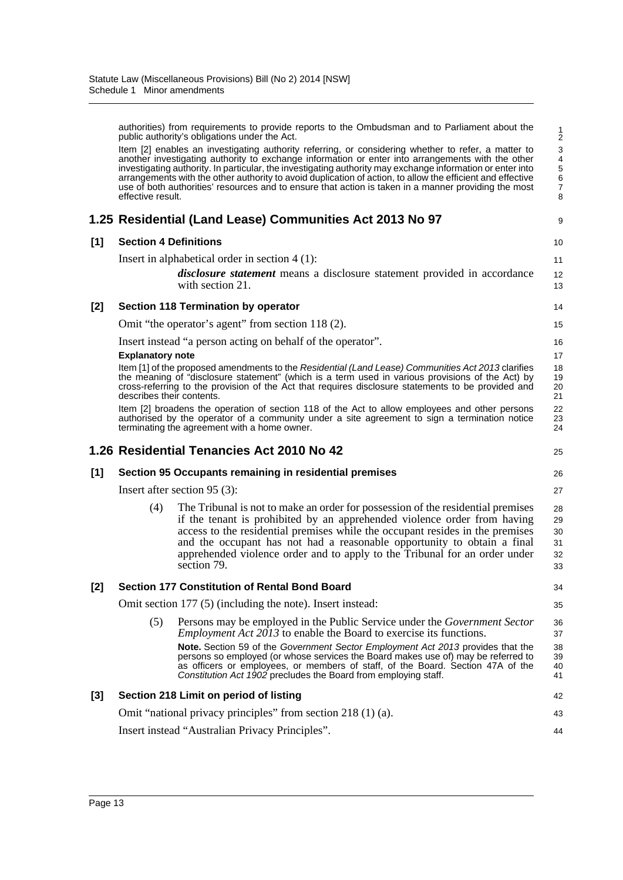authorities) from requirements to provide reports to the Ombudsman and to Parliament about the public authority's obligations under the Act. Item [2] enables an investigating authority referring, or considering whether to refer, a matter to another investigating authority to exchange information or enter into arrangements with the other investigating authority. In particular, the investigating authority may exchange information or enter into arrangements with the other authority to avoid duplication of action, to allow the efficient and effective use of both authorities' resources and to ensure that action is taken in a manner providing the most effective result. **1.25 Residential (Land Lease) Communities Act 2013 No 97 [1] Section 4 Definitions** Insert in alphabetical order in section 4 (1): *disclosure statement* means a disclosure statement provided in accordance with section 21. **[2] Section 118 Termination by operator** Omit "the operator's agent" from section 118 (2). Insert instead "a person acting on behalf of the operator". **Explanatory note** Item [1] of the proposed amendments to the *Residential (Land Lease) Communities Act 2013* clarifies the meaning of "disclosure statement" (which is a term used in various provisions of the Act) by cross-referring to the provision of the Act that requires disclosure statements to be provided and describes their contents. Item [2] broadens the operation of section 118 of the Act to allow employees and other persons authorised by the operator of a community under a site agreement to sign a termination notice terminating the agreement with a home owner. **1.26 Residential Tenancies Act 2010 No 42 [1] Section 95 Occupants remaining in residential premises** Insert after section 95 (3): (4) The Tribunal is not to make an order for possession of the residential premises if the tenant is prohibited by an apprehended violence order from having access to the residential premises while the occupant resides in the premises and the occupant has not had a reasonable opportunity to obtain a final apprehended violence order and to apply to the Tribunal for an order under section 79. **[2] Section 177 Constitution of Rental Bond Board** Omit section 177 (5) (including the note). Insert instead: (5) Persons may be employed in the Public Service under the *Government Sector Employment Act 2013* to enable the Board to exercise its functions. **Note.** Section 59 of the *Government Sector Employment Act 2013* provides that the persons so employed (or whose services the Board makes use of) may be referred to as officers or employees, or members of staff, of the Board. Section 47A of the *Constitution Act 1902* precludes the Board from employing staff. **[3] Section 218 Limit on period of listing** Omit "national privacy principles" from section 218 (1) (a). Insert instead "Australian Privacy Principles". 1 2 3 4 5 6 7 8 9 10 11 12 13 14 15 16 17 18 19 20 21 22 23 24 25 26 27 28 29 30 31 32 33 34 35 36 37 38 39 40 41 42 43 44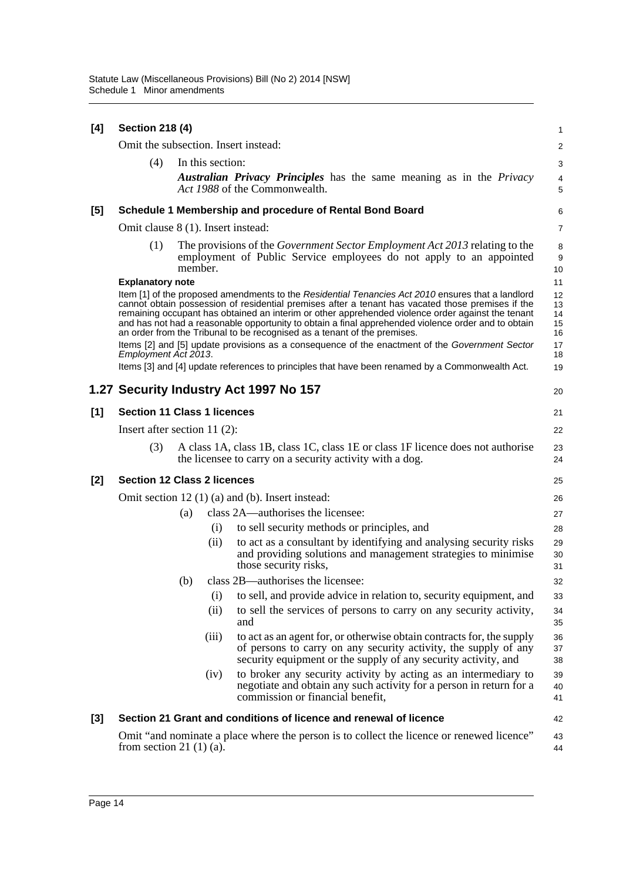| [4]   | <b>Section 218 (4)</b>               |         |                  |                                                                                                                                                                                                                                                                                                                                                                                                                                                                                                | 1                          |
|-------|--------------------------------------|---------|------------------|------------------------------------------------------------------------------------------------------------------------------------------------------------------------------------------------------------------------------------------------------------------------------------------------------------------------------------------------------------------------------------------------------------------------------------------------------------------------------------------------|----------------------------|
|       | Omit the subsection. Insert instead: |         |                  |                                                                                                                                                                                                                                                                                                                                                                                                                                                                                                | $\overline{c}$             |
|       | (4)                                  |         | In this section: |                                                                                                                                                                                                                                                                                                                                                                                                                                                                                                | 3                          |
|       |                                      |         |                  | <b>Australian Privacy Principles</b> has the same meaning as in the Privacy<br>Act 1988 of the Commonwealth.                                                                                                                                                                                                                                                                                                                                                                                   | 4<br>5                     |
| [5]   |                                      |         |                  | Schedule 1 Membership and procedure of Rental Bond Board                                                                                                                                                                                                                                                                                                                                                                                                                                       | 6                          |
|       | Omit clause 8 (1). Insert instead:   |         |                  |                                                                                                                                                                                                                                                                                                                                                                                                                                                                                                | 7                          |
|       | (1)                                  | member. |                  | The provisions of the <i>Government Sector Employment Act 2013</i> relating to the<br>employment of Public Service employees do not apply to an appointed                                                                                                                                                                                                                                                                                                                                      | 8<br>9<br>10               |
|       | <b>Explanatory note</b>              |         |                  |                                                                                                                                                                                                                                                                                                                                                                                                                                                                                                | 11                         |
|       |                                      |         |                  | Item [1] of the proposed amendments to the Residential Tenancies Act 2010 ensures that a landlord<br>cannot obtain possession of residential premises after a tenant has vacated those premises if the<br>remaining occupant has obtained an interim or other apprehended violence order against the tenant<br>and has not had a reasonable opportunity to obtain a final apprehended violence order and to obtain<br>an order from the Tribunal to be recognised as a tenant of the premises. | 12<br>13<br>14<br>15<br>16 |
|       | Employment Act 2013.                 |         |                  | Items [2] and [5] update provisions as a consequence of the enactment of the Government Sector                                                                                                                                                                                                                                                                                                                                                                                                 | 17<br>18                   |
|       |                                      |         |                  | Items [3] and [4] update references to principles that have been renamed by a Commonwealth Act.                                                                                                                                                                                                                                                                                                                                                                                                | 19                         |
|       |                                      |         |                  | 1.27 Security Industry Act 1997 No 157                                                                                                                                                                                                                                                                                                                                                                                                                                                         | 20                         |
| [1]   | <b>Section 11 Class 1 licences</b>   |         |                  |                                                                                                                                                                                                                                                                                                                                                                                                                                                                                                | 21                         |
|       | Insert after section 11 $(2)$ :      |         |                  |                                                                                                                                                                                                                                                                                                                                                                                                                                                                                                | 22                         |
|       | (3)                                  |         |                  | A class 1A, class 1B, class 1C, class 1E or class 1F licence does not authorise<br>the licensee to carry on a security activity with a dog.                                                                                                                                                                                                                                                                                                                                                    | 23<br>24                   |
| $[2]$ | <b>Section 12 Class 2 licences</b>   |         |                  |                                                                                                                                                                                                                                                                                                                                                                                                                                                                                                | 25                         |
|       |                                      |         |                  | Omit section $12(1)(a)$ and (b). Insert instead:                                                                                                                                                                                                                                                                                                                                                                                                                                               | 26                         |
|       |                                      | (a)     |                  | class 2A—authorises the licensee:                                                                                                                                                                                                                                                                                                                                                                                                                                                              | 27                         |
|       |                                      |         | (i)              | to sell security methods or principles, and                                                                                                                                                                                                                                                                                                                                                                                                                                                    | 28                         |
|       |                                      |         | (ii)             | to act as a consultant by identifying and analysing security risks<br>and providing solutions and management strategies to minimise<br>those security risks,                                                                                                                                                                                                                                                                                                                                   | 29<br>30<br>31             |
|       |                                      | (b)     |                  | class 2B—authorises the licensee:                                                                                                                                                                                                                                                                                                                                                                                                                                                              | 32                         |
|       |                                      |         | (i)              | to sell, and provide advice in relation to, security equipment, and                                                                                                                                                                                                                                                                                                                                                                                                                            | 33                         |
|       |                                      |         | (ii)             | to sell the services of persons to carry on any security activity,<br>and                                                                                                                                                                                                                                                                                                                                                                                                                      | 34<br>35                   |
|       |                                      |         | (iii)            | to act as an agent for, or otherwise obtain contracts for, the supply<br>of persons to carry on any security activity, the supply of any<br>security equipment or the supply of any security activity, and                                                                                                                                                                                                                                                                                     | 36<br>37<br>38             |
|       |                                      |         | (iv)             | to broker any security activity by acting as an intermediary to<br>negotiate and obtain any such activity for a person in return for a<br>commission or financial benefit,                                                                                                                                                                                                                                                                                                                     | 39<br>40<br>41             |
| $[3]$ |                                      |         |                  | Section 21 Grant and conditions of licence and renewal of licence                                                                                                                                                                                                                                                                                                                                                                                                                              | 42                         |
|       | from section 21 $(1)(a)$ .           |         |                  | Omit "and nominate a place where the person is to collect the licence or renewed licence"                                                                                                                                                                                                                                                                                                                                                                                                      | 43<br>44                   |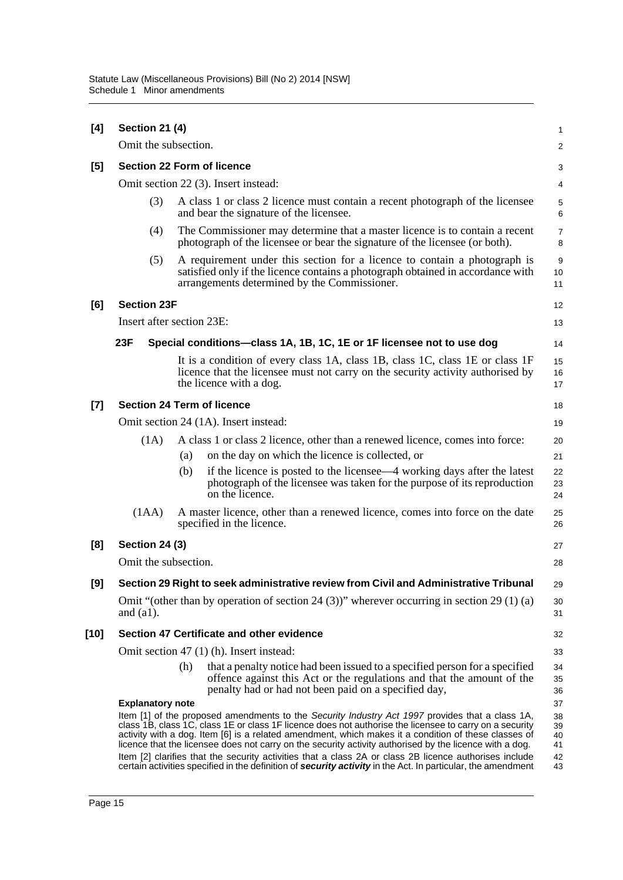| [4]   | <b>Section 21 (4)</b>             |     |                                                                                                                                                                                                                                                                                                                                                                                                                                                                                                                                         | $\mathbf{1}$               |
|-------|-----------------------------------|-----|-----------------------------------------------------------------------------------------------------------------------------------------------------------------------------------------------------------------------------------------------------------------------------------------------------------------------------------------------------------------------------------------------------------------------------------------------------------------------------------------------------------------------------------------|----------------------------|
|       | Omit the subsection.              |     |                                                                                                                                                                                                                                                                                                                                                                                                                                                                                                                                         | 2                          |
| [5]   | <b>Section 22 Form of licence</b> |     |                                                                                                                                                                                                                                                                                                                                                                                                                                                                                                                                         | 3                          |
|       |                                   |     | Omit section 22 (3). Insert instead:                                                                                                                                                                                                                                                                                                                                                                                                                                                                                                    | 4                          |
|       | (3)                               |     | A class 1 or class 2 licence must contain a recent photograph of the licensee<br>and bear the signature of the licensee.                                                                                                                                                                                                                                                                                                                                                                                                                | 5<br>6                     |
|       | (4)                               |     | The Commissioner may determine that a master licence is to contain a recent<br>photograph of the licensee or bear the signature of the licensee (or both).                                                                                                                                                                                                                                                                                                                                                                              | $\overline{7}$<br>8        |
|       | (5)                               |     | A requirement under this section for a licence to contain a photograph is<br>satisfied only if the licence contains a photograph obtained in accordance with<br>arrangements determined by the Commissioner.                                                                                                                                                                                                                                                                                                                            | 9<br>10<br>11              |
| [6]   | <b>Section 23F</b>                |     |                                                                                                                                                                                                                                                                                                                                                                                                                                                                                                                                         | 12                         |
|       | Insert after section 23E:         |     |                                                                                                                                                                                                                                                                                                                                                                                                                                                                                                                                         | 13                         |
|       | 23F                               |     | Special conditions-class 1A, 1B, 1C, 1E or 1F licensee not to use dog                                                                                                                                                                                                                                                                                                                                                                                                                                                                   | 14                         |
|       |                                   |     | It is a condition of every class 1A, class 1B, class 1C, class 1E or class 1F<br>licence that the licensee must not carry on the security activity authorised by<br>the licence with a dog.                                                                                                                                                                                                                                                                                                                                             | 15<br>16<br>17             |
| $[7]$ | <b>Section 24 Term of licence</b> |     |                                                                                                                                                                                                                                                                                                                                                                                                                                                                                                                                         | 18                         |
|       |                                   |     | Omit section 24 (1A). Insert instead:                                                                                                                                                                                                                                                                                                                                                                                                                                                                                                   | 19                         |
|       | (1A)                              |     | A class 1 or class 2 licence, other than a renewed licence, comes into force:                                                                                                                                                                                                                                                                                                                                                                                                                                                           | 20                         |
|       |                                   | (a) | on the day on which the licence is collected, or                                                                                                                                                                                                                                                                                                                                                                                                                                                                                        | 21                         |
|       |                                   | (b) | if the licence is posted to the licensee—4 working days after the latest<br>photograph of the licensee was taken for the purpose of its reproduction<br>on the licence.                                                                                                                                                                                                                                                                                                                                                                 | 22<br>23<br>24             |
|       | (IAA)                             |     | A master licence, other than a renewed licence, comes into force on the date<br>specified in the licence.                                                                                                                                                                                                                                                                                                                                                                                                                               | 25<br>26                   |
| [8]   | <b>Section 24 (3)</b>             |     |                                                                                                                                                                                                                                                                                                                                                                                                                                                                                                                                         | 27                         |
|       | Omit the subsection.              |     |                                                                                                                                                                                                                                                                                                                                                                                                                                                                                                                                         | 28                         |
| $[9]$ |                                   |     | Section 29 Right to seek administrative review from Civil and Administrative Tribunal                                                                                                                                                                                                                                                                                                                                                                                                                                                   | 29                         |
|       | and $(a1)$ .                      |     | Omit "(other than by operation of section 24 (3))" wherever occurring in section 29 (1) (a)                                                                                                                                                                                                                                                                                                                                                                                                                                             | 30<br>31                   |
| [10]  |                                   |     | Section 47 Certificate and other evidence                                                                                                                                                                                                                                                                                                                                                                                                                                                                                               | 32                         |
|       |                                   |     | Omit section 47 (1) (h). Insert instead:                                                                                                                                                                                                                                                                                                                                                                                                                                                                                                | 33                         |
|       |                                   | (h) | that a penalty notice had been issued to a specified person for a specified<br>offence against this Act or the regulations and that the amount of the<br>penalty had or had not been paid on a specified day,                                                                                                                                                                                                                                                                                                                           | 34<br>35<br>36             |
|       | <b>Explanatory note</b>           |     |                                                                                                                                                                                                                                                                                                                                                                                                                                                                                                                                         | 37                         |
|       |                                   |     | Item [1] of the proposed amendments to the Security Industry Act 1997 provides that a class 1A,<br>class 1B, class 1C, class 1E or class 1F licence does not authorise the licensee to carry on a security<br>activity with a dog. Item [6] is a related amendment, which makes it a condition of these classes of<br>licence that the licensee does not carry on the security activity authorised by the licence with a dog.<br>Item [2] clarifies that the security activities that a class 2A or class 2B licence authorises include | 38<br>39<br>40<br>41<br>42 |
|       |                                   |     | certain activities specified in the definition of security activity in the Act. In particular, the amendment                                                                                                                                                                                                                                                                                                                                                                                                                            | 43                         |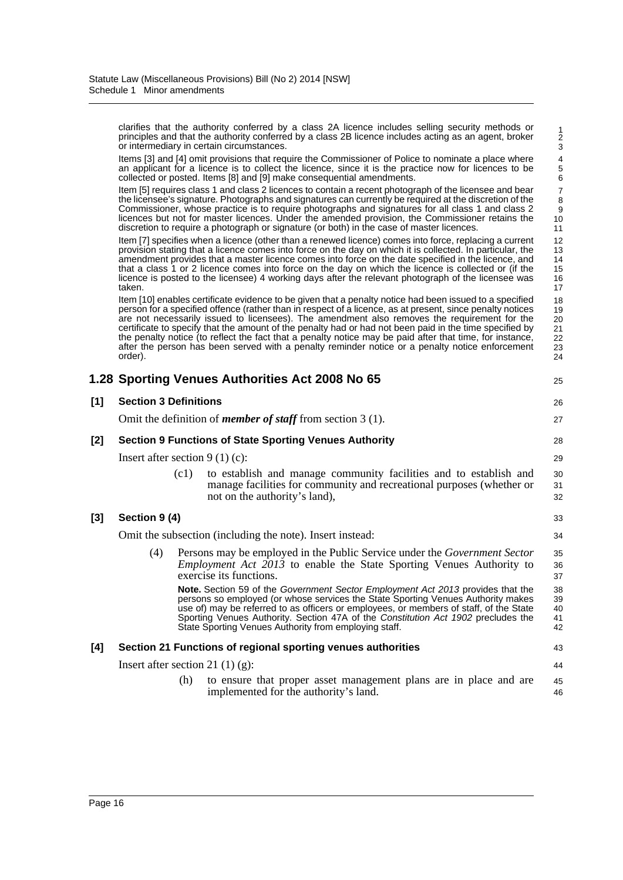clarifies that the authority conferred by a class 2A licence includes selling security methods or principles and that the authority conferred by a class 2B licence includes acting as an agent, broker or intermediary in certain circumstances.

Items [3] and [4] omit provisions that require the Commissioner of Police to nominate a place where an applicant for a licence is to collect the licence, since it is the practice now for licences to be collected or posted. Items [8] and [9] make consequential amendments.

Item [5] requires class 1 and class 2 licences to contain a recent photograph of the licensee and bear the licensee's signature. Photographs and signatures can currently be required at the discretion of the Commissioner, whose practice is to require photographs and signatures for all class 1 and class 2 licences but not for master licences. Under the amended provision, the Commissioner retains the discretion to require a photograph or signature (or both) in the case of master licences.

Item [7] specifies when a licence (other than a renewed licence) comes into force, replacing a current provision stating that a licence comes into force on the day on which it is collected. In particular, the amendment provides that a master licence comes into force on the date specified in the licence, and that a class 1 or 2 licence comes into force on the day on which the licence is collected or (if the licence is posted to the licensee) 4 working days after the relevant photograph of the licensee was taken.

Item [10] enables certificate evidence to be given that a penalty notice had been issued to a specified person for a specified offence (rather than in respect of a licence, as at present, since penalty notices are not necessarily issued to licensees). The amendment also removes the requirement for the certificate to specify that the amount of the penalty had or had not been paid in the time specified by the penalty notice (to reflect the fact that a penalty notice may be paid after that time, for instance, after the person has been served with a penalty reminder notice or a penalty notice enforcement order).

|     |                                    |      | 1.28 Sporting Venues Authorities Act 2008 No 65                                                                                                                                                                                                                                                                                                                                                                    | 25                         |
|-----|------------------------------------|------|--------------------------------------------------------------------------------------------------------------------------------------------------------------------------------------------------------------------------------------------------------------------------------------------------------------------------------------------------------------------------------------------------------------------|----------------------------|
| [1] | <b>Section 3 Definitions</b>       |      |                                                                                                                                                                                                                                                                                                                                                                                                                    | 26                         |
|     |                                    |      | Omit the definition of <i>member of staff</i> from section $3(1)$ .                                                                                                                                                                                                                                                                                                                                                | 27                         |
| [2] |                                    |      | <b>Section 9 Functions of State Sporting Venues Authority</b>                                                                                                                                                                                                                                                                                                                                                      | 28                         |
|     | Insert after section $9(1)(c)$ :   |      |                                                                                                                                                                                                                                                                                                                                                                                                                    | 29                         |
|     |                                    | (c1) | to establish and manage community facilities and to establish and<br>manage facilities for community and recreational purposes (whether or<br>not on the authority's land),                                                                                                                                                                                                                                        | 30<br>31<br>32             |
| [3] | Section 9 (4)                      |      |                                                                                                                                                                                                                                                                                                                                                                                                                    | 33                         |
|     |                                    |      | Omit the subsection (including the note). Insert instead:                                                                                                                                                                                                                                                                                                                                                          | 34                         |
|     | (4)                                |      | Persons may be employed in the Public Service under the <i>Government Sector</i><br><i>Employment Act 2013</i> to enable the State Sporting Venues Authority to<br>exercise its functions.                                                                                                                                                                                                                         | 35<br>36<br>37             |
|     |                                    |      | <b>Note.</b> Section 59 of the Government Sector Employment Act 2013 provides that the<br>persons so employed (or whose services the State Sporting Venues Authority makes<br>use of) may be referred to as officers or employees, or members of staff, of the State<br>Sporting Venues Authority. Section 47A of the Constitution Act 1902 precludes the<br>State Sporting Venues Authority from employing staff. | 38<br>39<br>40<br>41<br>42 |
| [4] |                                    |      | Section 21 Functions of regional sporting venues authorities                                                                                                                                                                                                                                                                                                                                                       | 43                         |
|     | Insert after section 21 $(1)$ (g): |      |                                                                                                                                                                                                                                                                                                                                                                                                                    | 44                         |
|     |                                    | (h)  | to ensure that proper asset management plans are in place and are<br>implemented for the authority's land.                                                                                                                                                                                                                                                                                                         | 45<br>46                   |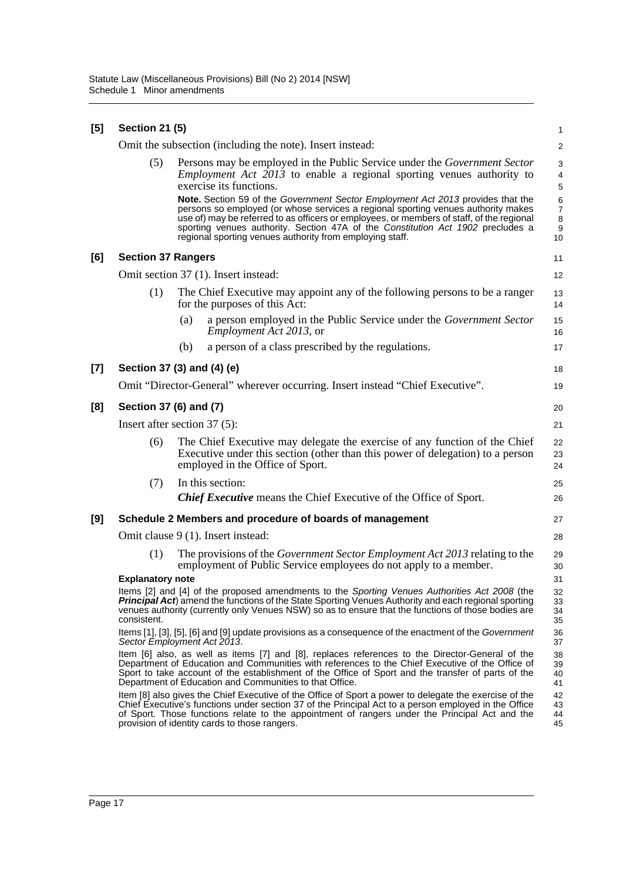| [5] | <b>Section 21 (5)</b>     |                                                           |                                                                                                                                                                                                                                                                                                                                                                                                                  | 1                                                      |
|-----|---------------------------|-----------------------------------------------------------|------------------------------------------------------------------------------------------------------------------------------------------------------------------------------------------------------------------------------------------------------------------------------------------------------------------------------------------------------------------------------------------------------------------|--------------------------------------------------------|
|     |                           | Omit the subsection (including the note). Insert instead: |                                                                                                                                                                                                                                                                                                                                                                                                                  | 2                                                      |
|     | (5)                       | exercise its functions.                                   | Persons may be employed in the Public Service under the Government Sector<br>Employment Act 2013 to enable a regional sporting venues authority to                                                                                                                                                                                                                                                               | 3<br>4<br>5                                            |
|     |                           |                                                           | Note. Section 59 of the Government Sector Employment Act 2013 provides that the<br>persons so employed (or whose services a regional sporting venues authority makes<br>use of) may be referred to as officers or employees, or members of staff, of the regional<br>sporting venues authority. Section 47A of the Constitution Act 1902 precludes a<br>regional sporting venues authority from employing staff. | $\,6$<br>$\overline{7}$<br>8<br>$\boldsymbol{9}$<br>10 |
| [6] | <b>Section 37 Rangers</b> |                                                           |                                                                                                                                                                                                                                                                                                                                                                                                                  | 11                                                     |
|     |                           | Omit section 37 (1). Insert instead:                      |                                                                                                                                                                                                                                                                                                                                                                                                                  | 12                                                     |
|     | (1)                       | for the purposes of this Act:                             | The Chief Executive may appoint any of the following persons to be a ranger                                                                                                                                                                                                                                                                                                                                      | 13<br>14                                               |
|     |                           | (a)<br><i>Employment Act 2013</i> , or                    | a person employed in the Public Service under the Government Sector                                                                                                                                                                                                                                                                                                                                              | 15<br>16                                               |
|     |                           | (b)                                                       | a person of a class prescribed by the regulations.                                                                                                                                                                                                                                                                                                                                                               | 17                                                     |
| [7] |                           | Section 37 (3) and (4) (e)                                |                                                                                                                                                                                                                                                                                                                                                                                                                  | 18                                                     |
|     |                           |                                                           | Omit "Director-General" wherever occurring. Insert instead "Chief Executive".                                                                                                                                                                                                                                                                                                                                    | 19                                                     |
| [8] | Section 37 (6) and (7)    |                                                           |                                                                                                                                                                                                                                                                                                                                                                                                                  | 20                                                     |
|     |                           | Insert after section $37(5)$ :                            |                                                                                                                                                                                                                                                                                                                                                                                                                  | 21                                                     |
|     | (6)                       | employed in the Office of Sport.                          | The Chief Executive may delegate the exercise of any function of the Chief<br>Executive under this section (other than this power of delegation) to a person                                                                                                                                                                                                                                                     | 22<br>23<br>24                                         |
|     | (7)                       | In this section:                                          |                                                                                                                                                                                                                                                                                                                                                                                                                  | 25                                                     |
|     |                           |                                                           | <b>Chief Executive</b> means the Chief Executive of the Office of Sport.                                                                                                                                                                                                                                                                                                                                         | 26                                                     |
| [9] |                           |                                                           | Schedule 2 Members and procedure of boards of management                                                                                                                                                                                                                                                                                                                                                         | 27                                                     |
|     |                           | Omit clause 9 (1). Insert instead:                        |                                                                                                                                                                                                                                                                                                                                                                                                                  | 28                                                     |
|     | (1)                       |                                                           | The provisions of the <i>Government Sector Employment Act 2013</i> relating to the<br>employment of Public Service employees do not apply to a member.                                                                                                                                                                                                                                                           | 29<br>30                                               |
|     | <b>Explanatory note</b>   |                                                           |                                                                                                                                                                                                                                                                                                                                                                                                                  | 31                                                     |
|     | consistent.               |                                                           | Items [2] and [4] of the proposed amendments to the Sporting Venues Authorities Act 2008 (the<br><b>Principal Act</b> ) amend the functions of the State Sporting Venues Authority and each regional sporting<br>venues authority (currently only Venues NSW) so as to ensure that the functions of those bodies are                                                                                             | 32<br>33<br>34<br>35                                   |
|     |                           | Sector Employment Act 2013.                               | Items [1], [3], [5], [6] and [9] update provisions as a consequence of the enactment of the Government                                                                                                                                                                                                                                                                                                           | 36<br>37                                               |
|     |                           | Department of Education and Communities to that Office.   | Item [6] also, as well as items [7] and [8], replaces references to the Director-General of the<br>Department of Education and Communities with references to the Chief Executive of the Office of<br>Sport to take account of the establishment of the Office of Sport and the transfer of parts of the                                                                                                         | 38<br>39<br>40<br>41                                   |
|     |                           | provision of identity cards to those rangers.             | Item [8] also gives the Chief Executive of the Office of Sport a power to delegate the exercise of the<br>Chief Executive's functions under section 37 of the Principal Act to a person employed in the Office<br>of Sport. Those functions relate to the appointment of rangers under the Principal Act and the                                                                                                 | 42<br>43<br>44<br>45                                   |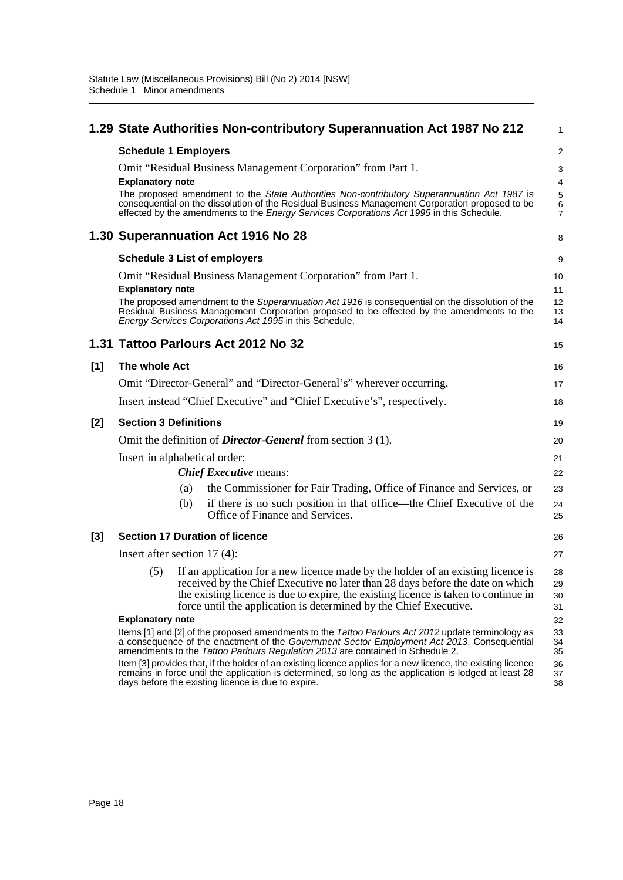|       |                                |     | 1.29 State Authorities Non-contributory Superannuation Act 1987 No 212                                                                                                                                                                                                                                                                                      | 1                          |
|-------|--------------------------------|-----|-------------------------------------------------------------------------------------------------------------------------------------------------------------------------------------------------------------------------------------------------------------------------------------------------------------------------------------------------------------|----------------------------|
|       | <b>Schedule 1 Employers</b>    |     |                                                                                                                                                                                                                                                                                                                                                             | $\overline{c}$             |
|       | <b>Explanatory note</b>        |     | Omit "Residual Business Management Corporation" from Part 1.<br>The proposed amendment to the State Authorities Non-contributory Superannuation Act 1987 is<br>consequential on the dissolution of the Residual Business Management Corporation proposed to be<br>effected by the amendments to the Energy Services Corporations Act 1995 in this Schedule. | 3<br>4<br>5<br>6<br>7      |
|       |                                |     | 1.30 Superannuation Act 1916 No 28                                                                                                                                                                                                                                                                                                                          | 8                          |
|       |                                |     | <b>Schedule 3 List of employers</b>                                                                                                                                                                                                                                                                                                                         | 9                          |
|       | <b>Explanatory note</b>        |     | Omit "Residual Business Management Corporation" from Part 1.<br>The proposed amendment to the Superannuation Act 1916 is consequential on the dissolution of the<br>Residual Business Management Corporation proposed to be effected by the amendments to the<br>Energy Services Corporations Act 1995 in this Schedule.                                    | 10<br>11<br>12<br>13<br>14 |
|       |                                |     | 1.31 Tattoo Parlours Act 2012 No 32                                                                                                                                                                                                                                                                                                                         | 15                         |
| [1]   | The whole Act                  |     |                                                                                                                                                                                                                                                                                                                                                             | 16                         |
|       |                                |     | Omit "Director-General" and "Director-General's" wherever occurring.                                                                                                                                                                                                                                                                                        | 17                         |
|       |                                |     | Insert instead "Chief Executive" and "Chief Executive's", respectively.                                                                                                                                                                                                                                                                                     | 18                         |
| $[2]$ | <b>Section 3 Definitions</b>   |     |                                                                                                                                                                                                                                                                                                                                                             | 19                         |
|       |                                |     | Omit the definition of <i>Director-General</i> from section 3 (1).                                                                                                                                                                                                                                                                                          | 20                         |
|       | Insert in alphabetical order:  |     |                                                                                                                                                                                                                                                                                                                                                             | 21                         |
|       |                                |     | <b>Chief Executive means:</b>                                                                                                                                                                                                                                                                                                                               | 22                         |
|       |                                | (a) | the Commissioner for Fair Trading, Office of Finance and Services, or                                                                                                                                                                                                                                                                                       | 23                         |
|       |                                | (b) | if there is no such position in that office—the Chief Executive of the<br>Office of Finance and Services.                                                                                                                                                                                                                                                   | 24<br>25                   |
| $[3]$ |                                |     | <b>Section 17 Duration of licence</b>                                                                                                                                                                                                                                                                                                                       | 26                         |
|       | Insert after section $17(4)$ : |     |                                                                                                                                                                                                                                                                                                                                                             | 27                         |
|       | (5)                            |     | If an application for a new licence made by the holder of an existing licence is<br>received by the Chief Executive no later than 28 days before the date on which<br>the existing licence is due to expire, the existing licence is taken to continue in<br>force until the application is determined by the Chief Executive.                              | 28<br>29<br>30<br>31       |
|       | <b>Explanatory note</b>        |     |                                                                                                                                                                                                                                                                                                                                                             | 32                         |
|       |                                |     | Items [1] and [2] of the proposed amendments to the Tattoo Parlours Act 2012 update terminology as<br>a consequence of the enactment of the Government Sector Employment Act 2013. Consequential<br>amendments to the Tattoo Parlours Regulation 2013 are contained in Schedule 2.                                                                          | 33<br>34<br>35             |
|       |                                |     | Item [3] provides that, if the holder of an existing licence applies for a new licence, the existing licence<br>remains in force until the application is determined, so long as the application is lodged at least 28<br>days before the existing licence is due to expire.                                                                                | 36<br>37<br>38             |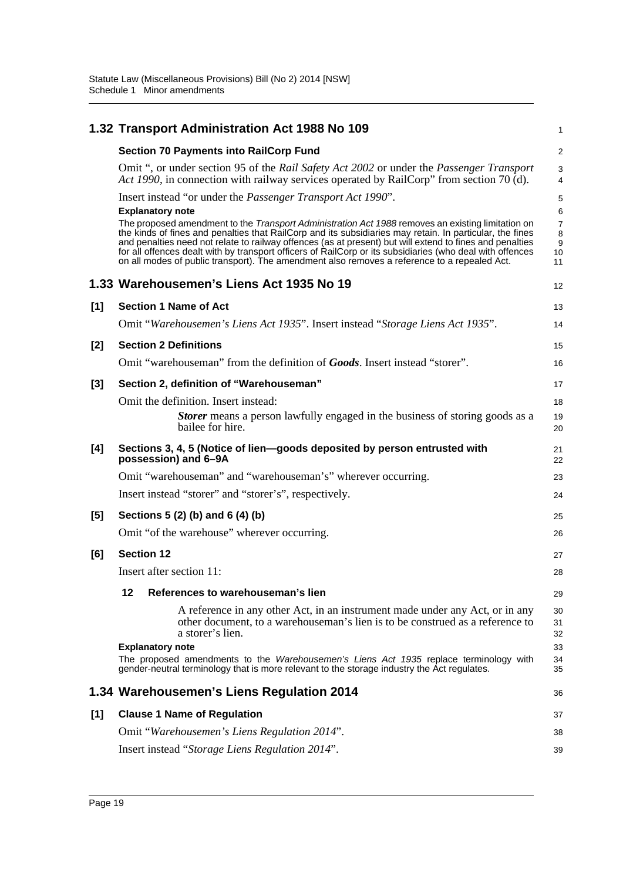|       | 1.32 Transport Administration Act 1988 No 109                                                                                                                                                                                                                                                                                                                                                                                                                                                                                          | 1                       |
|-------|----------------------------------------------------------------------------------------------------------------------------------------------------------------------------------------------------------------------------------------------------------------------------------------------------------------------------------------------------------------------------------------------------------------------------------------------------------------------------------------------------------------------------------------|-------------------------|
|       | <b>Section 70 Payments into RailCorp Fund</b>                                                                                                                                                                                                                                                                                                                                                                                                                                                                                          | $\overline{\mathbf{c}}$ |
|       | Omit ", or under section 95 of the Rail Safety Act 2002 or under the Passenger Transport<br>Act 1990, in connection with railway services operated by RailCorp" from section 70 (d).                                                                                                                                                                                                                                                                                                                                                   | 3<br>4                  |
|       | Insert instead "or under the <i>Passenger Transport Act 1990"</i> .<br><b>Explanatory note</b>                                                                                                                                                                                                                                                                                                                                                                                                                                         | 5<br>6                  |
|       | The proposed amendment to the Transport Administration Act 1988 removes an existing limitation on<br>the kinds of fines and penalties that RailCorp and its subsidiaries may retain. In particular, the fines<br>and penalties need not relate to railway offences (as at present) but will extend to fines and penalties<br>for all offences dealt with by transport officers of RailCorp or its subsidiaries (who deal with offences<br>on all modes of public transport). The amendment also removes a reference to a repealed Act. | 7<br>8<br>9<br>10<br>11 |
|       | 1.33 Warehousemen's Liens Act 1935 No 19                                                                                                                                                                                                                                                                                                                                                                                                                                                                                               | 12                      |
| [1]   | <b>Section 1 Name of Act</b>                                                                                                                                                                                                                                                                                                                                                                                                                                                                                                           | 13                      |
|       | Omit "Warehousemen's Liens Act 1935". Insert instead "Storage Liens Act 1935".                                                                                                                                                                                                                                                                                                                                                                                                                                                         | 14                      |
| [2]   | <b>Section 2 Definitions</b>                                                                                                                                                                                                                                                                                                                                                                                                                                                                                                           | 15                      |
|       | Omit "warehouseman" from the definition of <b>Goods</b> . Insert instead "storer".                                                                                                                                                                                                                                                                                                                                                                                                                                                     | 16                      |
| $[3]$ | Section 2, definition of "Warehouseman"                                                                                                                                                                                                                                                                                                                                                                                                                                                                                                | 17                      |
|       | Omit the definition. Insert instead:                                                                                                                                                                                                                                                                                                                                                                                                                                                                                                   | 18                      |
|       | <b>Storer</b> means a person lawfully engaged in the business of storing goods as a<br>bailee for hire.                                                                                                                                                                                                                                                                                                                                                                                                                                | 19<br>20                |
| [4]   | Sections 3, 4, 5 (Notice of lien-goods deposited by person entrusted with<br>possession) and 6-9A                                                                                                                                                                                                                                                                                                                                                                                                                                      | 21<br>22                |
|       | Omit "warehouseman" and "warehouseman's" wherever occurring.                                                                                                                                                                                                                                                                                                                                                                                                                                                                           | 23                      |
|       | Insert instead "storer" and "storer's", respectively.                                                                                                                                                                                                                                                                                                                                                                                                                                                                                  | 24                      |
| $[5]$ | Sections 5 (2) (b) and 6 (4) (b)                                                                                                                                                                                                                                                                                                                                                                                                                                                                                                       | 25                      |
|       | Omit "of the warehouse" wherever occurring.                                                                                                                                                                                                                                                                                                                                                                                                                                                                                            | 26                      |
| [6]   | <b>Section 12</b>                                                                                                                                                                                                                                                                                                                                                                                                                                                                                                                      | 27                      |
|       | Insert after section 11:                                                                                                                                                                                                                                                                                                                                                                                                                                                                                                               | 28                      |
|       | 12<br>References to warehouseman's lien                                                                                                                                                                                                                                                                                                                                                                                                                                                                                                | 29                      |
|       | A reference in any other Act, in an instrument made under any Act, or in any<br>other document, to a warehouse man's lien is to be construed as a reference to<br>a storer's lien.                                                                                                                                                                                                                                                                                                                                                     | 30<br>31<br>32          |
|       | <b>Explanatory note</b>                                                                                                                                                                                                                                                                                                                                                                                                                                                                                                                | 33                      |
|       | The proposed amendments to the Warehousemen's Liens Act 1935 replace terminology with<br>gender-neutral terminology that is more relevant to the storage industry the Act regulates.                                                                                                                                                                                                                                                                                                                                                   | 34<br>35                |
|       | 1.34 Warehousemen's Liens Regulation 2014                                                                                                                                                                                                                                                                                                                                                                                                                                                                                              | 36                      |
| [1]   | <b>Clause 1 Name of Regulation</b>                                                                                                                                                                                                                                                                                                                                                                                                                                                                                                     | 37                      |
|       | Omit "Warehousemen's Liens Regulation 2014".                                                                                                                                                                                                                                                                                                                                                                                                                                                                                           | 38                      |
|       | Insert instead "Storage Liens Regulation 2014".                                                                                                                                                                                                                                                                                                                                                                                                                                                                                        | 39                      |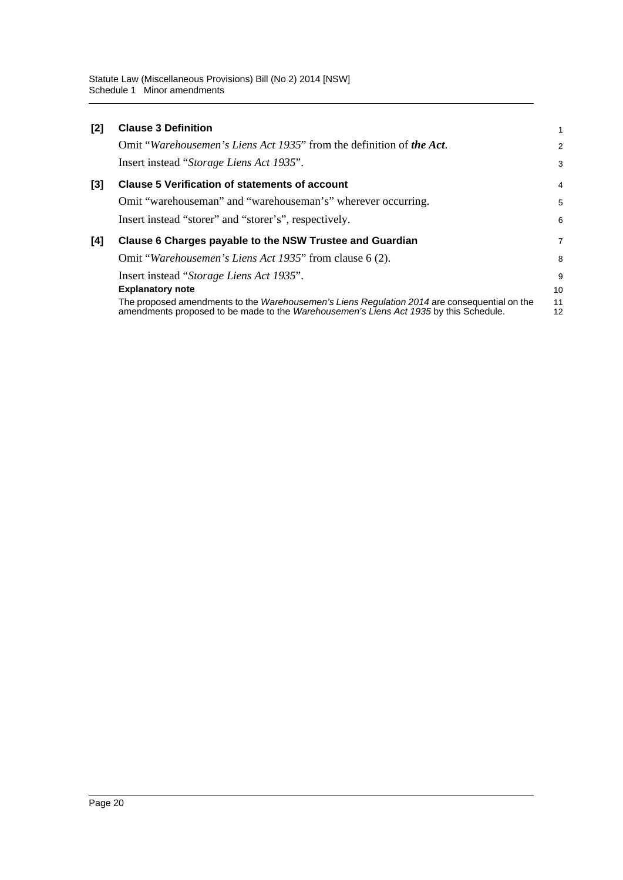| $[2]$ | <b>Clause 3 Definition</b>                                                                                                                                                            | 1              |
|-------|---------------------------------------------------------------------------------------------------------------------------------------------------------------------------------------|----------------|
|       | Omit "Warehousemen's Liens Act 1935" from the definition of the Act.                                                                                                                  | $\overline{2}$ |
|       | Insert instead "Storage Liens Act 1935".                                                                                                                                              | 3              |
| [3]   | <b>Clause 5 Verification of statements of account</b>                                                                                                                                 | $\overline{4}$ |
|       | Omit "warehouseman" and "warehouseman's" wherever occurring.                                                                                                                          | 5              |
|       | Insert instead "storer" and "storer's", respectively.                                                                                                                                 | 6              |
| [4]   | Clause 6 Charges payable to the NSW Trustee and Guardian                                                                                                                              | 7              |
|       | Omit "Warehousemen's Liens Act 1935" from clause 6 (2).                                                                                                                               | 8              |
|       | Insert instead "Storage Liens Act 1935".                                                                                                                                              | 9              |
|       | <b>Explanatory note</b>                                                                                                                                                               | 10             |
|       | The proposed amendments to the Warehousemen's Liens Regulation 2014 are consequential on the<br>amendments proposed to be made to the Warehousemen's Liens Act 1935 by this Schedule. | 11<br>12       |
|       |                                                                                                                                                                                       |                |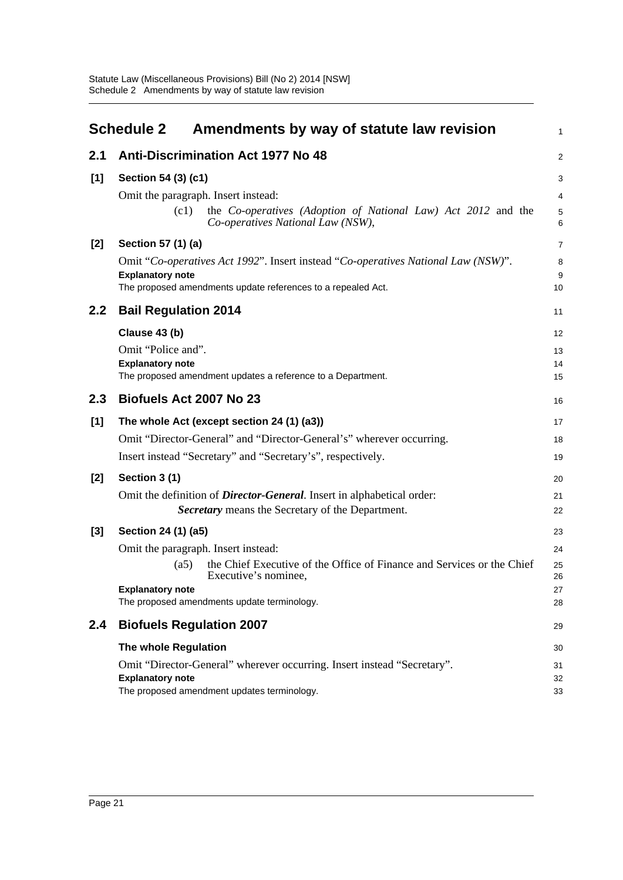<span id="page-24-0"></span>

|       | <b>Schedule 2</b><br>Amendments by way of statute law revision                                                                                                                                                                                 | $\mathbf{1}$                     |
|-------|------------------------------------------------------------------------------------------------------------------------------------------------------------------------------------------------------------------------------------------------|----------------------------------|
| 2.1   | <b>Anti-Discrimination Act 1977 No 48</b>                                                                                                                                                                                                      | $\overline{2}$                   |
| [1]   | Section 54 (3) (c1)<br>Omit the paragraph. Insert instead:<br>(c1)<br>the Co-operatives (Adoption of National Law) Act 2012 and the<br>Co-operatives National Law (NSW),                                                                       | 3<br>4<br>5<br>6                 |
| $[2]$ | Section 57 (1) (a)<br>Omit "Co-operatives Act 1992". Insert instead "Co-operatives National Law (NSW)".<br><b>Explanatory note</b><br>The proposed amendments update references to a repealed Act.                                             | $\overline{7}$<br>8<br>9<br>10   |
| 2.2   | <b>Bail Regulation 2014</b>                                                                                                                                                                                                                    | 11                               |
|       | Clause 43 (b)<br>Omit "Police and".<br><b>Explanatory note</b><br>The proposed amendment updates a reference to a Department.                                                                                                                  | 12<br>13<br>14<br>15             |
| 2.3   | Biofuels Act 2007 No 23                                                                                                                                                                                                                        | 16                               |
| [1]   | The whole Act (except section 24 (1) (a3))<br>Omit "Director-General" and "Director-General's" wherever occurring.<br>Insert instead "Secretary" and "Secretary's", respectively.                                                              | 17<br>18<br>19                   |
| $[2]$ | Section 3 (1)<br>Omit the definition of <i>Director-General</i> . Insert in alphabetical order:<br>Secretary means the Secretary of the Department.                                                                                            | 20<br>21<br>22                   |
| $[3]$ | Section 24 (1) (a5)<br>Omit the paragraph. Insert instead:<br>the Chief Executive of the Office of Finance and Services or the Chief<br>(a5)<br>Executive's nominee,<br><b>Explanatory note</b><br>The proposed amendments update terminology. | 23<br>24<br>25<br>26<br>27<br>28 |
| 2.4   | <b>Biofuels Regulation 2007</b>                                                                                                                                                                                                                | 29                               |
|       | The whole Regulation                                                                                                                                                                                                                           | 30                               |
|       | Omit "Director-General" wherever occurring. Insert instead "Secretary".<br><b>Explanatory note</b><br>The proposed amendment updates terminology.                                                                                              | 31<br>32<br>33                   |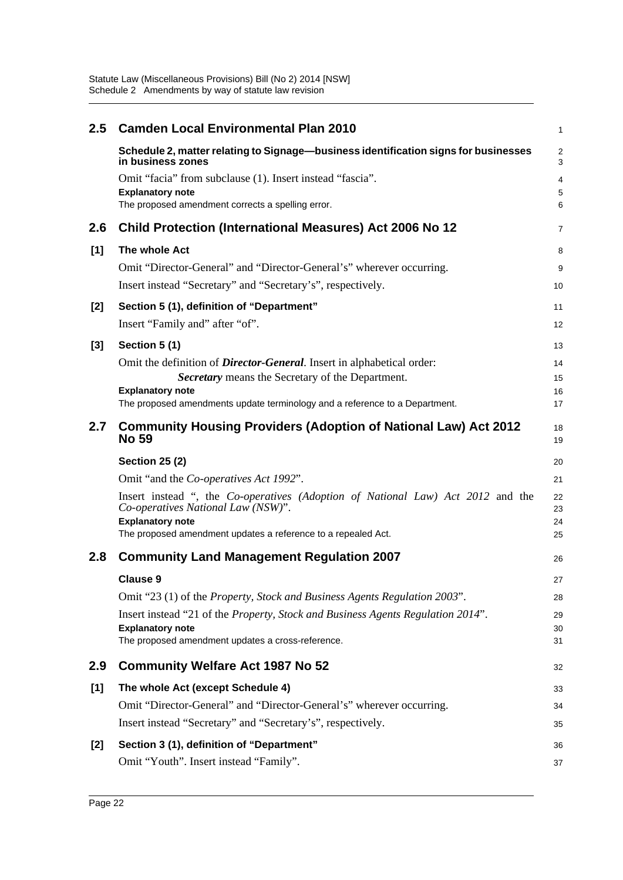| 2.5   | <b>Camden Local Environmental Plan 2010</b>                                                                                                      | $\mathbf{1}$        |
|-------|--------------------------------------------------------------------------------------------------------------------------------------------------|---------------------|
|       | Schedule 2, matter relating to Signage-business identification signs for businesses<br>in business zones                                         | $\overline{2}$<br>3 |
|       | Omit "facia" from subclause (1). Insert instead "fascia".                                                                                        | $\overline{4}$      |
|       | <b>Explanatory note</b><br>The proposed amendment corrects a spelling error.                                                                     | 5<br>6              |
|       |                                                                                                                                                  |                     |
| 2.6   | <b>Child Protection (International Measures) Act 2006 No 12</b>                                                                                  | $\overline{7}$      |
| [1]   | The whole Act                                                                                                                                    | 8                   |
|       | Omit "Director-General" and "Director-General's" wherever occurring.                                                                             | 9                   |
|       | Insert instead "Secretary" and "Secretary's", respectively.                                                                                      | 10                  |
| $[2]$ | Section 5 (1), definition of "Department"                                                                                                        | 11                  |
|       | Insert "Family and" after "of".                                                                                                                  | 12                  |
| $[3]$ | Section 5 (1)                                                                                                                                    | 13                  |
|       | Omit the definition of <i>Director-General</i> . Insert in alphabetical order:                                                                   | 14                  |
|       | Secretary means the Secretary of the Department.                                                                                                 | 15                  |
|       | <b>Explanatory note</b><br>The proposed amendments update terminology and a reference to a Department.                                           | 16<br>17            |
| 2.7   | <b>Community Housing Providers (Adoption of National Law) Act 2012</b><br><b>No 59</b>                                                           | 18<br>19            |
|       | <b>Section 25 (2)</b>                                                                                                                            | 20                  |
|       | Omit "and the Co-operatives Act 1992".                                                                                                           | 21                  |
|       | Insert instead ", the Co-operatives (Adoption of National Law) Act 2012 and the<br>Co-operatives National Law (NSW)".<br><b>Explanatory note</b> | 22<br>23<br>24      |
|       | The proposed amendment updates a reference to a repealed Act.                                                                                    | 25                  |
| 2.8   | <b>Community Land Management Regulation 2007</b>                                                                                                 | 26                  |
|       | <b>Clause 9</b>                                                                                                                                  | 27                  |
|       | Omit "23 (1) of the <i>Property</i> , <i>Stock and Business Agents Regulation 2003</i> ".                                                        | 28                  |
|       | Insert instead "21 of the Property, Stock and Business Agents Regulation 2014".                                                                  | 29                  |
|       | <b>Explanatory note</b><br>The proposed amendment updates a cross-reference.                                                                     | 30<br>31            |
|       |                                                                                                                                                  |                     |
| 2.9   | <b>Community Welfare Act 1987 No 52</b>                                                                                                          | 32                  |
| [1]   | The whole Act (except Schedule 4)                                                                                                                | 33                  |
|       | Omit "Director-General" and "Director-General's" wherever occurring.                                                                             | 34                  |
|       | Insert instead "Secretary" and "Secretary's", respectively.                                                                                      | 35                  |
| $[2]$ | Section 3 (1), definition of "Department"                                                                                                        | 36                  |
|       | Omit "Youth". Insert instead "Family".                                                                                                           | 37                  |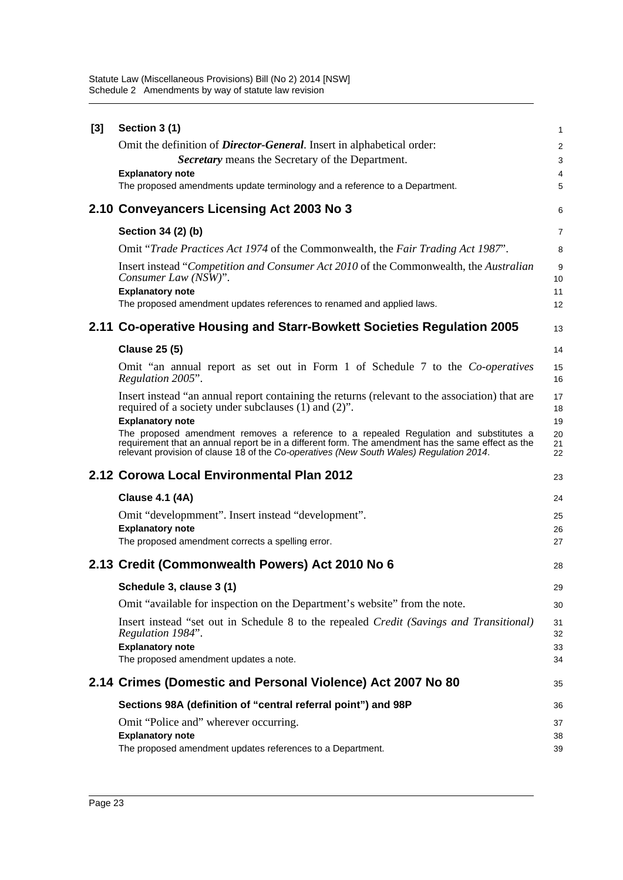| $[3]$ | Section 3 (1)                                                                                                                                                                               | $\mathbf{1}$   |
|-------|---------------------------------------------------------------------------------------------------------------------------------------------------------------------------------------------|----------------|
|       | Omit the definition of <i>Director-General</i> . Insert in alphabetical order:                                                                                                              | 2              |
|       | <b>Secretary</b> means the Secretary of the Department.                                                                                                                                     | 3              |
|       | <b>Explanatory note</b>                                                                                                                                                                     | 4              |
|       | The proposed amendments update terminology and a reference to a Department.                                                                                                                 | 5              |
|       | 2.10 Conveyancers Licensing Act 2003 No 3                                                                                                                                                   | 6              |
|       | Section 34 (2) (b)                                                                                                                                                                          | $\overline{7}$ |
|       | Omit "Trade Practices Act 1974 of the Commonwealth, the Fair Trading Act 1987".                                                                                                             | 8              |
|       | Insert instead "Competition and Consumer Act 2010 of the Commonwealth, the Australian<br>Consumer Law (NSW)".                                                                               | 9<br>10        |
|       | <b>Explanatory note</b><br>The proposed amendment updates references to renamed and applied laws.                                                                                           | 11<br>12       |
|       |                                                                                                                                                                                             |                |
|       | 2.11 Co-operative Housing and Starr-Bowkett Societies Regulation 2005                                                                                                                       | 13             |
|       | <b>Clause 25 (5)</b>                                                                                                                                                                        | 14             |
|       | Omit "an annual report as set out in Form 1 of Schedule 7 to the Co-operatives<br>Regulation 2005".                                                                                         | 15<br>16       |
|       | Insert instead "an annual report containing the returns (relevant to the association) that are<br>required of a society under subclauses (1) and (2)".                                      | 17<br>18       |
|       | <b>Explanatory note</b>                                                                                                                                                                     | 19             |
|       | The proposed amendment removes a reference to a repealed Regulation and substitutes a<br>requirement that an annual report be in a different form. The amendment has the same effect as the | 20<br>21       |
|       | relevant provision of clause 18 of the Co-operatives (New South Wales) Regulation 2014.                                                                                                     | 22             |
|       | 2.12 Corowa Local Environmental Plan 2012                                                                                                                                                   | 23             |
|       | <b>Clause 4.1 (4A)</b>                                                                                                                                                                      | 24             |
|       | Omit "developmment". Insert instead "development".                                                                                                                                          | 25             |
|       | <b>Explanatory note</b>                                                                                                                                                                     | 26             |
|       | The proposed amendment corrects a spelling error.                                                                                                                                           | 27             |
|       | 2.13 Credit (Commonwealth Powers) Act 2010 No 6                                                                                                                                             | 28             |
|       | Schedule 3, clause 3 (1)                                                                                                                                                                    | 29             |
|       | Omit "available for inspection on the Department's website" from the note.                                                                                                                  | 30             |
|       | Insert instead "set out in Schedule 8 to the repealed Credit (Savings and Transitional)<br>Regulation 1984".                                                                                | 31<br>32       |
|       | <b>Explanatory note</b>                                                                                                                                                                     | 33             |
|       | The proposed amendment updates a note.<br>2.14 Crimes (Domestic and Personal Violence) Act 2007 No 80                                                                                       | 34<br>35       |
|       | Sections 98A (definition of "central referral point") and 98P                                                                                                                               | 36             |
|       |                                                                                                                                                                                             | 37             |
|       | Omit "Police and" wherever occurring.<br><b>Explanatory note</b><br>The proposed amendment updates references to a Department.                                                              | 38             |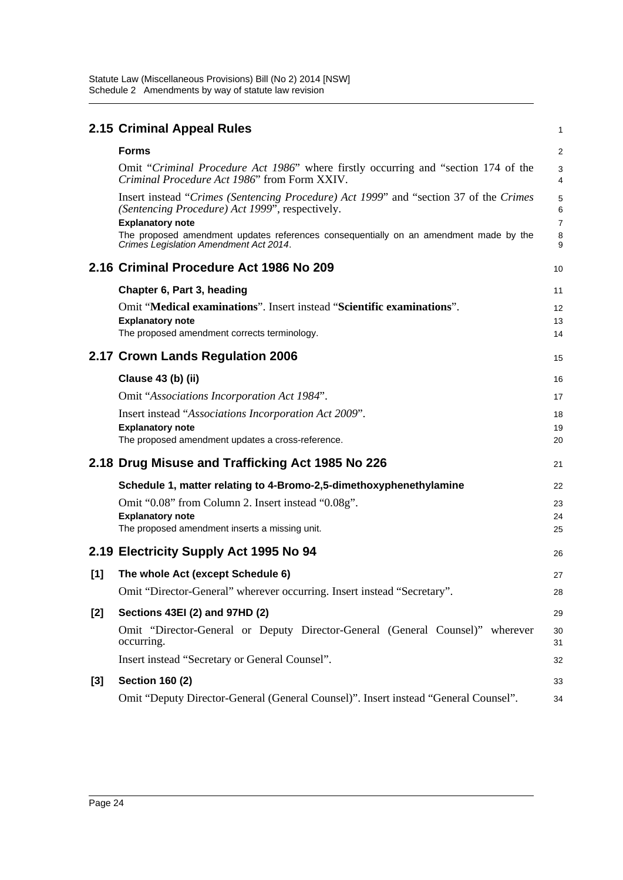|     | 2.15 Criminal Appeal Rules                                                                                                                                                                                                                                    | 1                        |
|-----|---------------------------------------------------------------------------------------------------------------------------------------------------------------------------------------------------------------------------------------------------------------|--------------------------|
|     | <b>Forms</b>                                                                                                                                                                                                                                                  | $\overline{a}$           |
|     | Omit "Criminal Procedure Act 1986" where firstly occurring and "section 174 of the<br>Criminal Procedure Act 1986" from Form XXIV.                                                                                                                            | 3<br>4                   |
|     | Insert instead "Crimes (Sentencing Procedure) Act 1999" and "section 37 of the Crimes"<br>(Sentencing Procedure) Act 1999", respectively.<br><b>Explanatory note</b><br>The proposed amendment updates references consequentially on an amendment made by the | 5<br>6<br>$\overline{7}$ |
|     | Crimes Legislation Amendment Act 2014.                                                                                                                                                                                                                        | 8<br>9                   |
|     | 2.16 Criminal Procedure Act 1986 No 209                                                                                                                                                                                                                       | 10                       |
|     | Chapter 6, Part 3, heading                                                                                                                                                                                                                                    | 11                       |
|     | Omit "Medical examinations". Insert instead "Scientific examinations".                                                                                                                                                                                        | 12                       |
|     | <b>Explanatory note</b><br>The proposed amendment corrects terminology.                                                                                                                                                                                       | 13                       |
|     |                                                                                                                                                                                                                                                               | 14                       |
|     | 2.17 Crown Lands Regulation 2006                                                                                                                                                                                                                              | 15                       |
|     | Clause 43 (b) (ii)                                                                                                                                                                                                                                            | 16                       |
|     | Omit "Associations Incorporation Act 1984".                                                                                                                                                                                                                   | 17                       |
|     | Insert instead "Associations Incorporation Act 2009".                                                                                                                                                                                                         | 18                       |
|     | <b>Explanatory note</b><br>The proposed amendment updates a cross-reference.                                                                                                                                                                                  | 19                       |
|     |                                                                                                                                                                                                                                                               | 20                       |
|     | 2.18 Drug Misuse and Trafficking Act 1985 No 226                                                                                                                                                                                                              | 21                       |
|     | Schedule 1, matter relating to 4-Bromo-2,5-dimethoxyphenethylamine                                                                                                                                                                                            | 22                       |
|     | Omit "0.08" from Column 2. Insert instead "0.08g".                                                                                                                                                                                                            | 23                       |
|     | <b>Explanatory note</b>                                                                                                                                                                                                                                       | 24                       |
|     | The proposed amendment inserts a missing unit.                                                                                                                                                                                                                | 25                       |
|     | 2.19 Electricity Supply Act 1995 No 94                                                                                                                                                                                                                        | 26                       |
| [1] | The whole Act (except Schedule 6)                                                                                                                                                                                                                             | 27                       |
|     | Omit "Director-General" wherever occurring. Insert instead "Secretary".                                                                                                                                                                                       | 28                       |
| [2] | Sections 43EI (2) and 97HD (2)                                                                                                                                                                                                                                | 29                       |
|     | Omit "Director-General or Deputy Director-General (General Counsel)" wherever<br>occurring.                                                                                                                                                                   | 30<br>31                 |
|     | Insert instead "Secretary or General Counsel".                                                                                                                                                                                                                | 32                       |
| [3] | <b>Section 160 (2)</b>                                                                                                                                                                                                                                        | 33                       |
|     | Omit "Deputy Director-General (General Counsel)". Insert instead "General Counsel".                                                                                                                                                                           | 34                       |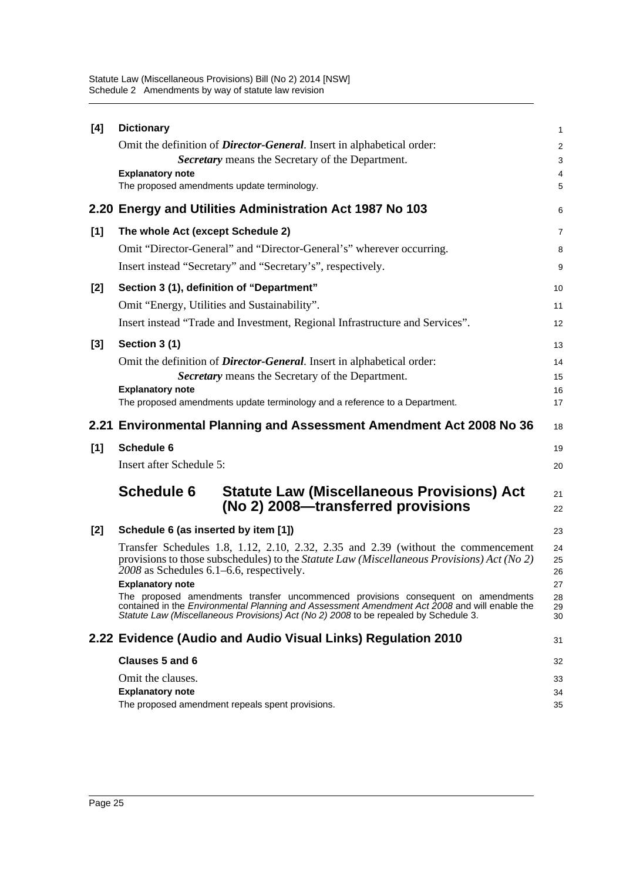|       | <b>Dictionary</b>                                                                                                                                                                                                                                                                | 1              |
|-------|----------------------------------------------------------------------------------------------------------------------------------------------------------------------------------------------------------------------------------------------------------------------------------|----------------|
|       | Omit the definition of <i>Director-General</i> . Insert in alphabetical order:                                                                                                                                                                                                   | $\overline{c}$ |
|       | Secretary means the Secretary of the Department.                                                                                                                                                                                                                                 | 3              |
|       | <b>Explanatory note</b>                                                                                                                                                                                                                                                          | 4              |
|       | The proposed amendments update terminology.                                                                                                                                                                                                                                      | 5              |
|       | 2.20 Energy and Utilities Administration Act 1987 No 103                                                                                                                                                                                                                         | 6              |
| $[1]$ | The whole Act (except Schedule 2)                                                                                                                                                                                                                                                | 7              |
|       | Omit "Director-General" and "Director-General's" wherever occurring.                                                                                                                                                                                                             | 8              |
|       | Insert instead "Secretary" and "Secretary's", respectively.                                                                                                                                                                                                                      | 9              |
| [2]   | Section 3 (1), definition of "Department"                                                                                                                                                                                                                                        | 10             |
|       | Omit "Energy, Utilities and Sustainability".                                                                                                                                                                                                                                     | 11             |
|       | Insert instead "Trade and Investment, Regional Infrastructure and Services".                                                                                                                                                                                                     | 12             |
| [3]   | Section 3 (1)                                                                                                                                                                                                                                                                    | 13             |
|       | Omit the definition of <i>Director-General</i> . Insert in alphabetical order:                                                                                                                                                                                                   | 14             |
|       | Secretary means the Secretary of the Department.                                                                                                                                                                                                                                 | 15             |
|       | <b>Explanatory note</b>                                                                                                                                                                                                                                                          | 16             |
|       | The proposed amendments update terminology and a reference to a Department.                                                                                                                                                                                                      | 17             |
|       | 2.21 Environmental Planning and Assessment Amendment Act 2008 No 36                                                                                                                                                                                                              | 18             |
| [1]   | Schedule 6                                                                                                                                                                                                                                                                       | 19             |
|       |                                                                                                                                                                                                                                                                                  |                |
|       | Insert after Schedule 5:                                                                                                                                                                                                                                                         | 20             |
|       |                                                                                                                                                                                                                                                                                  |                |
|       | <b>Schedule 6</b><br><b>Statute Law (Miscellaneous Provisions) Act</b><br>(No 2) 2008—transferred provisions                                                                                                                                                                     | 21<br>22       |
|       |                                                                                                                                                                                                                                                                                  | 23             |
| [2]   | Schedule 6 (as inserted by item [1])                                                                                                                                                                                                                                             | 24             |
|       | Transfer Schedules 1.8, 1.12, 2.10, 2.32, 2.35 and 2.39 (without the commencement<br>provisions to those subschedules) to the <i>Statute Law</i> ( <i>Miscellaneous Provisions</i> ) Act (No 2)                                                                                  | 25             |
|       | 2008 as Schedules 6.1–6.6, respectively.                                                                                                                                                                                                                                         | 26             |
|       | <b>Explanatory note</b>                                                                                                                                                                                                                                                          | 27             |
|       | The proposed amendments transfer uncommenced provisions consequent on amendments<br>contained in the <i>Environmental Planning and Assessment Amendment Act 2008</i> and will enable the<br>Statute Law (Miscellaneous Provisions) Act (No 2) 2008 to be repealed by Schedule 3. | 28<br>29<br>30 |
|       |                                                                                                                                                                                                                                                                                  |                |
|       | 2.22 Evidence (Audio and Audio Visual Links) Regulation 2010                                                                                                                                                                                                                     | 31             |
|       | <b>Clauses 5 and 6</b>                                                                                                                                                                                                                                                           | 32             |
|       | Omit the clauses.                                                                                                                                                                                                                                                                | 33             |
|       | <b>Explanatory note</b><br>The proposed amendment repeals spent provisions.                                                                                                                                                                                                      | 34<br>35       |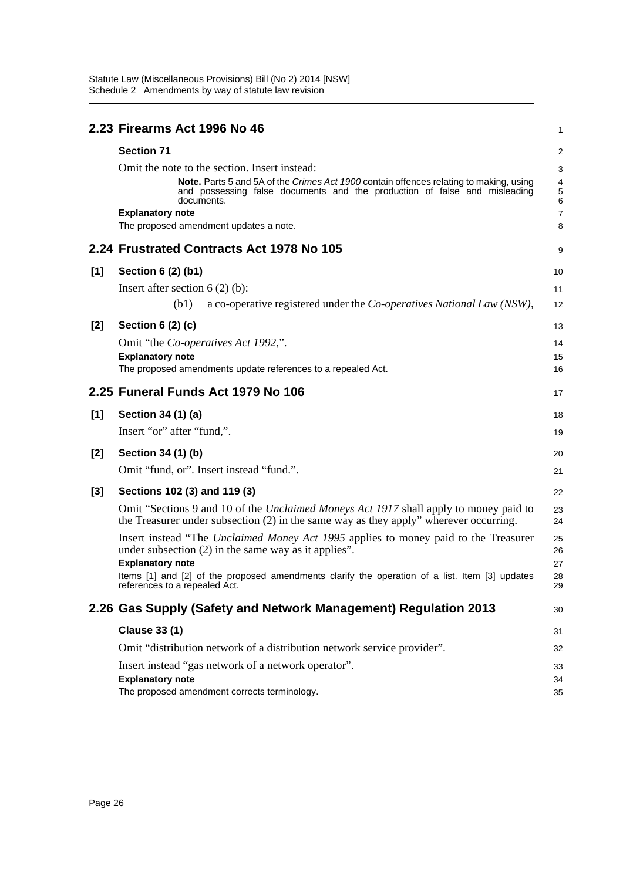|       | 2.23 Firearms Act 1996 No 46                                                                                                                                                                                                       | 1                                                    |
|-------|------------------------------------------------------------------------------------------------------------------------------------------------------------------------------------------------------------------------------------|------------------------------------------------------|
|       | <b>Section 71</b>                                                                                                                                                                                                                  | 2                                                    |
|       | Omit the note to the section. Insert instead:<br>Note. Parts 5 and 5A of the Crimes Act 1900 contain offences relating to making, using<br>and possessing false documents and the production of false and misleading<br>documents. | $\sqrt{3}$<br>$\overline{4}$<br>5<br>$6\phantom{1}6$ |
|       | <b>Explanatory note</b>                                                                                                                                                                                                            | $\boldsymbol{7}$                                     |
|       | The proposed amendment updates a note.                                                                                                                                                                                             | 8                                                    |
|       | 2.24 Frustrated Contracts Act 1978 No 105                                                                                                                                                                                          | 9                                                    |
| [1]   | Section 6 (2) (b1)                                                                                                                                                                                                                 | 10                                                   |
|       | Insert after section $6(2)(b)$ :                                                                                                                                                                                                   | 11                                                   |
|       | (b1)<br>a co-operative registered under the <i>Co-operatives National Law</i> ( <i>NSW</i> ),                                                                                                                                      | 12                                                   |
| $[2]$ | Section $6(2)(c)$                                                                                                                                                                                                                  | 13                                                   |
|       | Omit "the Co-operatives Act 1992,".                                                                                                                                                                                                | 14                                                   |
|       | <b>Explanatory note</b>                                                                                                                                                                                                            | 15                                                   |
|       | The proposed amendments update references to a repealed Act.                                                                                                                                                                       | 16                                                   |
|       | 2.25 Funeral Funds Act 1979 No 106                                                                                                                                                                                                 | 17                                                   |
| [1]   | Section 34 (1) (a)                                                                                                                                                                                                                 | 18                                                   |
|       | Insert "or" after "fund,".                                                                                                                                                                                                         | 19                                                   |
| $[2]$ | Section 34 (1) (b)                                                                                                                                                                                                                 | 20                                                   |
|       | Omit "fund, or". Insert instead "fund.".                                                                                                                                                                                           | 21                                                   |
| $[3]$ | Sections 102 (3) and 119 (3)                                                                                                                                                                                                       | 22                                                   |
|       | Omit "Sections 9 and 10 of the <i>Unclaimed Moneys Act 1917</i> shall apply to money paid to<br>the Treasurer under subsection $(2)$ in the same way as they apply" wherever occurring.                                            | 23<br>24                                             |
|       | Insert instead "The Unclaimed Money Act 1995 applies to money paid to the Treasurer<br>under subsection $(2)$ in the same way as it applies".                                                                                      | 25<br>26                                             |
|       | <b>Explanatory note</b><br>Items [1] and [2] of the proposed amendments clarify the operation of a list. Item [3] updates<br>references to a repealed Act.                                                                         | 27<br>28<br>29                                       |
|       | 2.26 Gas Supply (Safety and Network Management) Regulation 2013                                                                                                                                                                    | 30                                                   |
|       | <b>Clause 33 (1)</b>                                                                                                                                                                                                               | 31                                                   |
|       | Omit "distribution network of a distribution network service provider".                                                                                                                                                            | 32                                                   |
|       | Insert instead "gas network of a network operator".                                                                                                                                                                                | 33                                                   |
|       | <b>Explanatory note</b>                                                                                                                                                                                                            | 34                                                   |
|       | The proposed amendment corrects terminology.                                                                                                                                                                                       | 35                                                   |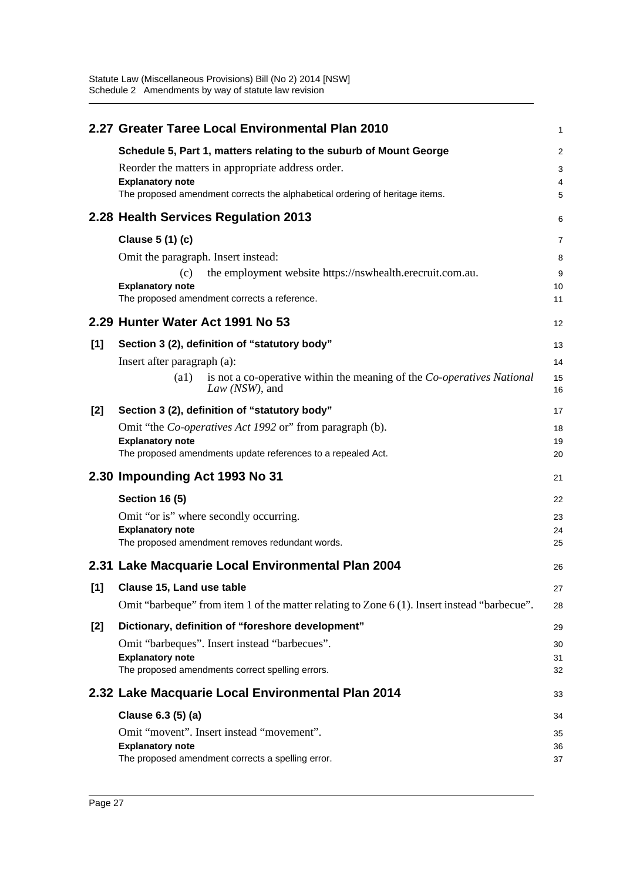|       | 2.27 Greater Taree Local Environmental Plan 2010                                                          | 1              |
|-------|-----------------------------------------------------------------------------------------------------------|----------------|
|       | Schedule 5, Part 1, matters relating to the suburb of Mount George                                        | $\overline{a}$ |
|       | Reorder the matters in appropriate address order.                                                         | 3              |
|       | <b>Explanatory note</b>                                                                                   | 4              |
|       | The proposed amendment corrects the alphabetical ordering of heritage items.                              | 5              |
|       | 2.28 Health Services Regulation 2013                                                                      | 6              |
|       | Clause 5 (1) (c)                                                                                          | 7              |
|       | Omit the paragraph. Insert instead:                                                                       | 8              |
|       | the employment website https://nswhealth.erecruit.com.au.<br>(c)                                          | 9              |
|       | <b>Explanatory note</b>                                                                                   | 10             |
|       | The proposed amendment corrects a reference.                                                              | 11             |
|       | 2.29 Hunter Water Act 1991 No 53                                                                          | 12             |
| [1]   | Section 3 (2), definition of "statutory body"                                                             | 13             |
|       | Insert after paragraph (a):                                                                               | 14             |
|       | (a1)<br>is not a co-operative within the meaning of the <i>Co-operatives National</i><br>$Law$ (NSW), and | 15<br>16       |
| $[2]$ | Section 3 (2), definition of "statutory body"                                                             | 17             |
|       | Omit "the <i>Co-operatives Act 1992</i> or" from paragraph (b).                                           | 18             |
|       | <b>Explanatory note</b>                                                                                   | 19             |
|       | The proposed amendments update references to a repealed Act.                                              | 20             |
|       | 2.30 Impounding Act 1993 No 31                                                                            | 21             |
|       | <b>Section 16 (5)</b>                                                                                     | 22             |
|       | Omit "or is" where secondly occurring.                                                                    | 23             |
|       | <b>Explanatory note</b>                                                                                   | 24             |
|       | The proposed amendment removes redundant words.                                                           | 25             |
|       | 2.31 Lake Macquarie Local Environmental Plan 2004                                                         | 26             |
| $[1]$ | Clause 15, Land use table                                                                                 | 27             |
|       | Omit "barbeque" from item 1 of the matter relating to Zone 6 (1). Insert instead "barbecue".              | 28             |
| $[2]$ | Dictionary, definition of "foreshore development"                                                         | 29             |
|       | Omit "barbeques". Insert instead "barbecues".                                                             | 30             |
|       | <b>Explanatory note</b>                                                                                   | 31             |
|       | The proposed amendments correct spelling errors.                                                          | 32             |
|       | 2.32 Lake Macquarie Local Environmental Plan 2014                                                         | 33             |
|       | Clause 6.3 (5) (a)                                                                                        | 34             |
|       | Omit "movent". Insert instead "movement".                                                                 | 35             |
|       |                                                                                                           | 36             |
|       | <b>Explanatory note</b><br>The proposed amendment corrects a spelling error.                              | 37             |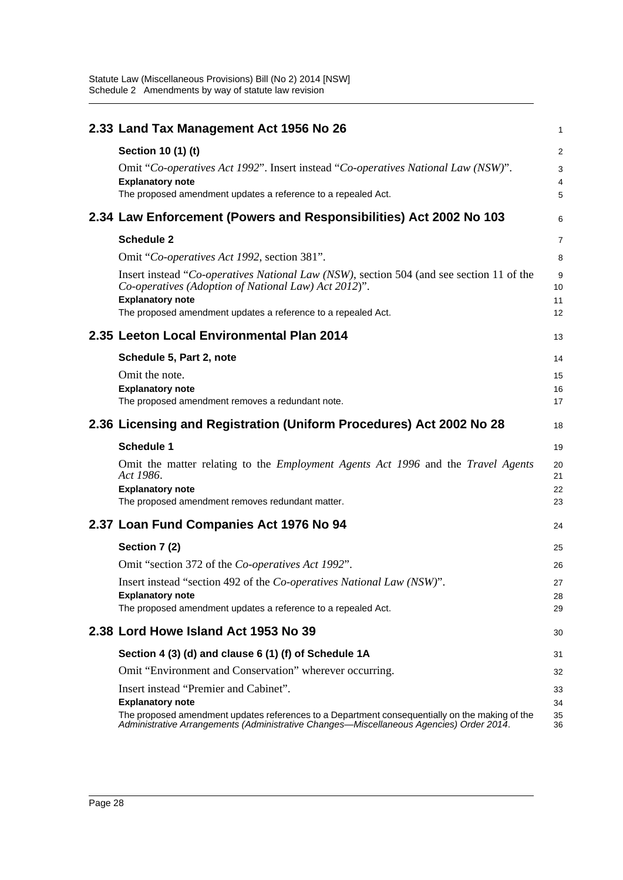| 2.33 Land Tax Management Act 1956 No 26                                                                                                                                                                              | 1              |
|----------------------------------------------------------------------------------------------------------------------------------------------------------------------------------------------------------------------|----------------|
| Section 10 (1) (t)                                                                                                                                                                                                   | $\overline{a}$ |
| Omit "Co-operatives Act 1992". Insert instead "Co-operatives National Law (NSW)".                                                                                                                                    | 3              |
| <b>Explanatory note</b>                                                                                                                                                                                              | 4              |
| The proposed amendment updates a reference to a repealed Act.                                                                                                                                                        | 5              |
| 2.34 Law Enforcement (Powers and Responsibilities) Act 2002 No 103                                                                                                                                                   | 6              |
| <b>Schedule 2</b>                                                                                                                                                                                                    | 7              |
| Omit "Co-operatives Act 1992, section 381".                                                                                                                                                                          | 8              |
| Insert instead "Co-operatives National Law (NSW), section 504 (and see section 11 of the<br>Co-operatives (Adoption of National Law) Act 2012)".                                                                     | 9<br>10        |
| <b>Explanatory note</b><br>The proposed amendment updates a reference to a repealed Act.                                                                                                                             | 11<br>12       |
| 2.35 Leeton Local Environmental Plan 2014                                                                                                                                                                            | 13             |
| Schedule 5, Part 2, note                                                                                                                                                                                             | 14             |
| Omit the note.                                                                                                                                                                                                       | 15             |
| <b>Explanatory note</b>                                                                                                                                                                                              | 16             |
| The proposed amendment removes a redundant note.                                                                                                                                                                     | 17             |
| 2.36 Licensing and Registration (Uniform Procedures) Act 2002 No 28                                                                                                                                                  | 18             |
| <b>Schedule 1</b>                                                                                                                                                                                                    | 19             |
| Omit the matter relating to the <i>Employment Agents Act 1996</i> and the <i>Travel Agents</i><br>Act 1986.                                                                                                          | 20<br>21       |
| <b>Explanatory note</b><br>The proposed amendment removes redundant matter.                                                                                                                                          | 22<br>23       |
|                                                                                                                                                                                                                      |                |
| 2.37 Loan Fund Companies Act 1976 No 94                                                                                                                                                                              | 24             |
| Section 7 (2)                                                                                                                                                                                                        | 25             |
| Omit "section 372 of the Co-operatives Act 1992".                                                                                                                                                                    | 26             |
| Insert instead "section 492 of the Co-operatives National Law (NSW)".                                                                                                                                                | 27             |
| <b>Explanatory note</b><br>The proposed amendment updates a reference to a repealed Act.                                                                                                                             | 28<br>29       |
| 2.38 Lord Howe Island Act 1953 No 39                                                                                                                                                                                 | 30             |
| Section 4 (3) (d) and clause 6 (1) (f) of Schedule 1A                                                                                                                                                                | 31             |
| Omit "Environment and Conservation" wherever occurring.                                                                                                                                                              | 32             |
| Insert instead "Premier and Cabinet".                                                                                                                                                                                | 33             |
| <b>Explanatory note</b><br>The proposed amendment updates references to a Department consequentially on the making of the<br>Administrative Arrangements (Administrative Changes—Miscellaneous Agencies) Order 2014. | 34<br>35<br>36 |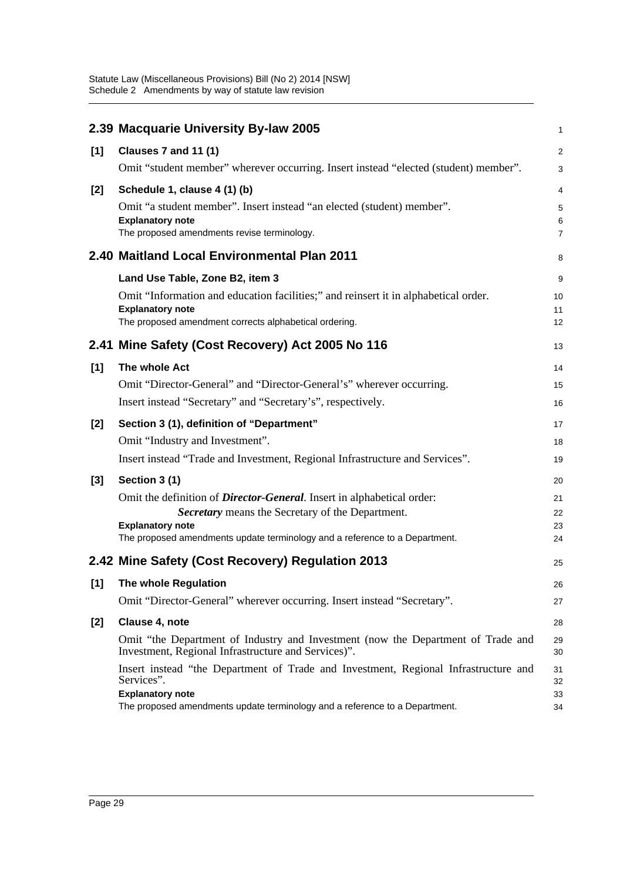|                     | 2.39 Macquarie University By-law 2005                                                                                                                                                                       | $\mathbf{1}$         |
|---------------------|-------------------------------------------------------------------------------------------------------------------------------------------------------------------------------------------------------------|----------------------|
| [1]                 | Clauses 7 and 11 (1)                                                                                                                                                                                        | $\overline{2}$       |
|                     | Omit "student member" wherever occurring. Insert instead "elected (student) member".                                                                                                                        | 3                    |
| $[2]$               | Schedule 1, clause 4 (1) (b)                                                                                                                                                                                | 4                    |
|                     | Omit "a student member". Insert instead "an elected (student) member".                                                                                                                                      | 5                    |
|                     | <b>Explanatory note</b><br>The proposed amendments revise terminology.                                                                                                                                      | 6<br>$\overline{7}$  |
|                     | 2.40 Maitland Local Environmental Plan 2011                                                                                                                                                                 | 8                    |
|                     | Land Use Table, Zone B2, item 3                                                                                                                                                                             | 9                    |
|                     | Omit "Information and education facilities;" and reinsert it in alphabetical order.                                                                                                                         | 10                   |
|                     | <b>Explanatory note</b>                                                                                                                                                                                     | 11                   |
|                     | The proposed amendment corrects alphabetical ordering.                                                                                                                                                      | 12                   |
|                     | 2.41 Mine Safety (Cost Recovery) Act 2005 No 116                                                                                                                                                            | 13                   |
| [1]                 | The whole Act                                                                                                                                                                                               | 14                   |
|                     | Omit "Director-General" and "Director-General's" wherever occurring.                                                                                                                                        | 15                   |
|                     | Insert instead "Secretary" and "Secretary's", respectively.                                                                                                                                                 | 16                   |
| $[2]$               | Section 3 (1), definition of "Department"                                                                                                                                                                   | 17                   |
|                     | Omit "Industry and Investment".                                                                                                                                                                             | 18                   |
|                     | Insert instead "Trade and Investment, Regional Infrastructure and Services".                                                                                                                                | 19                   |
| $[3]$               | Section 3 (1)                                                                                                                                                                                               | 20                   |
|                     | Omit the definition of <i>Director-General</i> . Insert in alphabetical order:                                                                                                                              | 21                   |
|                     | Secretary means the Secretary of the Department.                                                                                                                                                            | 22                   |
|                     | <b>Explanatory note</b><br>The proposed amendments update terminology and a reference to a Department.                                                                                                      | 23<br>24             |
|                     |                                                                                                                                                                                                             |                      |
|                     | 2.42 Mine Safety (Cost Recovery) Regulation 2013                                                                                                                                                            | 25                   |
| $\lbrack 1 \rbrack$ | The whole Regulation                                                                                                                                                                                        | 26                   |
|                     | Omit "Director-General" wherever occurring. Insert instead "Secretary".                                                                                                                                     | 27                   |
| $[2]$               | Clause 4, note                                                                                                                                                                                              | 28                   |
|                     | Omit "the Department of Industry and Investment (now the Department of Trade and<br>Investment, Regional Infrastructure and Services)".                                                                     | 29<br>30             |
|                     | Insert instead "the Department of Trade and Investment, Regional Infrastructure and<br>Services".<br><b>Explanatory note</b><br>The proposed amendments update terminology and a reference to a Department. | 31<br>32<br>33<br>34 |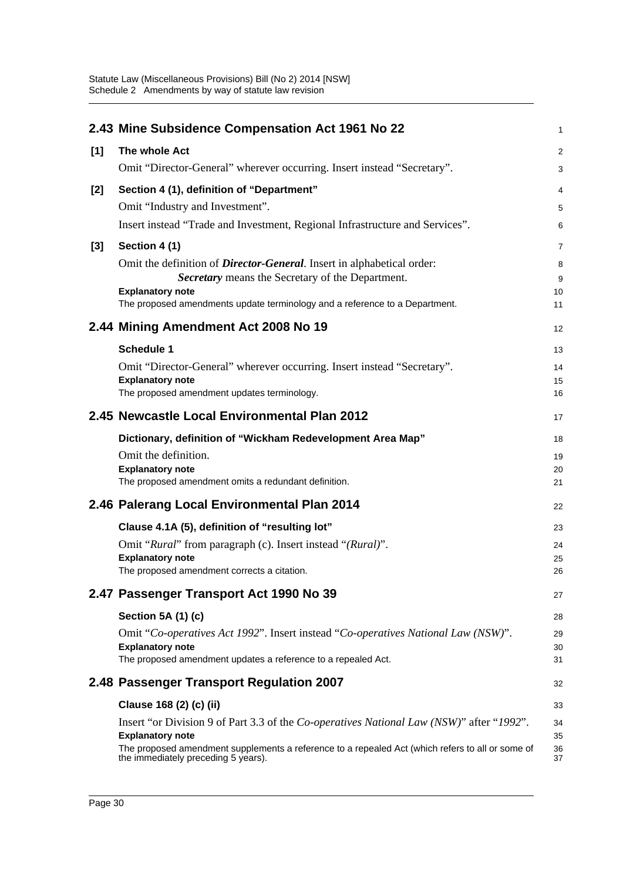|     | 2.43 Mine Subsidence Compensation Act 1961 No 22                                                                                        | $\mathbf{1}$   |
|-----|-----------------------------------------------------------------------------------------------------------------------------------------|----------------|
| [1] | The whole Act                                                                                                                           | $\overline{2}$ |
|     | Omit "Director-General" wherever occurring. Insert instead "Secretary".                                                                 | $\mathsf 3$    |
| [2] | Section 4 (1), definition of "Department"                                                                                               | $\overline{4}$ |
|     | Omit "Industry and Investment".                                                                                                         | 5              |
|     | Insert instead "Trade and Investment, Regional Infrastructure and Services".                                                            | 6              |
| [3] | Section 4 (1)                                                                                                                           | $\overline{7}$ |
|     | Omit the definition of <i>Director-General</i> . Insert in alphabetical order:                                                          | 8              |
|     | Secretary means the Secretary of the Department.                                                                                        | 9              |
|     | <b>Explanatory note</b>                                                                                                                 | 10             |
|     | The proposed amendments update terminology and a reference to a Department.                                                             | 11             |
|     | 2.44 Mining Amendment Act 2008 No 19                                                                                                    | 12             |
|     | <b>Schedule 1</b>                                                                                                                       | 13             |
|     | Omit "Director-General" wherever occurring. Insert instead "Secretary".                                                                 | 14             |
|     | <b>Explanatory note</b>                                                                                                                 | 15             |
|     | The proposed amendment updates terminology.                                                                                             | 16             |
|     | 2.45 Newcastle Local Environmental Plan 2012                                                                                            | 17             |
|     | Dictionary, definition of "Wickham Redevelopment Area Map"                                                                              | 18             |
|     | Omit the definition.                                                                                                                    | 19             |
|     | <b>Explanatory note</b>                                                                                                                 | 20             |
|     | The proposed amendment omits a redundant definition.                                                                                    | 21             |
|     | 2.46 Palerang Local Environmental Plan 2014                                                                                             | 22             |
|     | Clause 4.1A (5), definition of "resulting lot"                                                                                          | 23             |
|     | Omit "Rural" from paragraph (c). Insert instead "(Rural)".                                                                              | 24             |
|     | <b>Explanatory note</b>                                                                                                                 | 25             |
|     | The proposed amendment corrects a citation.                                                                                             | 26             |
|     | 2.47 Passenger Transport Act 1990 No 39                                                                                                 | 27             |
|     | Section 5A (1) (c)                                                                                                                      | 28             |
|     | Omit "Co-operatives Act 1992". Insert instead "Co-operatives National Law (NSW)".                                                       | 29             |
|     | <b>Explanatory note</b>                                                                                                                 | 30             |
|     | The proposed amendment updates a reference to a repealed Act.                                                                           | 31             |
|     | 2.48 Passenger Transport Regulation 2007                                                                                                | 32             |
|     | Clause 168 (2) (c) (ii)                                                                                                                 | 33             |
|     | Insert "or Division 9 of Part 3.3 of the <i>Co-operatives National Law (NSW)</i> " after "1992".                                        | 34             |
|     | <b>Explanatory note</b>                                                                                                                 | 35             |
|     | The proposed amendment supplements a reference to a repealed Act (which refers to all or some of<br>the immediately preceding 5 years). | 36<br>37       |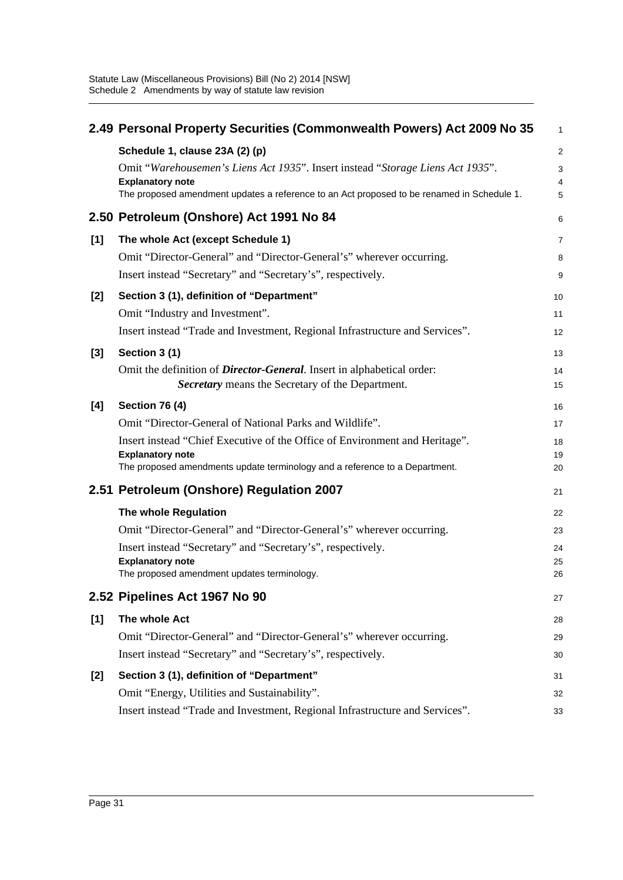|     | 2.49 Personal Property Securities (Commonwealth Powers) Act 2009 No 35                                    | $\mathbf{1}$   |
|-----|-----------------------------------------------------------------------------------------------------------|----------------|
|     | Schedule 1, clause 23A (2) (p)                                                                            | $\overline{2}$ |
|     | Omit "Warehousemen's Liens Act 1935". Insert instead "Storage Liens Act 1935".<br><b>Explanatory note</b> | 3<br>4         |
|     | The proposed amendment updates a reference to an Act proposed to be renamed in Schedule 1.                | 5              |
|     | 2.50 Petroleum (Onshore) Act 1991 No 84                                                                   | 6              |
| [1] | The whole Act (except Schedule 1)                                                                         | 7              |
|     | Omit "Director-General" and "Director-General's" wherever occurring.                                      | 8              |
|     | Insert instead "Secretary" and "Secretary's", respectively.                                               | 9              |
| [2] | Section 3 (1), definition of "Department"                                                                 | 10             |
|     | Omit "Industry and Investment".                                                                           | 11             |
|     | Insert instead "Trade and Investment, Regional Infrastructure and Services".                              | 12             |
| [3] | Section 3 (1)                                                                                             | 13             |
|     | Omit the definition of <i>Director-General</i> . Insert in alphabetical order:                            | 14             |
|     | Secretary means the Secretary of the Department.                                                          | 15             |
| [4] | <b>Section 76 (4)</b>                                                                                     | 16             |
|     | Omit "Director-General of National Parks and Wildlife".                                                   | 17             |
|     | Insert instead "Chief Executive of the Office of Environment and Heritage".                               | 18             |
|     | <b>Explanatory note</b><br>The proposed amendments update terminology and a reference to a Department.    | 19<br>20       |
|     |                                                                                                           |                |
|     | 2.51 Petroleum (Onshore) Regulation 2007                                                                  | 21             |
|     | The whole Regulation                                                                                      | 22             |
|     | Omit "Director-General" and "Director-General's" wherever occurring.                                      | 23             |
|     | Insert instead "Secretary" and "Secretary's", respectively.                                               | 24             |
|     | <b>Explanatory note</b><br>The proposed amendment updates terminology.                                    | 25<br>26       |
|     | 2.52 Pipelines Act 1967 No 90                                                                             | 27             |
| [1] | The whole Act                                                                                             | 28             |
|     | Omit "Director-General" and "Director-General's" wherever occurring.                                      | 29             |
|     | Insert instead "Secretary" and "Secretary's", respectively.                                               | 30             |
| [2] | Section 3 (1), definition of "Department"                                                                 | 31             |
|     | Omit "Energy, Utilities and Sustainability".                                                              | 32             |
|     | Insert instead "Trade and Investment, Regional Infrastructure and Services".                              | 33             |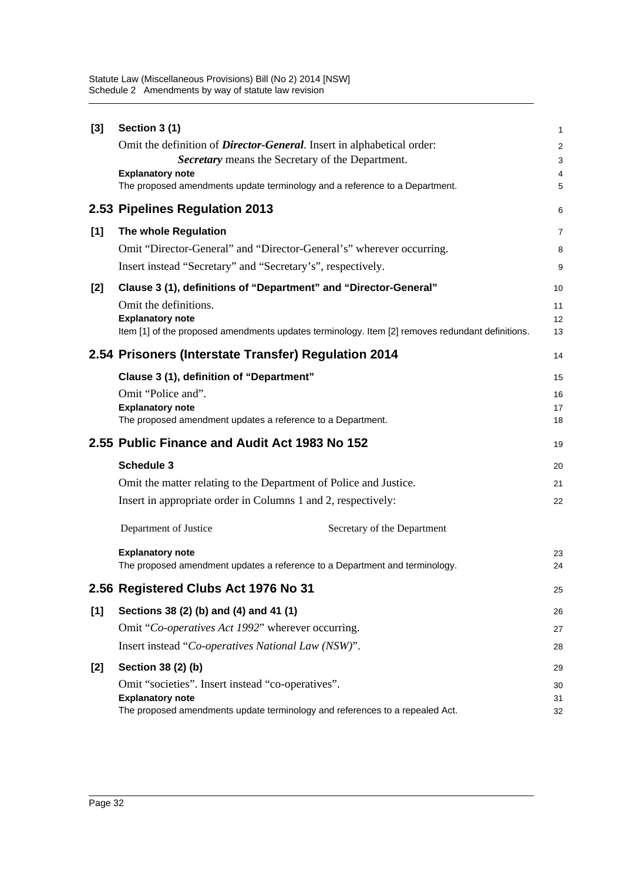| $[3]$ | Section 3 (1)                                                                                           | 1              |
|-------|---------------------------------------------------------------------------------------------------------|----------------|
|       | Omit the definition of <i>Director-General</i> . Insert in alphabetical order:                          | $\overline{c}$ |
|       | Secretary means the Secretary of the Department.                                                        | 3              |
|       | <b>Explanatory note</b><br>The proposed amendments update terminology and a reference to a Department.  | 4<br>5         |
|       |                                                                                                         |                |
|       | 2.53 Pipelines Regulation 2013                                                                          | 6              |
| [1]   | The whole Regulation                                                                                    | 7              |
|       | Omit "Director-General" and "Director-General's" wherever occurring.                                    | 8              |
|       | Insert instead "Secretary" and "Secretary's", respectively.                                             | 9              |
| [2]   | Clause 3 (1), definitions of "Department" and "Director-General"                                        | 10             |
|       | Omit the definitions.                                                                                   | 11             |
|       | <b>Explanatory note</b>                                                                                 | 12             |
|       | Item [1] of the proposed amendments updates terminology. Item [2] removes redundant definitions.        | 13             |
|       | 2.54 Prisoners (Interstate Transfer) Regulation 2014                                                    | 14             |
|       | Clause 3 (1), definition of "Department"                                                                | 15             |
|       | Omit "Police and".                                                                                      | 16             |
|       | <b>Explanatory note</b>                                                                                 | 17             |
|       | The proposed amendment updates a reference to a Department.                                             | 18             |
|       | 2.55 Public Finance and Audit Act 1983 No 152                                                           | 19             |
|       | <b>Schedule 3</b>                                                                                       | 20             |
|       | Omit the matter relating to the Department of Police and Justice.                                       |                |
|       |                                                                                                         | 21             |
|       | Insert in appropriate order in Columns 1 and 2, respectively:                                           | 22             |
|       | Department of Justice<br>Secretary of the Department                                                    |                |
|       | <b>Explanatory note</b>                                                                                 | 23             |
|       | The proposed amendment updates a reference to a Department and terminology.                             | 24             |
|       | 2.56 Registered Clubs Act 1976 No 31                                                                    | 25             |
| [1]   | Sections 38 (2) (b) and (4) and 41 (1)                                                                  | 26             |
|       | Omit "Co-operatives Act 1992" wherever occurring.                                                       | 27             |
|       | Insert instead "Co-operatives National Law (NSW)".                                                      | 28             |
| [2]   | Section 38 (2) (b)                                                                                      | 29             |
|       | Omit "societies". Insert instead "co-operatives".                                                       | 30             |
|       | <b>Explanatory note</b><br>The proposed amendments update terminology and references to a repealed Act. | 31<br>32       |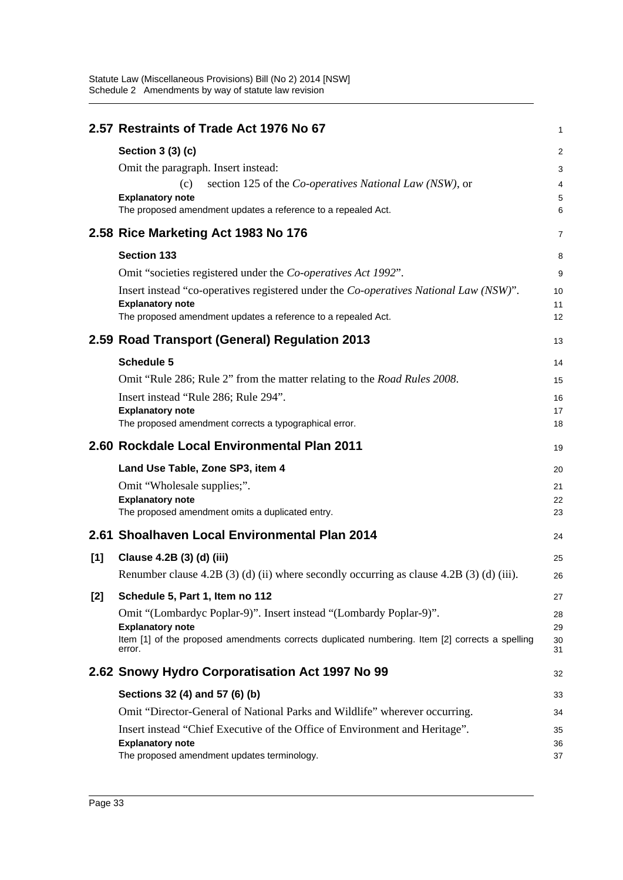|       | 2.57 Restraints of Trade Act 1976 No 67                                                                   | $\mathbf{1}$   |
|-------|-----------------------------------------------------------------------------------------------------------|----------------|
|       | Section 3 (3) (c)                                                                                         | 2              |
|       | Omit the paragraph. Insert instead:                                                                       | 3              |
|       | section 125 of the <i>Co-operatives National Law</i> ( <i>NSW</i> ), or<br>(c)                            | $\overline{4}$ |
|       | <b>Explanatory note</b><br>The proposed amendment updates a reference to a repealed Act.                  | 5<br>6         |
|       | 2.58 Rice Marketing Act 1983 No 176                                                                       | $\overline{7}$ |
|       | <b>Section 133</b>                                                                                        | 8              |
|       | Omit "societies registered under the Co-operatives Act 1992".                                             | 9              |
|       | Insert instead "co-operatives registered under the Co-operatives National Law (NSW)".                     | 10             |
|       | <b>Explanatory note</b><br>The proposed amendment updates a reference to a repealed Act.                  | 11<br>12       |
|       | 2.59 Road Transport (General) Regulation 2013                                                             | 13             |
|       | <b>Schedule 5</b>                                                                                         | 14             |
|       | Omit "Rule 286; Rule 2" from the matter relating to the <i>Road Rules 2008</i> .                          | 15             |
|       | Insert instead "Rule 286; Rule 294".                                                                      | 16             |
|       | <b>Explanatory note</b>                                                                                   | 17             |
|       | The proposed amendment corrects a typographical error.                                                    | 18             |
|       | 2.60 Rockdale Local Environmental Plan 2011                                                               | 19             |
|       | Land Use Table, Zone SP3, item 4                                                                          | 20             |
|       | Omit "Wholesale supplies;".                                                                               | 21             |
|       | <b>Explanatory note</b><br>The proposed amendment omits a duplicated entry.                               | 22<br>23       |
|       |                                                                                                           |                |
|       | 2.61 Shoalhaven Local Environmental Plan 2014                                                             | 24             |
| [1]   | Clause 4.2B (3) (d) (iii)                                                                                 | 25             |
|       | Renumber clause $4.2B(3)(d)(ii)$ where secondly occurring as clause $4.2B(3)(d)(iii)$ .                   | 26             |
| $[2]$ | Schedule 5, Part 1, Item no 112                                                                           | 27             |
|       | Omit "(Lombardyc Poplar-9)". Insert instead "(Lombardy Poplar-9)".                                        | 28             |
|       | <b>Explanatory note</b>                                                                                   | 29             |
|       | Item [1] of the proposed amendments corrects duplicated numbering. Item [2] corrects a spelling<br>error. | 30<br>31       |
|       | 2.62 Snowy Hydro Corporatisation Act 1997 No 99                                                           | 32             |
|       | Sections 32 (4) and 57 (6) (b)                                                                            | 33             |
|       | Omit "Director-General of National Parks and Wildlife" wherever occurring.                                | 34             |
|       | Insert instead "Chief Executive of the Office of Environment and Heritage".                               | 35             |
|       | <b>Explanatory note</b>                                                                                   | 36             |
|       | The proposed amendment updates terminology.                                                               | 37             |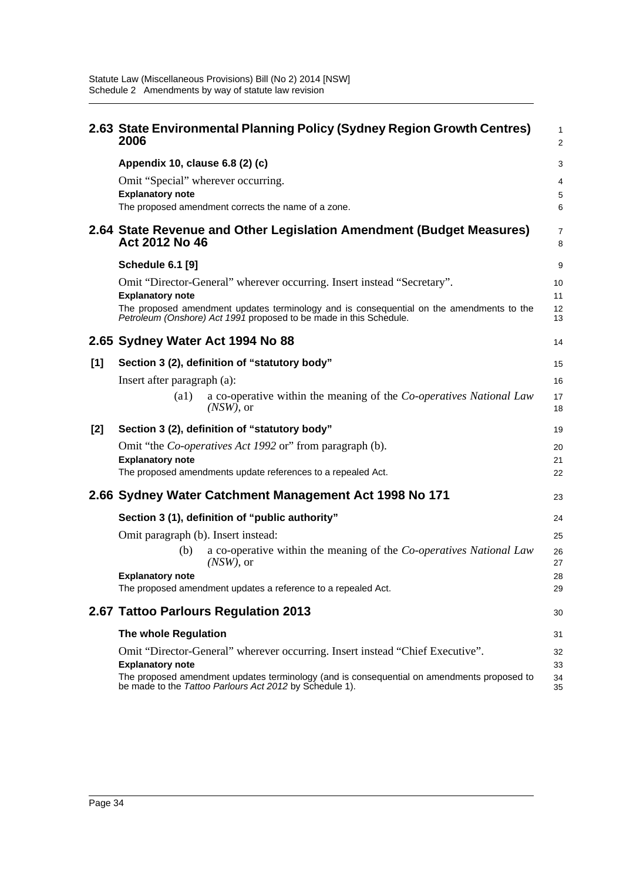|       | 2.63 State Environmental Planning Policy (Sydney Region Growth Centres)<br>2006                                                                                | 1<br>$\overline{a}$ |
|-------|----------------------------------------------------------------------------------------------------------------------------------------------------------------|---------------------|
|       | Appendix 10, clause 6.8 (2) (c)                                                                                                                                | 3                   |
|       | Omit "Special" wherever occurring.<br><b>Explanatory note</b><br>The proposed amendment corrects the name of a zone.                                           | 4<br>5<br>6         |
|       | 2.64 State Revenue and Other Legislation Amendment (Budget Measures)<br>Act 2012 No 46                                                                         | 7<br>8              |
|       | <b>Schedule 6.1 [9]</b>                                                                                                                                        | 9                   |
|       | Omit "Director-General" wherever occurring. Insert instead "Secretary".<br><b>Explanatory note</b>                                                             | 10<br>11            |
|       | The proposed amendment updates terminology and is consequential on the amendments to the<br>Petroleum (Onshore) Act 1991 proposed to be made in this Schedule. | 12<br>13            |
|       | 2.65 Sydney Water Act 1994 No 88                                                                                                                               | 14                  |
| [1]   | Section 3 (2), definition of "statutory body"                                                                                                                  | 15                  |
|       | Insert after paragraph (a):                                                                                                                                    | 16                  |
|       | a co-operative within the meaning of the Co-operatives National Law<br>$\left( a1\right)$<br>$(NSW)$ , or                                                      | 17<br>18            |
| $[2]$ | Section 3 (2), definition of "statutory body"                                                                                                                  | 19                  |
|       | Omit "the <i>Co-operatives Act 1992</i> or" from paragraph (b).<br><b>Explanatory note</b>                                                                     | 20<br>21            |
|       | The proposed amendments update references to a repealed Act.                                                                                                   | 22                  |
|       | 2.66 Sydney Water Catchment Management Act 1998 No 171                                                                                                         | 23                  |
|       | Section 3 (1), definition of "public authority"                                                                                                                | 24                  |
|       | Omit paragraph (b). Insert instead:                                                                                                                            | 25                  |
|       | a co-operative within the meaning of the Co-operatives National Law<br>(b)<br>$(NSW)$ , or                                                                     | 26<br>27            |
|       | <b>Explanatory note</b><br>The proposed amendment updates a reference to a repealed Act.                                                                       | 28<br>29            |
|       | 2.67 Tattoo Parlours Regulation 2013                                                                                                                           | 30                  |
|       | The whole Regulation                                                                                                                                           | 31                  |
|       | Omit "Director-General" wherever occurring. Insert instead "Chief Executive".<br><b>Explanatory note</b>                                                       | 32<br>33            |
|       | The proposed amendment updates terminology (and is consequential on amendments proposed to<br>be made to the Tattoo Parlours Act 2012 by Schedule 1).          | 34<br>35            |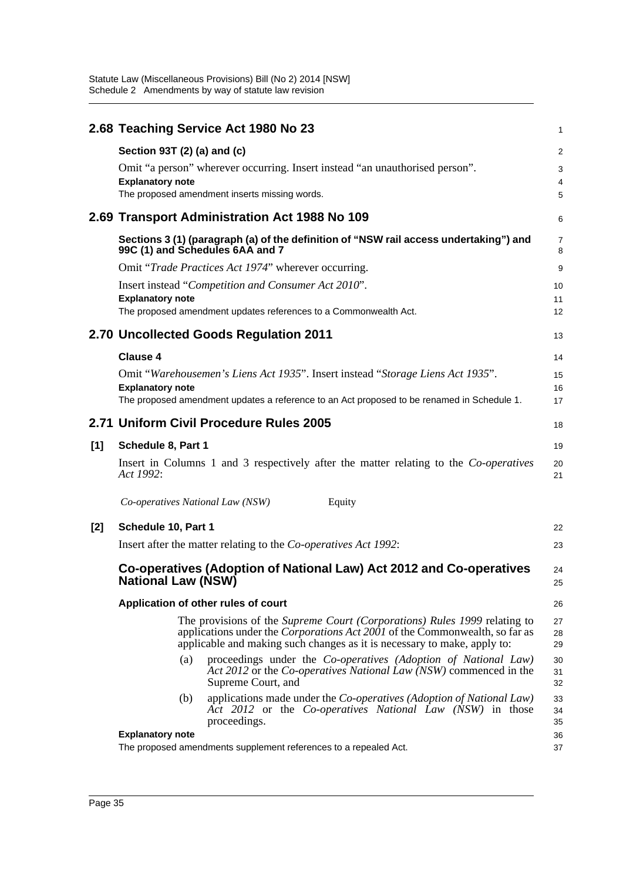|     |                                  | 2.68 Teaching Service Act 1980 No 23                                                                                                                                                                                                        | $\mathbf{1}$        |
|-----|----------------------------------|---------------------------------------------------------------------------------------------------------------------------------------------------------------------------------------------------------------------------------------------|---------------------|
|     | Section 93T (2) (a) and (c)      |                                                                                                                                                                                                                                             | 2                   |
|     |                                  | Omit "a person" wherever occurring. Insert instead "an unauthorised person".                                                                                                                                                                | 3                   |
|     | <b>Explanatory note</b>          |                                                                                                                                                                                                                                             | 4                   |
|     |                                  | The proposed amendment inserts missing words.                                                                                                                                                                                               | 5                   |
|     |                                  | 2.69 Transport Administration Act 1988 No 109                                                                                                                                                                                               | 6                   |
|     |                                  | Sections 3 (1) (paragraph (a) of the definition of "NSW rail access undertaking") and<br>99C (1) and Schedules 6AA and 7                                                                                                                    | $\overline{7}$<br>8 |
|     |                                  | Omit "Trade Practices Act 1974" wherever occurring.                                                                                                                                                                                         | 9                   |
|     |                                  | Insert instead "Competition and Consumer Act 2010".                                                                                                                                                                                         | 10                  |
|     | <b>Explanatory note</b>          |                                                                                                                                                                                                                                             | 11                  |
|     |                                  | The proposed amendment updates references to a Commonwealth Act.                                                                                                                                                                            | 12                  |
|     |                                  | 2.70 Uncollected Goods Regulation 2011                                                                                                                                                                                                      | 13                  |
|     | <b>Clause 4</b>                  |                                                                                                                                                                                                                                             | 14                  |
|     |                                  | Omit "Warehousemen's Liens Act 1935". Insert instead "Storage Liens Act 1935".                                                                                                                                                              | 15                  |
|     | <b>Explanatory note</b>          |                                                                                                                                                                                                                                             | 16                  |
|     |                                  | The proposed amendment updates a reference to an Act proposed to be renamed in Schedule 1.                                                                                                                                                  | 17                  |
|     |                                  | 2.71 Uniform Civil Procedure Rules 2005                                                                                                                                                                                                     | 18                  |
| [1] | Schedule 8, Part 1               |                                                                                                                                                                                                                                             | 19                  |
|     | Act 1992:                        | Insert in Columns 1 and 3 respectively after the matter relating to the <i>Co-operatives</i>                                                                                                                                                | 20<br>21            |
|     | Co-operatives National Law (NSW) | Equity                                                                                                                                                                                                                                      |                     |
| [2] | Schedule 10, Part 1              |                                                                                                                                                                                                                                             | 22                  |
|     |                                  | Insert after the matter relating to the Co-operatives Act 1992:                                                                                                                                                                             | 23                  |
|     | <b>National Law (NSW)</b>        | Co-operatives (Adoption of National Law) Act 2012 and Co-operatives                                                                                                                                                                         | 24<br>25            |
|     |                                  | Application of other rules of court                                                                                                                                                                                                         | 26                  |
|     |                                  |                                                                                                                                                                                                                                             | 27                  |
|     |                                  | The provisions of the Supreme Court (Corporations) Rules 1999 relating to<br>applications under the <i>Corporations Act 2001</i> of the Commonwealth, so far as<br>applicable and making such changes as it is necessary to make, apply to: | 28<br>29            |
|     | (a)                              | proceedings under the Co-operatives (Adoption of National Law)<br>Act 2012 or the Co-operatives National Law (NSW) commenced in the<br>Supreme Court, and                                                                                   | 30<br>31<br>32      |
|     | (b)                              | applications made under the <i>Co-operatives</i> ( <i>Adoption of National Law</i> )<br>Act 2012 or the Co-operatives National Law (NSW) in those<br>proceedings.                                                                           | 33<br>34<br>35      |
|     | <b>Explanatory note</b>          | The proposed amendments supplement references to a repealed Act.                                                                                                                                                                            | 36                  |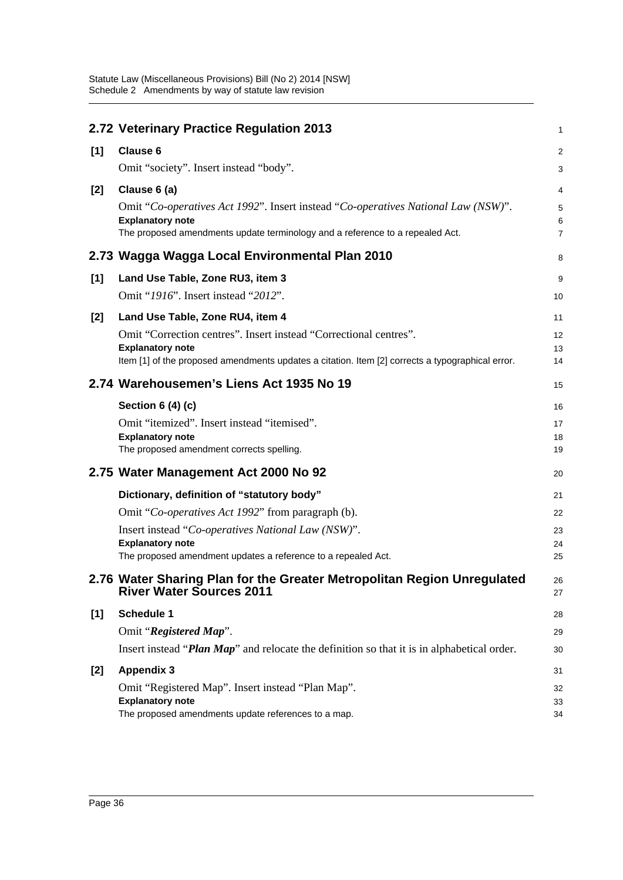|       | 2.72 Veterinary Practice Regulation 2013                                                                   | 1              |
|-------|------------------------------------------------------------------------------------------------------------|----------------|
| [1]   | <b>Clause 6</b>                                                                                            | $\overline{a}$ |
|       | Omit "society". Insert instead "body".                                                                     | 3              |
| $[2]$ | Clause 6 (a)                                                                                               | 4              |
|       | Omit "Co-operatives Act 1992". Insert instead "Co-operatives National Law (NSW)".                          | 5              |
|       | <b>Explanatory note</b>                                                                                    | 6              |
|       | The proposed amendments update terminology and a reference to a repealed Act.                              | $\overline{7}$ |
|       | 2.73 Wagga Wagga Local Environmental Plan 2010                                                             | 8              |
| [1]   | Land Use Table, Zone RU3, item 3                                                                           | 9              |
|       | Omit "1916". Insert instead "2012".                                                                        | 10             |
| $[2]$ | Land Use Table, Zone RU4, item 4                                                                           | 11             |
|       | Omit "Correction centres". Insert instead "Correctional centres".                                          | 12             |
|       | <b>Explanatory note</b>                                                                                    | 13             |
|       | Item [1] of the proposed amendments updates a citation. Item [2] corrects a typographical error.           | 14             |
|       | 2.74 Warehousemen's Liens Act 1935 No 19                                                                   | 15             |
|       | Section 6 (4) (c)                                                                                          | 16             |
|       | Omit "itemized". Insert instead "itemised".                                                                | 17             |
|       | <b>Explanatory note</b>                                                                                    | 18             |
|       | The proposed amendment corrects spelling.                                                                  | 19             |
|       | 2.75 Water Management Act 2000 No 92                                                                       | 20             |
|       | Dictionary, definition of "statutory body"                                                                 | 21             |
|       | Omit "Co-operatives Act 1992" from paragraph (b).                                                          | 22             |
|       | Insert instead "Co-operatives National Law (NSW)".                                                         | 23             |
|       | <b>Explanatory note</b><br>The proposed amendment updates a reference to a repealed Act.                   | 24<br>25       |
|       |                                                                                                            |                |
|       | 2.76 Water Sharing Plan for the Greater Metropolitan Region Unregulated<br><b>River Water Sources 2011</b> | 26<br>27       |
| [1]   | <b>Schedule 1</b>                                                                                          | 28             |
|       | Omit "Registered Map".                                                                                     | 29             |
|       | Insert instead "Plan Map" and relocate the definition so that it is in alphabetical order.                 | 30             |
| $[2]$ | <b>Appendix 3</b>                                                                                          | 31             |
|       | Omit "Registered Map". Insert instead "Plan Map".                                                          | 32             |
|       | <b>Explanatory note</b><br>The proposed amendments update references to a map.                             | 33<br>34       |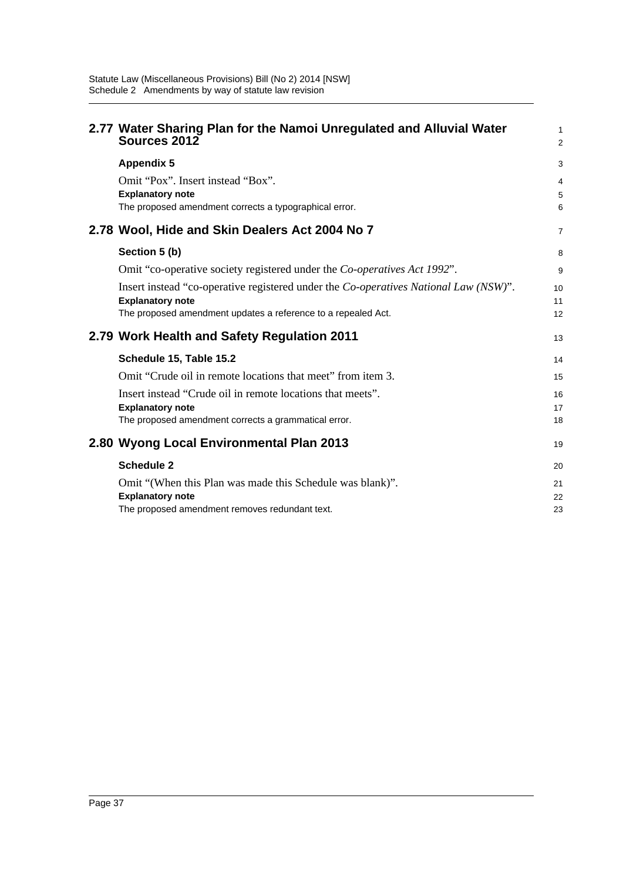| 2.77 Water Sharing Plan for the Namoi Unregulated and Alluvial Water<br>Sources 2012                 | 1<br>$\overline{2}$ |
|------------------------------------------------------------------------------------------------------|---------------------|
| <b>Appendix 5</b>                                                                                    | 3                   |
| Omit "Pox". Insert instead "Box".                                                                    | 4                   |
| <b>Explanatory note</b>                                                                              | 5                   |
| The proposed amendment corrects a typographical error.                                               | 6                   |
| 2.78 Wool, Hide and Skin Dealers Act 2004 No 7                                                       | $\overline{7}$      |
| Section 5 (b)                                                                                        | 8                   |
| Omit "co-operative society registered under the <i>Co-operatives Act 1992</i> ".                     | 9                   |
| Insert instead "co-operative registered under the <i>Co-operatives National Law</i> ( <i>NSW</i> )". | 10                  |
| <b>Explanatory note</b>                                                                              | 11                  |
| The proposed amendment updates a reference to a repealed Act.                                        | 12                  |
| 2.79 Work Health and Safety Regulation 2011                                                          | 13                  |
| Schedule 15, Table 15.2                                                                              | 14                  |
| Omit "Crude oil in remote locations that meet" from item 3.                                          | 15                  |
| Insert instead "Crude oil in remote locations that meets".                                           | 16                  |
| <b>Explanatory note</b>                                                                              | 17                  |
| The proposed amendment corrects a grammatical error.                                                 | 18                  |
| 2.80 Wyong Local Environmental Plan 2013                                                             | 19                  |
| <b>Schedule 2</b>                                                                                    | 20                  |
| Omit "(When this Plan was made this Schedule was blank)".                                            | 21                  |
| <b>Explanatory note</b>                                                                              | 22                  |
| The proposed amendment removes redundant text.                                                       | 23                  |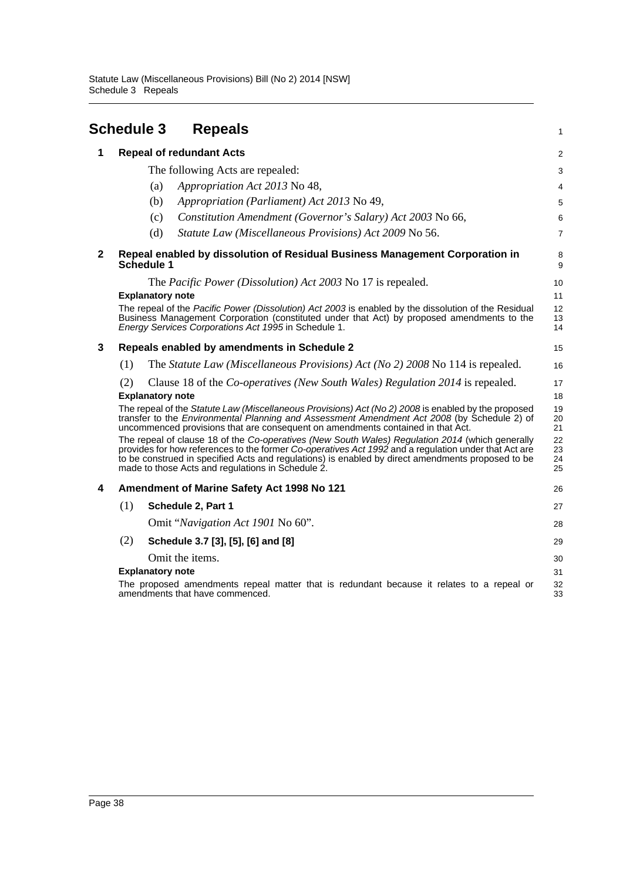<span id="page-41-0"></span>

|              | <b>Schedule 3</b>                                                                                                                                                                                                                                                                                                                                                                                                                                    | <b>Repeals</b>                                                                                                                                                                                                                                             | 1                          |
|--------------|------------------------------------------------------------------------------------------------------------------------------------------------------------------------------------------------------------------------------------------------------------------------------------------------------------------------------------------------------------------------------------------------------------------------------------------------------|------------------------------------------------------------------------------------------------------------------------------------------------------------------------------------------------------------------------------------------------------------|----------------------------|
| 1            | <b>Repeal of redundant Acts</b>                                                                                                                                                                                                                                                                                                                                                                                                                      |                                                                                                                                                                                                                                                            | 2                          |
|              | The following Acts are repealed:                                                                                                                                                                                                                                                                                                                                                                                                                     |                                                                                                                                                                                                                                                            | 3                          |
|              | (a)                                                                                                                                                                                                                                                                                                                                                                                                                                                  | Appropriation Act 2013 No 48,                                                                                                                                                                                                                              | 4                          |
|              | (b)                                                                                                                                                                                                                                                                                                                                                                                                                                                  | Appropriation (Parliament) Act 2013 No 49,                                                                                                                                                                                                                 | 5                          |
|              | (c)                                                                                                                                                                                                                                                                                                                                                                                                                                                  | Constitution Amendment (Governor's Salary) Act 2003 No 66,                                                                                                                                                                                                 | 6                          |
|              | (d)                                                                                                                                                                                                                                                                                                                                                                                                                                                  | Statute Law (Miscellaneous Provisions) Act 2009 No 56.                                                                                                                                                                                                     | $\overline{7}$             |
| $\mathbf{2}$ | Repeal enabled by dissolution of Residual Business Management Corporation in<br>Schedule 1                                                                                                                                                                                                                                                                                                                                                           |                                                                                                                                                                                                                                                            | 8<br>9                     |
|              | The <i>Pacific Power (Dissolution)</i> Act 2003 No 17 is repealed.                                                                                                                                                                                                                                                                                                                                                                                   |                                                                                                                                                                                                                                                            | 10                         |
|              | <b>Explanatory note</b>                                                                                                                                                                                                                                                                                                                                                                                                                              | The repeal of the Pacific Power (Dissolution) Act 2003 is enabled by the dissolution of the Residual<br>Business Management Corporation (constituted under that Act) by proposed amendments to the<br>Energy Services Corporations Act 1995 in Schedule 1. | 11<br>12<br>13<br>14       |
| 3            | Repeals enabled by amendments in Schedule 2                                                                                                                                                                                                                                                                                                                                                                                                          |                                                                                                                                                                                                                                                            | 15                         |
|              | (1)                                                                                                                                                                                                                                                                                                                                                                                                                                                  | The <i>Statute Law (Miscellaneous Provisions) Act (No 2) 2008</i> No 114 is repealed.                                                                                                                                                                      | 16                         |
|              | Clause 18 of the <i>Co-operatives</i> ( <i>New South Wales</i> ) <i>Regulation 2014</i> is repealed.<br>(2)<br><b>Explanatory note</b><br>The repeal of the Statute Law (Miscellaneous Provisions) Act (No 2) 2008 is enabled by the proposed<br>transfer to the <i>Environmental Planning and Assessment Amendment Act 2008</i> (by Schedule 2) of                                                                                                  |                                                                                                                                                                                                                                                            | 17<br>18<br>19<br>20       |
|              | uncommenced provisions that are consequent on amendments contained in that Act.<br>The repeal of clause 18 of the Co-operatives (New South Wales) Regulation 2014 (which generally<br>provides for how references to the former Co-operatives Act 1992 and a regulation under that Act are<br>to be construed in specified Acts and regulations) is enabled by direct amendments proposed to be<br>made to those Acts and regulations in Schedule 2. |                                                                                                                                                                                                                                                            | 21<br>22<br>23<br>24<br>25 |
| 4            |                                                                                                                                                                                                                                                                                                                                                                                                                                                      | Amendment of Marine Safety Act 1998 No 121                                                                                                                                                                                                                 | 26                         |
|              | (1)                                                                                                                                                                                                                                                                                                                                                                                                                                                  | Schedule 2, Part 1                                                                                                                                                                                                                                         | 27                         |
|              |                                                                                                                                                                                                                                                                                                                                                                                                                                                      | Omit "Navigation Act 1901 No 60".                                                                                                                                                                                                                          | 28                         |
|              | (2)                                                                                                                                                                                                                                                                                                                                                                                                                                                  | Schedule 3.7 [3], [5], [6] and [8]                                                                                                                                                                                                                         | 29                         |
|              | <b>Explanatory note</b>                                                                                                                                                                                                                                                                                                                                                                                                                              | Omit the items.<br>The proposed amendments repeal matter that is redundant because it relates to a repeal or<br>amendments that have commenced.                                                                                                            | 30<br>31<br>32<br>33       |
|              |                                                                                                                                                                                                                                                                                                                                                                                                                                                      |                                                                                                                                                                                                                                                            |                            |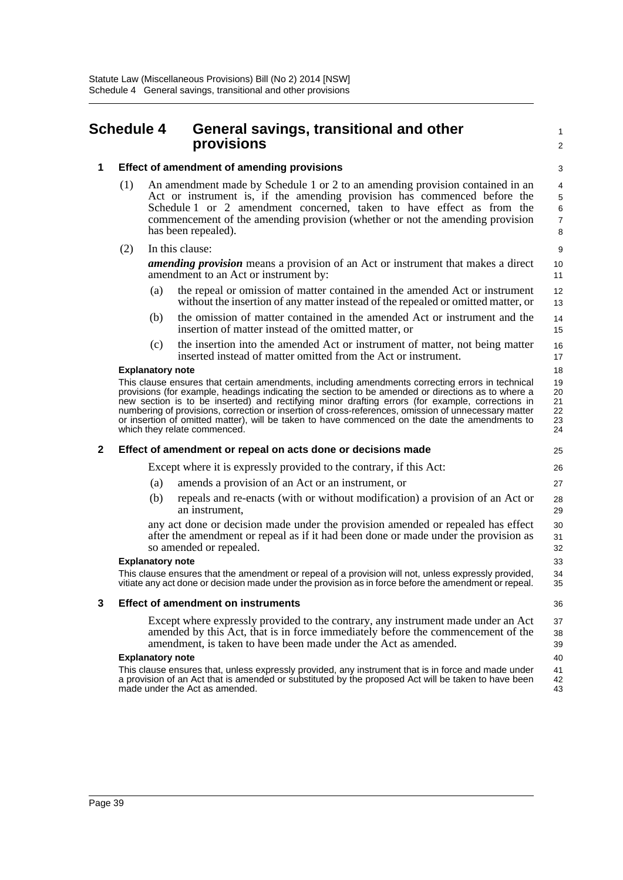### <span id="page-42-0"></span>**Schedule 4 General savings, transitional and other provisions**

1  $\mathcal{L}$ 

### **1 Effect of amendment of amending provisions**

- (1) An amendment made by Schedule 1 or 2 to an amending provision contained in an Act or instrument is, if the amending provision has commenced before the Schedule 1 or 2 amendment concerned, taken to have effect as from the commencement of the amending provision (whether or not the amending provision has been repealed).
- (2) In this clause:

*amending provision* means a provision of an Act or instrument that makes a direct amendment to an Act or instrument by:

- (a) the repeal or omission of matter contained in the amended Act or instrument without the insertion of any matter instead of the repealed or omitted matter, or
- (b) the omission of matter contained in the amended Act or instrument and the insertion of matter instead of the omitted matter, or
- (c) the insertion into the amended Act or instrument of matter, not being matter inserted instead of matter omitted from the Act or instrument.

### **Explanatory note**

This clause ensures that certain amendments, including amendments correcting errors in technical provisions (for example, headings indicating the section to be amended or directions as to where a new section is to be inserted) and rectifying minor drafting errors (for example, corrections in numbering of provisions, correction or insertion of cross-references, omission of unnecessary matter or insertion of omitted matter), will be taken to have commenced on the date the amendments to which they relate commenced.

### **2 Effect of amendment or repeal on acts done or decisions made**

Except where it is expressly provided to the contrary, if this Act:

- (a) amends a provision of an Act or an instrument, or
- (b) repeals and re-enacts (with or without modification) a provision of an Act or an instrument,

any act done or decision made under the provision amended or repealed has effect after the amendment or repeal as if it had been done or made under the provision as so amended or repealed.

#### **Explanatory note**

This clause ensures that the amendment or repeal of a provision will not, unless expressly provided, vitiate any act done or decision made under the provision as in force before the amendment or repeal.

#### **3 Effect of amendment on instruments**

Except where expressly provided to the contrary, any instrument made under an Act amended by this Act, that is in force immediately before the commencement of the amendment, is taken to have been made under the Act as amended.

#### **Explanatory note**

This clause ensures that, unless expressly provided, any instrument that is in force and made under a provision of an Act that is amended or substituted by the proposed Act will be taken to have been made under the Act as amended.